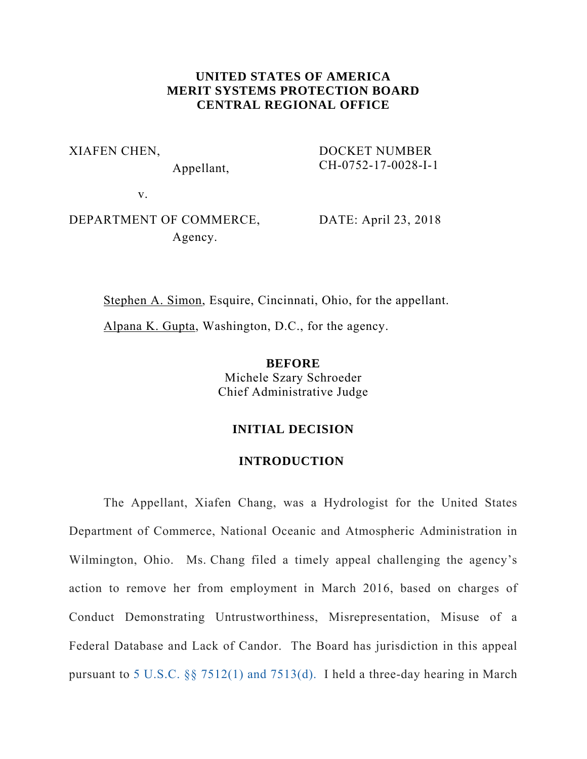## **UNITED STATES OF AMERICA MERIT SYSTEMS PROTECTION BOARD CENTRAL REGIONAL OFFICE**

XIAFEN CHEN,

Appellant,

DOCKET NUMBER CH-0752-17-0028-I-1

v.

# DEPARTMENT OF COMMERCE, Agency.

DATE: April 23, 2018

Stephen A. Simon, Esquire, Cincinnati, Ohio, for the appellant.

Alpana K. Gupta, Washington, D.C., for the agency.

**BEFORE**  Michele Szary Schroeder Chief Administrative Judge

## **INITIAL DECISION**

## **INTRODUCTION**

The Appellant, Xiafen Chang, was a Hydrologist for the United States Department of Commerce, National Oceanic and Atmospheric Administration in Wilmington, Ohio. Ms. Chang filed a timely appeal challenging the agency's action to remove her from employment in March 2016, based on charges of Conduct Demonstrating Untrustworthiness, Misrepresentation, Misuse of a Federal Database and Lack of Candor. The Board has jurisdiction in this appeal pursuant to 5 U.S.C. §§ 7512(1) and 7513(d). I held a three-day hearing in March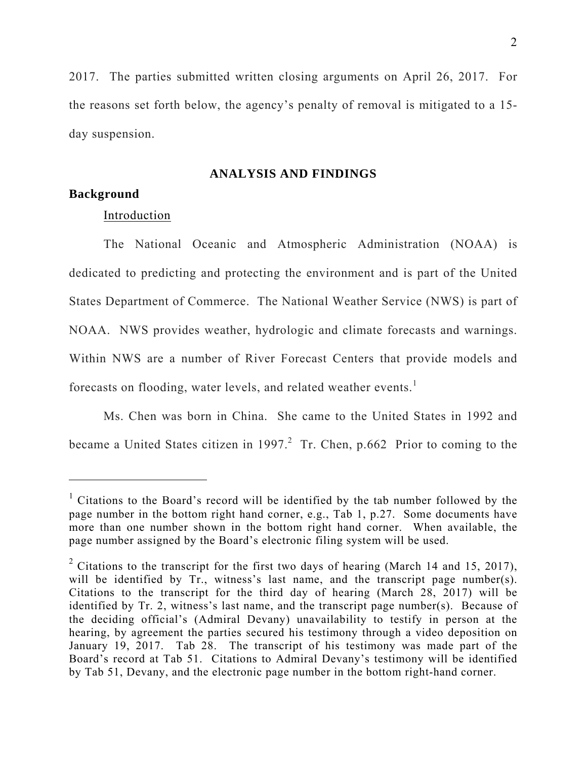2017. The parties submitted written closing arguments on April 26, 2017. For the reasons set forth below, the agency's penalty of removal is mitigated to a 15 day suspension.

**ANALYSIS AND FINDINGS** 

### **Background**

 $\overline{a}$ 

#### Introduction

The National Oceanic and Atmospheric Administration (NOAA) is dedicated to predicting and protecting the environment and is part of the United States Department of Commerce. The National Weather Service (NWS) is part of NOAA. NWS provides weather, hydrologic and climate forecasts and warnings. Within NWS are a number of River Forecast Centers that provide models and forecasts on flooding, water levels, and related weather events.<sup>1</sup>

Ms. Chen was born in China. She came to the United States in 1992 and became a United States citizen in 1997.<sup>2</sup> Tr. Chen, p.662 Prior to coming to the

<sup>&</sup>lt;sup>1</sup> Citations to the Board's record will be identified by the tab number followed by the page number in the bottom right hand corner, e.g., Tab 1, p.27. Some documents have more than one number shown in the bottom right hand corner. When available, the page number assigned by the Board's electronic filing system will be used.

<sup>&</sup>lt;sup>2</sup> Citations to the transcript for the first two days of hearing (March 14 and 15, 2017), will be identified by Tr., witness's last name, and the transcript page number(s). Citations to the transcript for the third day of hearing (March 28, 2017) will be identified by Tr. 2, witness's last name, and the transcript page number(s). Because of the deciding official's (Admiral Devany) unavailability to testify in person at the hearing, by agreement the parties secured his testimony through a video deposition on January 19, 2017. Tab 28. The transcript of his testimony was made part of the Board's record at Tab 51. Citations to Admiral Devany's testimony will be identified by Tab 51, Devany, and the electronic page number in the bottom right-hand corner.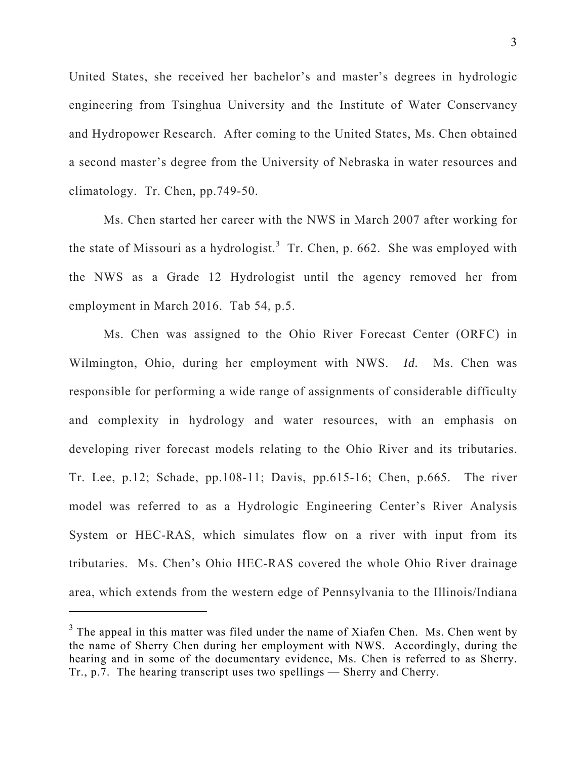United States, she received her bachelor's and master's degrees in hydrologic engineering from Tsinghua University and the Institute of Water Conservancy and Hydropower Research. After coming to the United States, Ms. Chen obtained a second master's degree from the University of Nebraska in water resources and climatology. Tr. Chen, pp.749-50.

Ms. Chen started her career with the NWS in March 2007 after working for the state of Missouri as a hydrologist.<sup>3</sup> Tr. Chen, p. 662. She was employed with the NWS as a Grade 12 Hydrologist until the agency removed her from employment in March 2016. Tab 54, p.5.

Ms. Chen was assigned to the Ohio River Forecast Center (ORFC) in Wilmington, Ohio, during her employment with NWS. *Id.* Ms. Chen was responsible for performing a wide range of assignments of considerable difficulty and complexity in hydrology and water resources, with an emphasis on developing river forecast models relating to the Ohio River and its tributaries. Tr. Lee, p.12; Schade, pp.108-11; Davis, pp.615-16; Chen, p.665. The river model was referred to as a Hydrologic Engineering Center's River Analysis System or HEC-RAS, which simulates flow on a river with input from its tributaries. Ms. Chen's Ohio HEC-RAS covered the whole Ohio River drainage area, which extends from the western edge of Pennsylvania to the Illinois/Indiana

 $\overline{a}$ 

 $3$  The appeal in this matter was filed under the name of Xiafen Chen. Ms. Chen went by the name of Sherry Chen during her employment with NWS. Accordingly, during the hearing and in some of the documentary evidence, Ms. Chen is referred to as Sherry. Tr., p.7. The hearing transcript uses two spellings — Sherry and Cherry.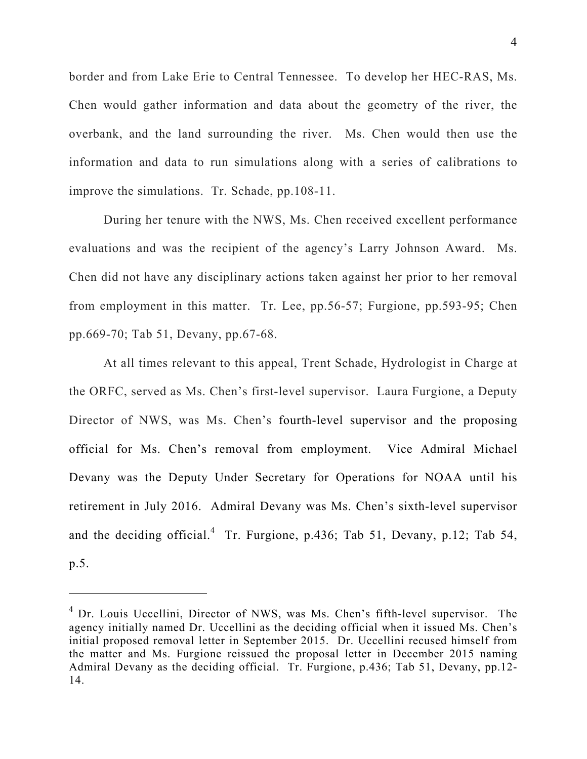border and from Lake Erie to Central Tennessee. To develop her HEC-RAS, Ms. Chen would gather information and data about the geometry of the river, the overbank, and the land surrounding the river. Ms. Chen would then use the information and data to run simulations along with a series of calibrations to improve the simulations. Tr. Schade, pp.108-11.

During her tenure with the NWS, Ms. Chen received excellent performance evaluations and was the recipient of the agency's Larry Johnson Award. Ms. Chen did not have any disciplinary actions taken against her prior to her removal from employment in this matter. Tr. Lee, pp.56-57; Furgione, pp.593-95; Chen pp.669-70; Tab 51, Devany, pp.67-68.

At all times relevant to this appeal, Trent Schade, Hydrologist in Charge at the ORFC, served as Ms. Chen's first-level supervisor. Laura Furgione, a Deputy Director of NWS, was Ms. Chen's fourth-level supervisor and the proposing official for Ms. Chen's removal from employment. Vice Admiral Michael Devany was the Deputy Under Secretary for Operations for NOAA until his retirement in July 2016. Admiral Devany was Ms. Chen's sixth-level supervisor and the deciding official.<sup>4</sup> Tr. Furgione, p.436; Tab 51, Devany, p.12; Tab 54, p.5.

 $\overline{a}$ 

<sup>&</sup>lt;sup>4</sup> Dr. Louis Uccellini, Director of NWS, was Ms. Chen's fifth-level supervisor. The agency initially named Dr. Uccellini as the deciding official when it issued Ms. Chen's initial proposed removal letter in September 2015. Dr. Uccellini recused himself from the matter and Ms. Furgione reissued the proposal letter in December 2015 naming Admiral Devany as the deciding official. Tr. Furgione, p.436; Tab 51, Devany, pp.12- 14.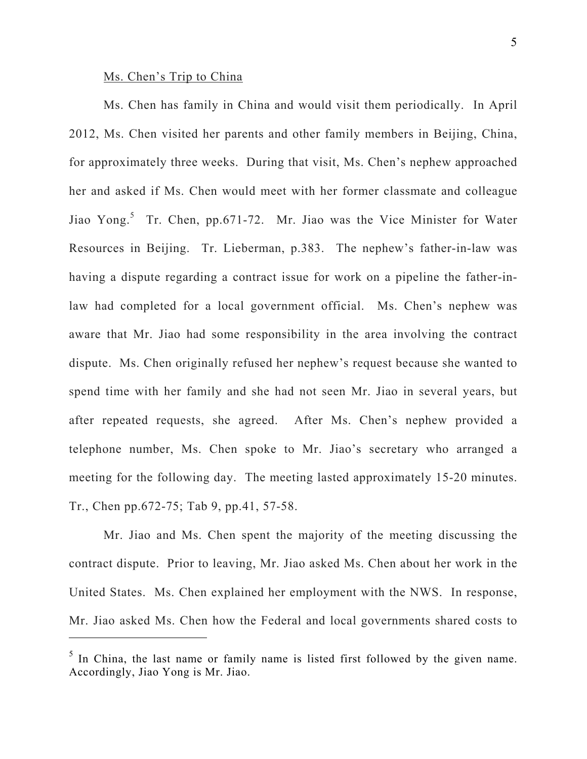## Ms. Chen's Trip to China

 $\overline{a}$ 

Ms. Chen has family in China and would visit them periodically. In April 2012, Ms. Chen visited her parents and other family members in Beijing, China, for approximately three weeks. During that visit, Ms. Chen's nephew approached her and asked if Ms. Chen would meet with her former classmate and colleague Jiao Yong.<sup>5</sup> Tr. Chen, pp.671-72. Mr. Jiao was the Vice Minister for Water Resources in Beijing. Tr. Lieberman, p.383. The nephew's father-in-law was having a dispute regarding a contract issue for work on a pipeline the father-inlaw had completed for a local government official. Ms. Chen's nephew was aware that Mr. Jiao had some responsibility in the area involving the contract dispute. Ms. Chen originally refused her nephew's request because she wanted to spend time with her family and she had not seen Mr. Jiao in several years, but after repeated requests, she agreed. After Ms. Chen's nephew provided a telephone number, Ms. Chen spoke to Mr. Jiao's secretary who arranged a meeting for the following day. The meeting lasted approximately 15-20 minutes. Tr., Chen pp.672-75; Tab 9, pp.41, 57-58.

Mr. Jiao and Ms. Chen spent the majority of the meeting discussing the contract dispute. Prior to leaving, Mr. Jiao asked Ms. Chen about her work in the United States. Ms. Chen explained her employment with the NWS. In response, Mr. Jiao asked Ms. Chen how the Federal and local governments shared costs to

 $<sup>5</sup>$  In China, the last name or family name is listed first followed by the given name.</sup> Accordingly, Jiao Yong is Mr. Jiao.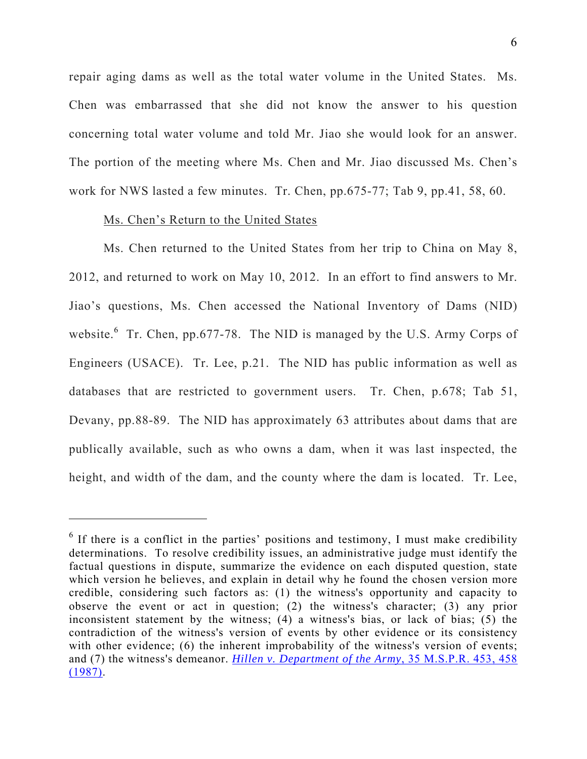repair aging dams as well as the total water volume in the United States. Ms. Chen was embarrassed that she did not know the answer to his question concerning total water volume and told Mr. Jiao she would look for an answer. The portion of the meeting where Ms. Chen and Mr. Jiao discussed Ms. Chen's work for NWS lasted a few minutes. Tr. Chen, pp.675-77; Tab 9, pp.41, 58, 60.

### Ms. Chen's Return to the United States

 $\overline{a}$ 

Ms. Chen returned to the United States from her trip to China on May 8, 2012, and returned to work on May 10, 2012. In an effort to find answers to Mr. Jiao's questions, Ms. Chen accessed the National Inventory of Dams (NID) website.  $6$  Tr. Chen, pp.677-78. The NID is managed by the U.S. Army Corps of Engineers (USACE).Tr. Lee, p.21. The NID has public information as well as databases that are restricted to government users. Tr. Chen, p.678; Tab 51, Devany, pp.88-89. The NID has approximately 63 attributes about dams that are publically available, such as who owns a dam, when it was last inspected, the height, and width of the dam, and the county where the dam is located. Tr. Lee,

 $<sup>6</sup>$  If there is a conflict in the parties' positions and testimony, I must make credibility</sup> determinations. To resolve credibility issues, an administrative judge must identify the factual questions in dispute, summarize the evidence on each disputed question, state which version he believes, and explain in detail why he found the chosen version more credible, considering such factors as: (1) the witness's opportunity and capacity to observe the event or act in question; (2) the witness's character; (3) any prior inconsistent statement by the witness; (4) a witness's bias, or lack of bias; (5) the contradiction of the witness's version of events by other evidence or its consistency with other evidence; (6) the inherent improbability of the witness's version of events; and (7) the witness's demeanor. *Hillen v. Department of the Army*, 35 M.S.P.R. 453, 458 (1987).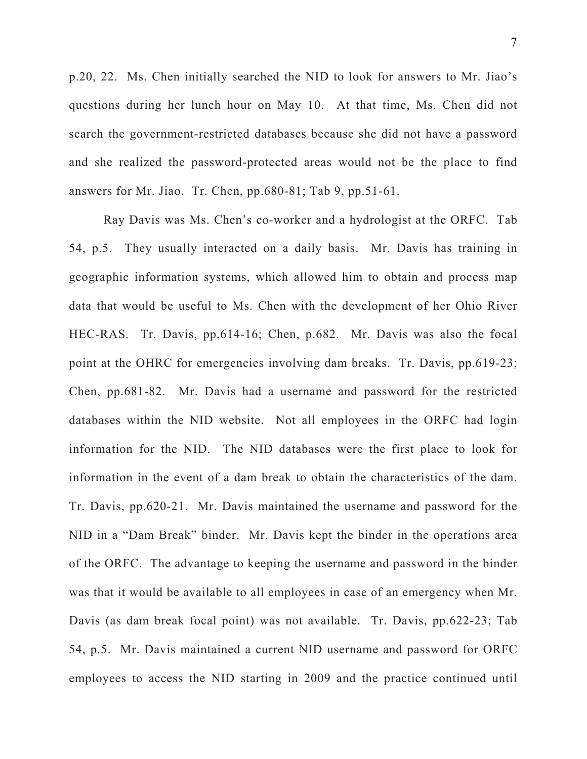p.20, 22. Ms. Chen initially searched the NID to look for answers to Mr. Jiao's questions during her lunch hour on May 10. At that time, Ms. Chen did not search the government-restricted databases because she did not have a password and she realized the password-protected areas would not be the place to find answers for Mr. Jiao. Tr. Chen, pp.680-81; Tab 9, pp.51-61.

Ray Davis was Ms. Chen's co-worker and a hydrologist at the ORFC. Tab 54, p.5. They usually interacted on a daily basis. Mr. Davis has training in geographic information systems, which allowed him to obtain and process map data that would be useful to Ms. Chen with the development of her Ohio River HEC-RAS. Tr. Davis, pp.614-16; Chen, p.682. Mr. Davis was also the focal point at the OHRC for emergencies involving dam breaks. Tr. Davis, pp.619-23; Chen, pp.681-82. Mr. Davis had a username and password for the restricted databases within the NID website. Not all employees in the ORFC had login information for the NID. The NID databases were the first place to look for information in the event of a dam break to obtain the characteristics of the dam. Tr. Davis, pp.620-21. Mr. Davis maintained the username and password for the NID in a "Dam Break" binder. Mr. Davis kept the binder in the operations area of the ORFC. The advantage to keeping the username and password in the binder was that it would be available to all employees in case of an emergency when Mr. Davis (as dam break focal point) was not available. Tr. Davis, pp.622-23; Tab 54, p.5. Mr. Davis maintained a current NID username and password for ORFC employees to access the NID starting in 2009 and the practice continued until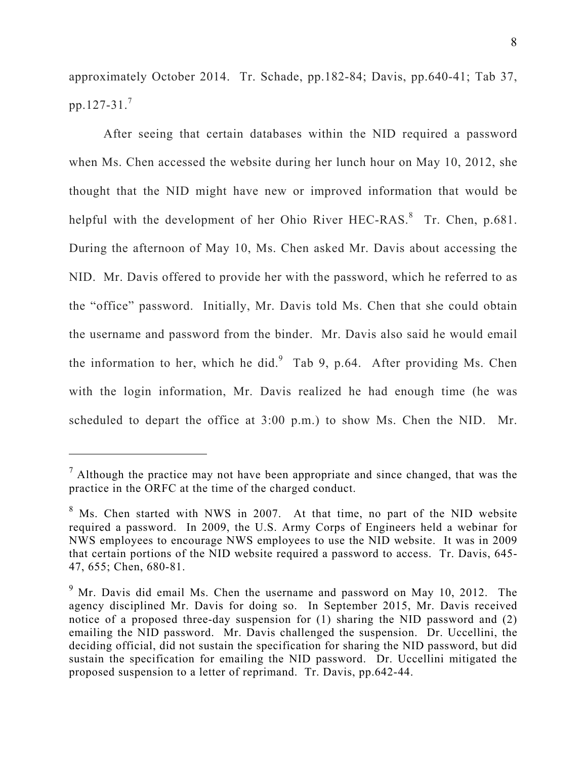approximately October 2014. Tr. Schade, pp.182-84; Davis, pp.640-41; Tab 37, pp.127-31.<sup>7</sup>

After seeing that certain databases within the NID required a password when Ms. Chen accessed the website during her lunch hour on May 10, 2012, she thought that the NID might have new or improved information that would be helpful with the development of her Ohio River HEC-RAS.<sup>8</sup> Tr. Chen, p.681. During the afternoon of May 10, Ms. Chen asked Mr. Davis about accessing the NID. Mr. Davis offered to provide her with the password, which he referred to as the "office" password. Initially, Mr. Davis told Ms. Chen that she could obtain the username and password from the binder. Mr. Davis also said he would email the information to her, which he did. $9$  Tab 9, p.64. After providing Ms. Chen with the login information, Mr. Davis realized he had enough time (he was scheduled to depart the office at 3:00 p.m.) to show Ms. Chen the NID. Mr.

 $\overline{a}$ 

 $<sup>7</sup>$  Although the practice may not have been appropriate and since changed, that was the</sup> practice in the ORFC at the time of the charged conduct.

 $8$  Ms. Chen started with NWS in 2007. At that time, no part of the NID website required a password. In 2009, the U.S. Army Corps of Engineers held a webinar for NWS employees to encourage NWS employees to use the NID website. It was in 2009 that certain portions of the NID website required a password to access. Tr. Davis, 645- 47, 655; Chen, 680-81.

 $9$  Mr. Davis did email Ms. Chen the username and password on May 10, 2012. The agency disciplined Mr. Davis for doing so. In September 2015, Mr. Davis received notice of a proposed three-day suspension for (1) sharing the NID password and (2) emailing the NID password. Mr. Davis challenged the suspension. Dr. Uccellini, the deciding official, did not sustain the specification for sharing the NID password, but did sustain the specification for emailing the NID password. Dr. Uccellini mitigated the proposed suspension to a letter of reprimand. Tr. Davis, pp.642-44.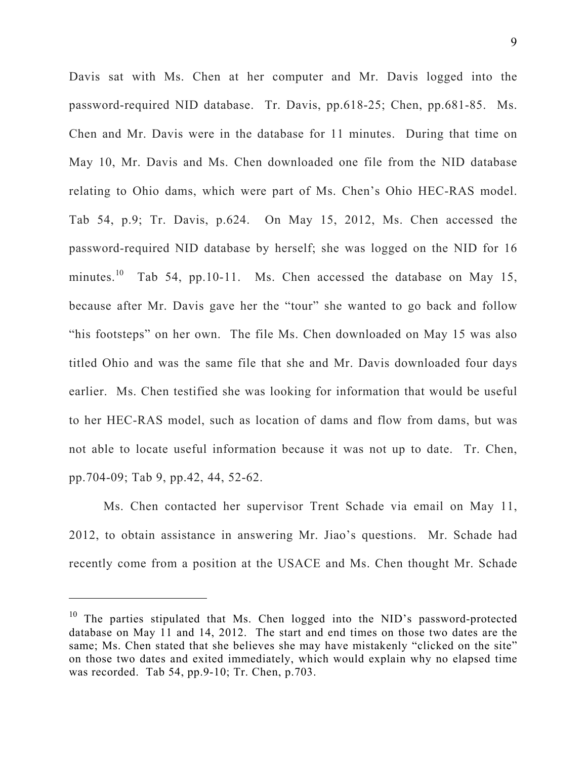Davis sat with Ms. Chen at her computer and Mr. Davis logged into the password-required NID database. Tr. Davis, pp.618-25; Chen, pp.681-85. Ms. Chen and Mr. Davis were in the database for 11 minutes. During that time on May 10, Mr. Davis and Ms. Chen downloaded one file from the NID database relating to Ohio dams, which were part of Ms. Chen's Ohio HEC-RAS model. Tab 54, p.9; Tr. Davis, p.624. On May 15, 2012, Ms. Chen accessed the password-required NID database by herself; she was logged on the NID for 16 minutes.<sup>10</sup> Tab 54, pp.10-11. Ms. Chen accessed the database on May 15, because after Mr. Davis gave her the "tour" she wanted to go back and follow "his footsteps" on her own. The file Ms. Chen downloaded on May 15 was also titled Ohio and was the same file that she and Mr. Davis downloaded four days earlier. Ms. Chen testified she was looking for information that would be useful to her HEC-RAS model, such as location of dams and flow from dams, but was not able to locate useful information because it was not up to date. Tr. Chen, pp.704-09; Tab 9, pp.42, 44, 52-62.

Ms. Chen contacted her supervisor Trent Schade via email on May 11, 2012, to obtain assistance in answering Mr. Jiao's questions. Mr. Schade had recently come from a position at the USACE and Ms. Chen thought Mr. Schade

 $\overline{a}$ 

<sup>&</sup>lt;sup>10</sup> The parties stipulated that Ms. Chen logged into the NID's password-protected database on May 11 and 14, 2012. The start and end times on those two dates are the same; Ms. Chen stated that she believes she may have mistakenly "clicked on the site" on those two dates and exited immediately, which would explain why no elapsed time was recorded. Tab 54, pp.9-10; Tr. Chen, p.703.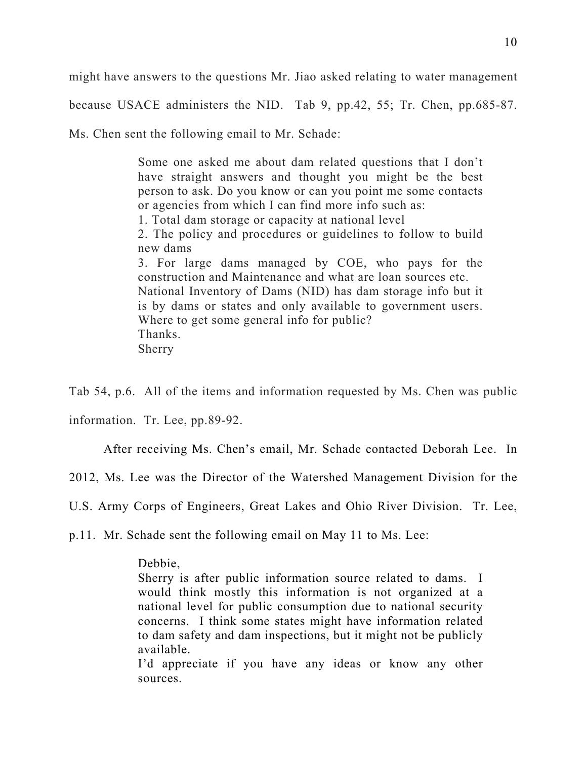might have answers to the questions Mr. Jiao asked relating to water management

because USACE administers the NID. Tab 9, pp.42, 55; Tr. Chen, pp.685-87.

Ms. Chen sent the following email to Mr. Schade:

Some one asked me about dam related questions that I don't have straight answers and thought you might be the best person to ask. Do you know or can you point me some contacts or agencies from which I can find more info such as: 1. Total dam storage or capacity at national level 2. The policy and procedures or guidelines to follow to build new dams 3. For large dams managed by COE, who pays for the construction and Maintenance and what are loan sources etc. National Inventory of Dams (NID) has dam storage info but it is by dams or states and only available to government users. Where to get some general info for public? Thanks. Sherry

Tab 54, p.6. All of the items and information requested by Ms. Chen was public

information. Tr. Lee, pp.89-92.

After receiving Ms. Chen's email, Mr. Schade contacted Deborah Lee. In

2012, Ms. Lee was the Director of the Watershed Management Division for the

U.S. Army Corps of Engineers, Great Lakes and Ohio River Division. Tr. Lee,

p.11. Mr. Schade sent the following email on May 11 to Ms. Lee:

## Debbie,

Sherry is after public information source related to dams. I would think mostly this information is not organized at a national level for public consumption due to national security concerns. I think some states might have information related to dam safety and dam inspections, but it might not be publicly available.

I'd appreciate if you have any ideas or know any other sources.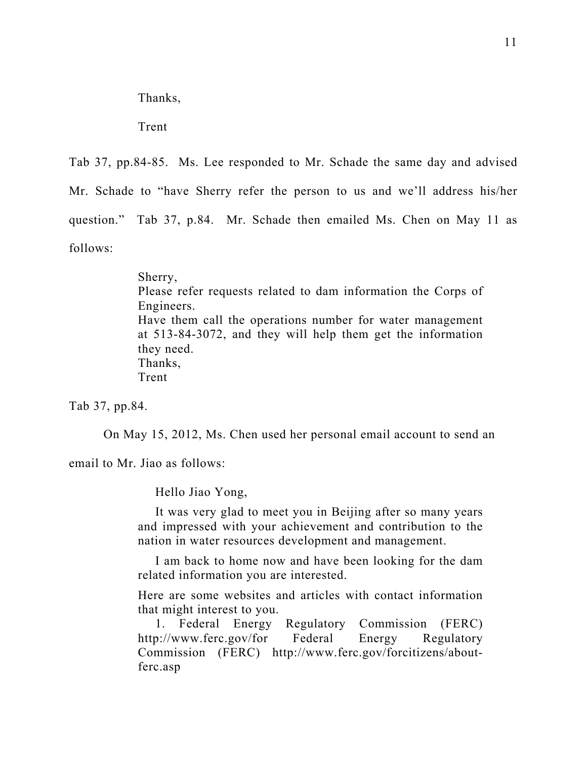Thanks,

Trent

Tab 37, pp.84-85. Ms. Lee responded to Mr. Schade the same day and advised Mr. Schade to "have Sherry refer the person to us and we'll address his/her question." Tab 37, p.84. Mr. Schade then emailed Ms. Chen on May 11 as follows:

> Sherry, Please refer requests related to dam information the Corps of Engineers. Have them call the operations number for water management at 513-84-3072, and they will help them get the information they need. Thanks, Trent

Tab 37, pp.84.

On May 15, 2012, Ms. Chen used her personal email account to send an

email to Mr. Jiao as follows:

Hello Jiao Yong,

 It was very glad to meet you in Beijing after so many years and impressed with your achievement and contribution to the nation in water resources development and management.

 I am back to home now and have been looking for the dam related information you are interested.

Here are some websites and articles with contact information that might interest to you.

 1. Federal Energy Regulatory Commission (FERC) http://www.ferc.gov/for Federal Energy Regulatory Commission (FERC) http://www.ferc.gov/forcitizens/aboutferc.asp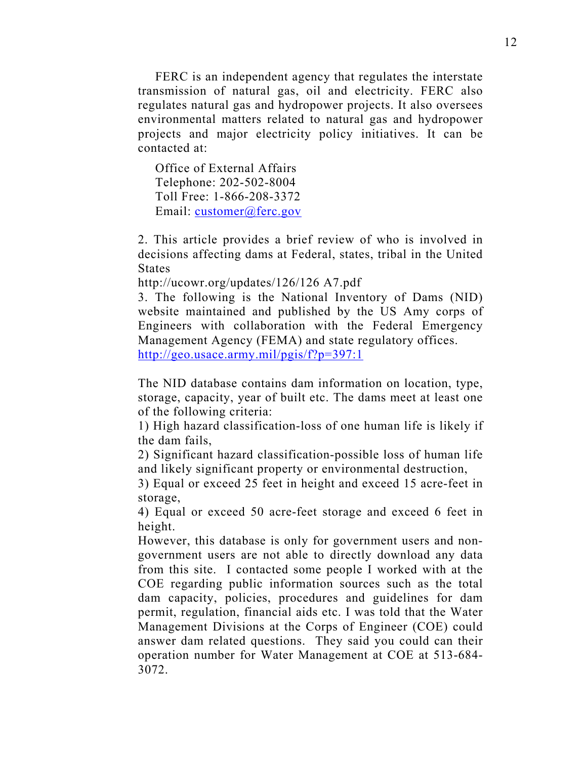FERC is an independent agency that regulates the interstate transmission of natural gas, oil and electricity. FERC also regulates natural gas and hydropower projects. It also oversees environmental matters related to natural gas and hydropower projects and major electricity policy initiatives. It can be contacted at:

 Office of External Affairs Telephone: 202-502-8004 Toll Free: 1-866-208-3372 Email: customer@ferc.gov

2. This article provides a brief review of who is involved in decisions affecting dams at Federal, states, tribal in the United States

http://ucowr.org/updates/126/126 A7.pdf

3. The following is the National Inventory of Dams (NID) website maintained and published by the US Amy corps of Engineers with collaboration with the Federal Emergency Management Agency (FEMA) and state regulatory offices. http://geo.usace.army.mil/pgis/f?p=397:1

The NID database contains dam information on location, type, storage, capacity, year of built etc. The dams meet at least one of the following criteria:

1) High hazard classification-loss of one human life is likely if the dam fails,

2) Significant hazard classification-possible loss of human life and likely significant property or environmental destruction,

3) Equal or exceed 25 feet in height and exceed 15 acre-feet in storage,

4) Equal or exceed 50 acre-feet storage and exceed 6 feet in height.

However, this database is only for government users and nongovernment users are not able to directly download any data from this site. I contacted some people I worked with at the COE regarding public information sources such as the total dam capacity, policies, procedures and guidelines for dam permit, regulation, financial aids etc. I was told that the Water Management Divisions at the Corps of Engineer (COE) could answer dam related questions. They said you could can their operation number for Water Management at COE at 513-684- 3072.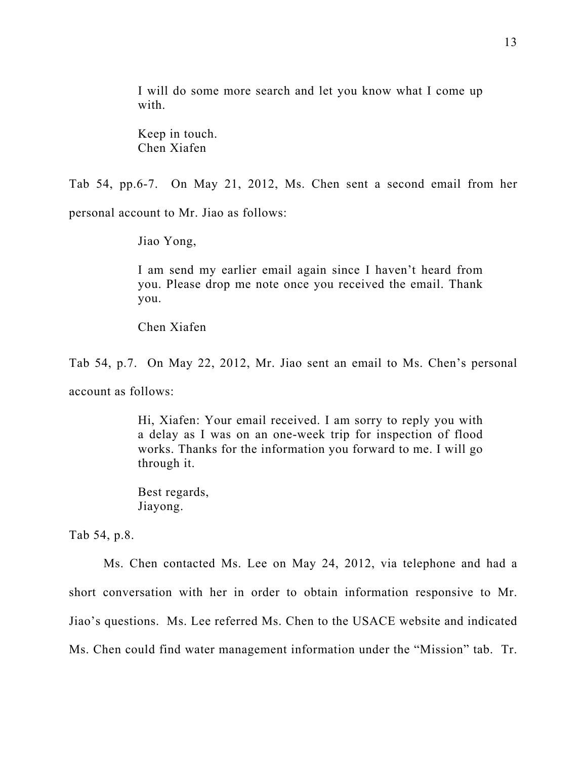I will do some more search and let you know what I come up with.

Keep in touch. Chen Xiafen

Tab 54, pp.6-7. On May 21, 2012, Ms. Chen sent a second email from her

personal account to Mr. Jiao as follows:

Jiao Yong,

I am send my earlier email again since I haven't heard from you. Please drop me note once you received the email. Thank you.

Chen Xiafen

Tab 54, p.7. On May 22, 2012, Mr. Jiao sent an email to Ms. Chen's personal account as follows:

> Hi, Xiafen: Your email received. I am sorry to reply you with a delay as I was on an one-week trip for inspection of flood works. Thanks for the information you forward to me. I will go through it.

Best regards, Jiayong.

Tab 54, p.8.

Ms. Chen contacted Ms. Lee on May 24, 2012, via telephone and had a short conversation with her in order to obtain information responsive to Mr. Jiao's questions. Ms. Lee referred Ms. Chen to the USACE website and indicated Ms. Chen could find water management information under the "Mission" tab. Tr.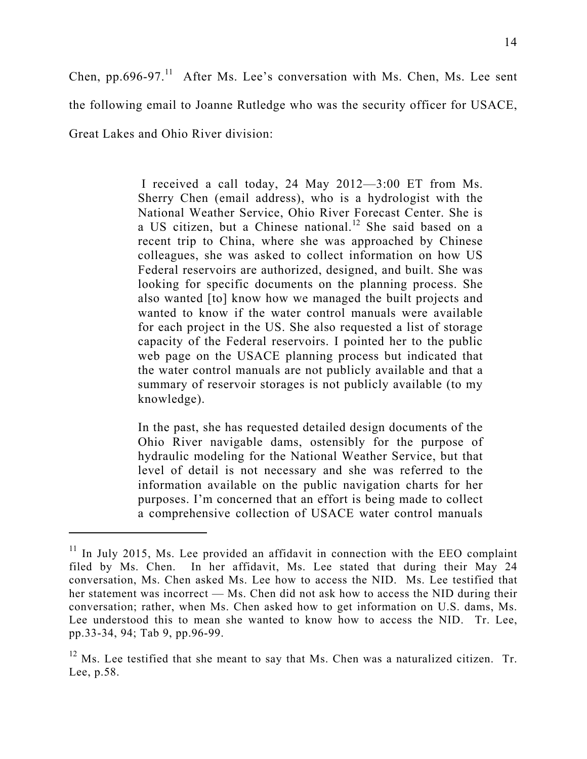Chen, pp.696-97. $^{11}$  After Ms. Lee's conversation with Ms. Chen, Ms. Lee sent

the following email to Joanne Rutledge who was the security officer for USACE,

Great Lakes and Ohio River division:

 $\overline{a}$ 

 I received a call today, 24 May 2012—3:00 ET from Ms. Sherry Chen (email address), who is a hydrologist with the National Weather Service, Ohio River Forecast Center. She is a US citizen, but a Chinese national.<sup>12</sup> She said based on a recent trip to China, where she was approached by Chinese colleagues, she was asked to collect information on how US Federal reservoirs are authorized, designed, and built. She was looking for specific documents on the planning process. She also wanted [to] know how we managed the built projects and wanted to know if the water control manuals were available for each project in the US. She also requested a list of storage capacity of the Federal reservoirs. I pointed her to the public web page on the USACE planning process but indicated that the water control manuals are not publicly available and that a summary of reservoir storages is not publicly available (to my knowledge).

In the past, she has requested detailed design documents of the Ohio River navigable dams, ostensibly for the purpose of hydraulic modeling for the National Weather Service, but that level of detail is not necessary and she was referred to the information available on the public navigation charts for her purposes. I'm concerned that an effort is being made to collect a comprehensive collection of USACE water control manuals

 $11$  In July 2015, Ms. Lee provided an affidavit in connection with the EEO complaint filed by Ms. Chen. In her affidavit, Ms. Lee stated that during their May 24 conversation, Ms. Chen asked Ms. Lee how to access the NID. Ms. Lee testified that her statement was incorrect — Ms. Chen did not ask how to access the NID during their conversation; rather, when Ms. Chen asked how to get information on U.S. dams, Ms. Lee understood this to mean she wanted to know how to access the NID. Tr. Lee, pp.33-34, 94; Tab 9, pp.96-99.

 $12$  Ms. Lee testified that she meant to say that Ms. Chen was a naturalized citizen. Tr. Lee, p.58.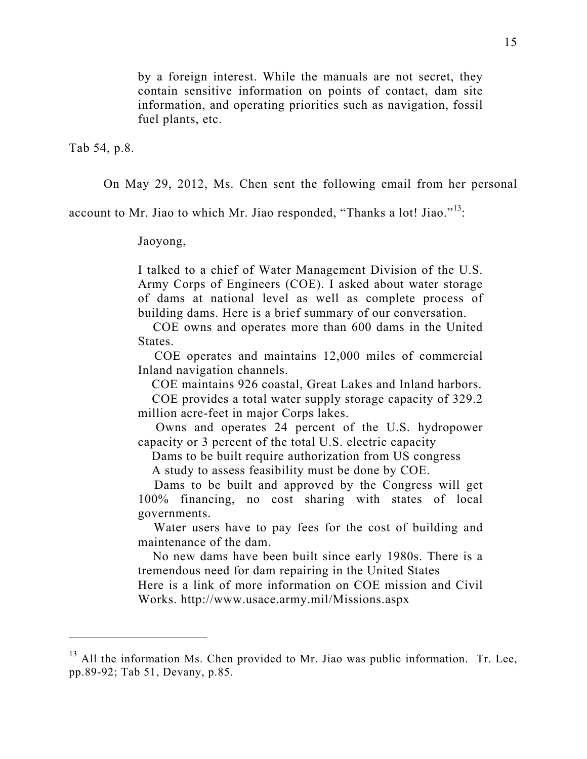by a foreign interest. While the manuals are not secret, they contain sensitive information on points of contact, dam site information, and operating priorities such as navigation, fossil fuel plants, etc.

Tab 54, p.8.

 $\overline{a}$ 

On May 29, 2012, Ms. Chen sent the following email from her personal

account to Mr. Jiao to which Mr. Jiao responded, "Thanks a lot! Jiao."13:

Jaoyong,

I talked to a chief of Water Management Division of the U.S. Army Corps of Engineers (COE). I asked about water storage of dams at national level as well as complete process of building dams. Here is a brief summary of our conversation.

 COE owns and operates more than 600 dams in the United States.

 COE operates and maintains 12,000 miles of commercial Inland navigation channels.

COE maintains 926 coastal, Great Lakes and Inland harbors.

 COE provides a total water supply storage capacity of 329.2 million acre-feet in major Corps lakes.

 Owns and operates 24 percent of the U.S. hydropower capacity or 3 percent of the total U.S. electric capacity

Dams to be built require authorization from US congress

A study to assess feasibility must be done by COE.

 Dams to be built and approved by the Congress will get 100% financing, no cost sharing with states of local governments.

 Water users have to pay fees for the cost of building and maintenance of the dam.

 No new dams have been built since early 1980s. There is a tremendous need for dam repairing in the United States Here is a link of more information on COE mission and Civil

Works. http://www.usace.army.mil/Missions.aspx

 $13$  All the information Ms. Chen provided to Mr. Jiao was public information. Tr. Lee, pp.89-92; Tab 51, Devany, p.85.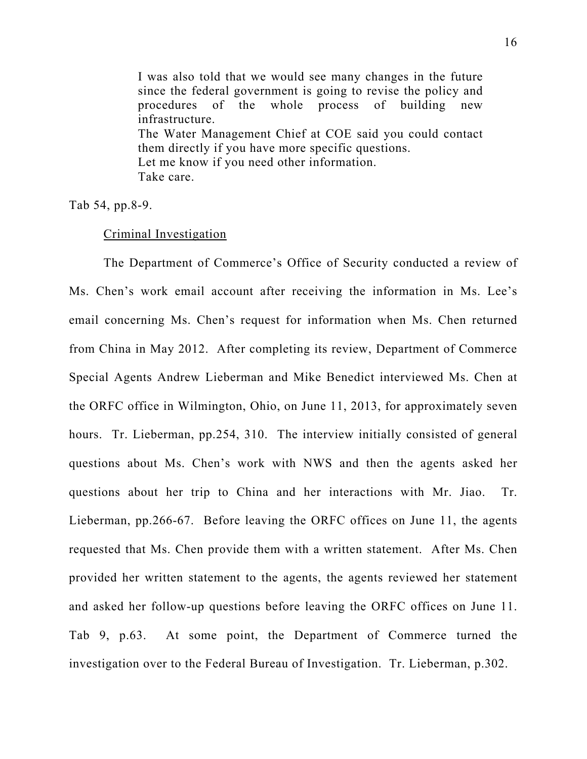I was also told that we would see many changes in the future since the federal government is going to revise the policy and procedures of the whole process of building new infrastructure. The Water Management Chief at COE said you could contact them directly if you have more specific questions. Let me know if you need other information. Take care.

Tab 54, pp.8-9.

## Criminal Investigation

The Department of Commerce's Office of Security conducted a review of Ms. Chen's work email account after receiving the information in Ms. Lee's email concerning Ms. Chen's request for information when Ms. Chen returned from China in May 2012. After completing its review, Department of Commerce Special Agents Andrew Lieberman and Mike Benedict interviewed Ms. Chen at the ORFC office in Wilmington, Ohio, on June 11, 2013, for approximately seven hours. Tr. Lieberman, pp.254, 310. The interview initially consisted of general questions about Ms. Chen's work with NWS and then the agents asked her questions about her trip to China and her interactions with Mr. Jiao. Tr. Lieberman, pp.266-67. Before leaving the ORFC offices on June 11, the agents requested that Ms. Chen provide them with a written statement. After Ms. Chen provided her written statement to the agents, the agents reviewed her statement and asked her follow-up questions before leaving the ORFC offices on June 11. Tab 9, p.63. At some point, the Department of Commerce turned the investigation over to the Federal Bureau of Investigation. Tr. Lieberman, p.302.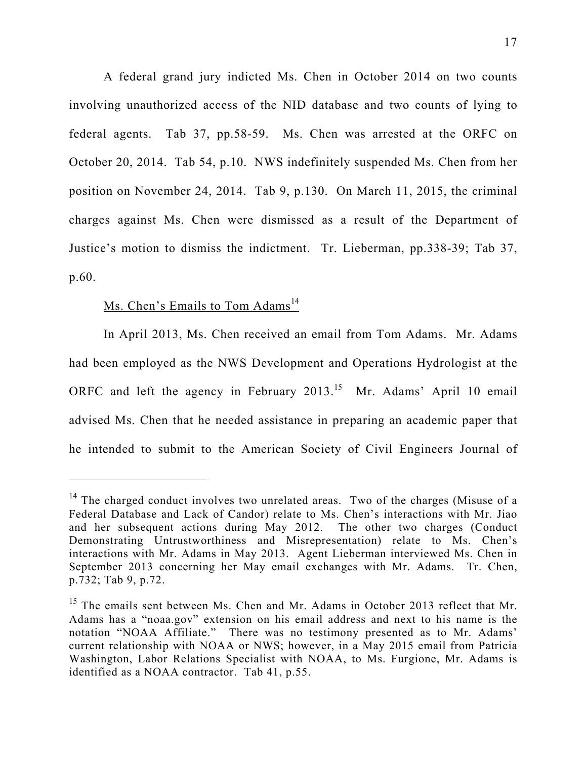A federal grand jury indicted Ms. Chen in October 2014 on two counts involving unauthorized access of the NID database and two counts of lying to federal agents. Tab 37, pp.58-59. Ms. Chen was arrested at the ORFC on October 20, 2014. Tab 54, p.10. NWS indefinitely suspended Ms. Chen from her position on November 24, 2014. Tab 9, p.130. On March 11, 2015, the criminal charges against Ms. Chen were dismissed as a result of the Department of Justice's motion to dismiss the indictment. Tr. Lieberman, pp.338-39; Tab 37, p.60.

## Ms. Chen's Emails to Tom Adams<sup>14</sup>

 In April 2013, Ms. Chen received an email from Tom Adams. Mr. Adams had been employed as the NWS Development and Operations Hydrologist at the ORFC and left the agency in February 2013.<sup>15</sup> Mr. Adams' April 10 email advised Ms. Chen that he needed assistance in preparing an academic paper that he intended to submit to the American Society of Civil Engineers Journal of

<sup>&</sup>lt;sup>14</sup> The charged conduct involves two unrelated areas. Two of the charges (Misuse of a Federal Database and Lack of Candor) relate to Ms. Chen's interactions with Mr. Jiao and her subsequent actions during May 2012. The other two charges (Conduct Demonstrating Untrustworthiness and Misrepresentation) relate to Ms. Chen's interactions with Mr. Adams in May 2013. Agent Lieberman interviewed Ms. Chen in September 2013 concerning her May email exchanges with Mr. Adams. Tr. Chen, p.732; Tab 9, p.72.

<sup>&</sup>lt;sup>15</sup> The emails sent between Ms. Chen and Mr. Adams in October 2013 reflect that Mr. Adams has a "noaa.gov" extension on his email address and next to his name is the notation "NOAA Affiliate." There was no testimony presented as to Mr. Adams' current relationship with NOAA or NWS; however, in a May 2015 email from Patricia Washington, Labor Relations Specialist with NOAA, to Ms. Furgione, Mr. Adams is identified as a NOAA contractor. Tab 41, p.55.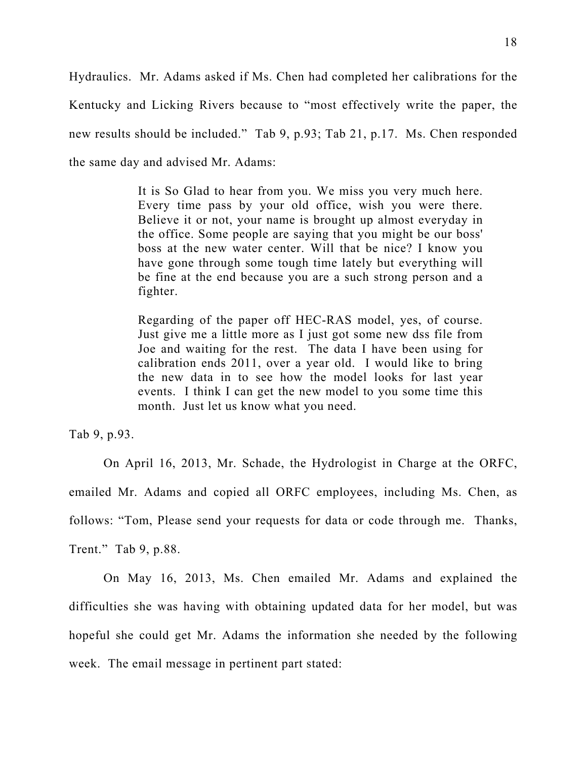Hydraulics. Mr. Adams asked if Ms. Chen had completed her calibrations for the Kentucky and Licking Rivers because to "most effectively write the paper, the new results should be included." Tab 9, p.93; Tab 21, p.17. Ms. Chen responded the same day and advised Mr. Adams:

> It is So Glad to hear from you. We miss you very much here. Every time pass by your old office, wish you were there. Believe it or not, your name is brought up almost everyday in the office. Some people are saying that you might be our boss' boss at the new water center. Will that be nice? I know you have gone through some tough time lately but everything will be fine at the end because you are a such strong person and a fighter.

> Regarding of the paper off HEC-RAS model, yes, of course. Just give me a little more as I just got some new dss file from Joe and waiting for the rest. The data I have been using for calibration ends 2011, over a year old. I would like to bring the new data in to see how the model looks for last year events. I think I can get the new model to you some time this month. Just let us know what you need.

Tab 9, p.93.

On April 16, 2013, Mr. Schade, the Hydrologist in Charge at the ORFC, emailed Mr. Adams and copied all ORFC employees, including Ms. Chen, as follows: "Tom, Please send your requests for data or code through me. Thanks, Trent." Tab 9, p.88.

 On May 16, 2013, Ms. Chen emailed Mr. Adams and explained the difficulties she was having with obtaining updated data for her model, but was hopeful she could get Mr. Adams the information she needed by the following week. The email message in pertinent part stated: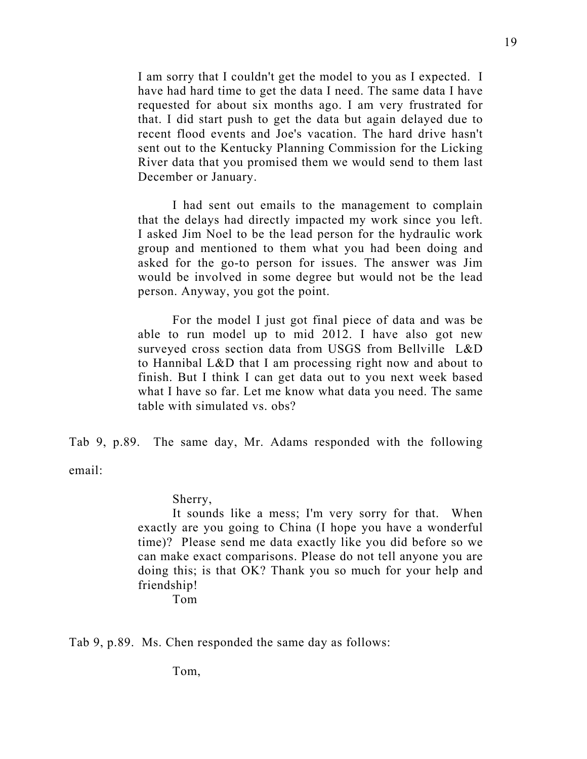I am sorry that I couldn't get the model to you as I expected. I have had hard time to get the data I need. The same data I have requested for about six months ago. I am very frustrated for that. I did start push to get the data but again delayed due to recent flood events and Joe's vacation. The hard drive hasn't sent out to the Kentucky Planning Commission for the Licking River data that you promised them we would send to them last December or January.

I had sent out emails to the management to complain that the delays had directly impacted my work since you left. I asked Jim Noel to be the lead person for the hydraulic work group and mentioned to them what you had been doing and asked for the go-to person for issues. The answer was Jim would be involved in some degree but would not be the lead person. Anyway, you got the point.

For the model I just got final piece of data and was be able to run model up to mid 2012. I have also got new surveyed cross section data from USGS from Bellville L&D to Hannibal L&D that I am processing right now and about to finish. But I think I can get data out to you next week based what I have so far. Let me know what data you need. The same table with simulated vs. obs?

Tab 9, p.89. The same day, Mr. Adams responded with the following email:

Sherry,

It sounds like a mess; I'm very sorry for that. When exactly are you going to China (I hope you have a wonderful time)? Please send me data exactly like you did before so we can make exact comparisons. Please do not tell anyone you are doing this; is that OK? Thank you so much for your help and friendship!

Tom

Tab 9, p.89. Ms. Chen responded the same day as follows:

Tom,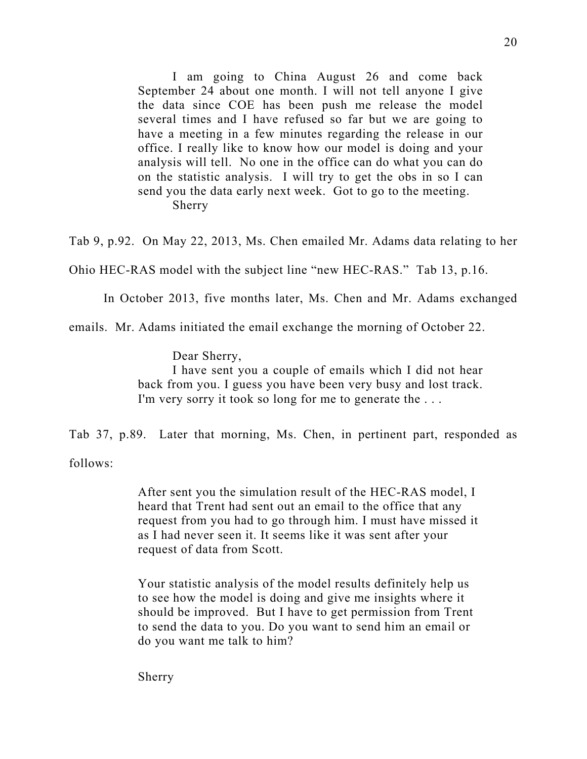I am going to China August 26 and come back September 24 about one month. I will not tell anyone I give the data since COE has been push me release the model several times and I have refused so far but we are going to have a meeting in a few minutes regarding the release in our office. I really like to know how our model is doing and your analysis will tell. No one in the office can do what you can do on the statistic analysis. I will try to get the obs in so I can send you the data early next week. Got to go to the meeting. Sherry

Tab 9, p.92. On May 22, 2013, Ms. Chen emailed Mr. Adams data relating to her

Ohio HEC-RAS model with the subject line "new HEC-RAS." Tab 13, p.16.

In October 2013, five months later, Ms. Chen and Mr. Adams exchanged

emails. Mr. Adams initiated the email exchange the morning of October 22.

Dear Sherry,

I have sent you a couple of emails which I did not hear back from you. I guess you have been very busy and lost track. I'm very sorry it took so long for me to generate the . . .

Tab 37, p.89. Later that morning, Ms. Chen, in pertinent part, responded as

follows:

After sent you the simulation result of the HEC-RAS model, I heard that Trent had sent out an email to the office that any request from you had to go through him. I must have missed it as I had never seen it. It seems like it was sent after your request of data from Scott.

Your statistic analysis of the model results definitely help us to see how the model is doing and give me insights where it should be improved. But I have to get permission from Trent to send the data to you. Do you want to send him an email or do you want me talk to him?

Sherry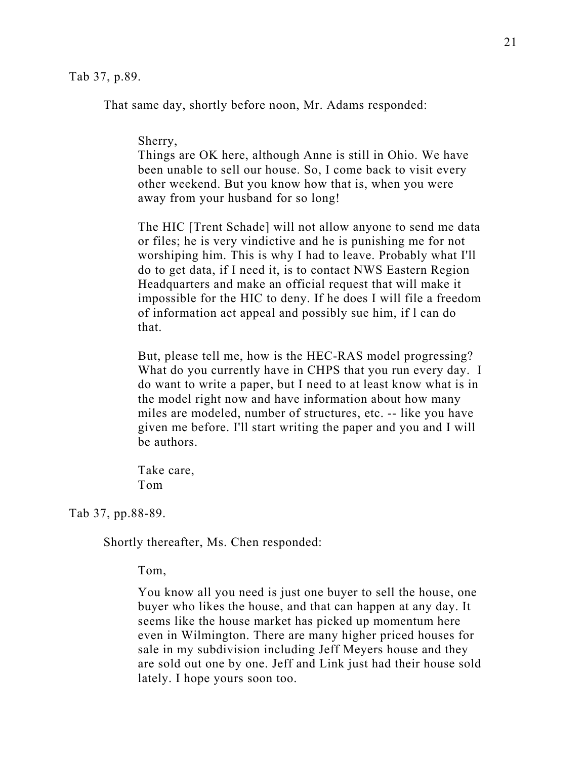Tab 37, p.89.

That same day, shortly before noon, Mr. Adams responded:

#### Sherry,

Things are OK here, although Anne is still in Ohio. We have been unable to sell our house. So, I come back to visit every other weekend. But you know how that is, when you were away from your husband for so long!

The HIC [Trent Schade] will not allow anyone to send me data or files; he is very vindictive and he is punishing me for not worshiping him. This is why I had to leave. Probably what I'll do to get data, if I need it, is to contact NWS Eastern Region Headquarters and make an official request that will make it impossible for the HIC to deny. If he does I will file a freedom of information act appeal and possibly sue him, if l can do that.

But, please tell me, how is the HEC-RAS model progressing? What do you currently have in CHPS that you run every day. I do want to write a paper, but I need to at least know what is in the model right now and have information about how many miles are modeled, number of structures, etc. -- like you have given me before. I'll start writing the paper and you and I will be authors.

Take care, Tom

Tab 37, pp.88-89.

Shortly thereafter, Ms. Chen responded:

Tom,

You know all you need is just one buyer to sell the house, one buyer who likes the house, and that can happen at any day. It seems like the house market has picked up momentum here even in Wilmington. There are many higher priced houses for sale in my subdivision including Jeff Meyers house and they are sold out one by one. Jeff and Link just had their house sold lately. I hope yours soon too.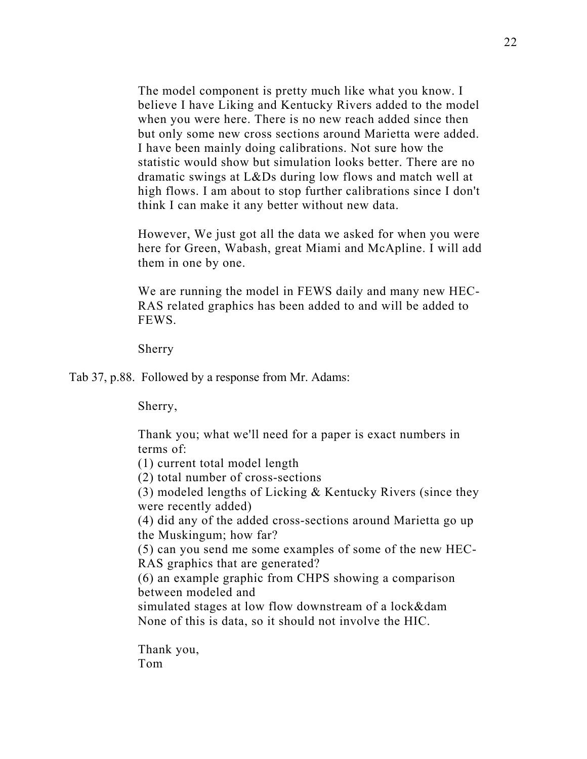The model component is pretty much like what you know. I believe I have Liking and Kentucky Rivers added to the model when you were here. There is no new reach added since then but only some new cross sections around Marietta were added. I have been mainly doing calibrations. Not sure how the statistic would show but simulation looks better. There are no dramatic swings at L&Ds during low flows and match well at high flows. I am about to stop further calibrations since I don't think I can make it any better without new data.

However, We just got all the data we asked for when you were here for Green, Wabash, great Miami and McApline. I will add them in one by one.

We are running the model in FEWS daily and many new HEC-RAS related graphics has been added to and will be added to FEWS.

Sherry

Tab 37, p.88. Followed by a response from Mr. Adams:

Sherry,

Thank you; what we'll need for a paper is exact numbers in terms of:

(1) current total model length

(2) total number of cross-sections

(3) modeled lengths of Licking & Kentucky Rivers (since they were recently added)

(4) did any of the added cross-sections around Marietta go up the Muskingum; how far?

(5) can you send me some examples of some of the new HEC-RAS graphics that are generated?

(6) an example graphic from CHPS showing a comparison between modeled and

simulated stages at low flow downstream of a lock&dam None of this is data, so it should not involve the HIC.

Thank you, Tom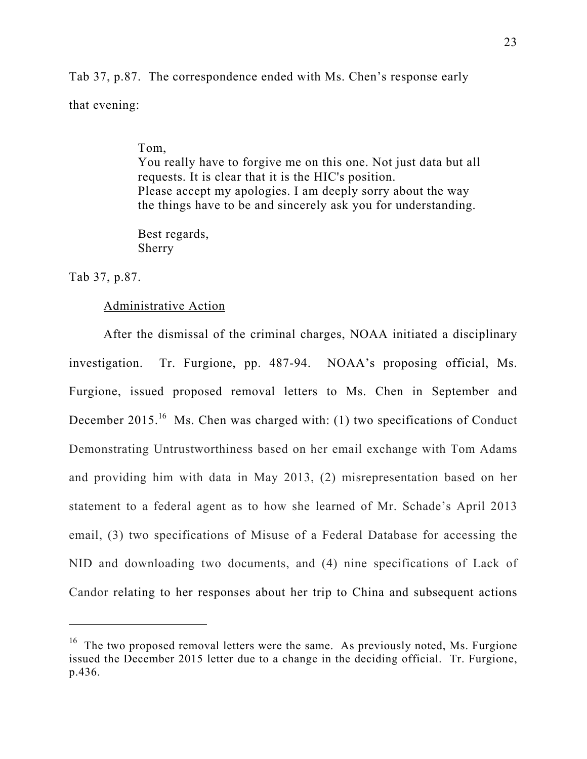Tab 37, p.87. The correspondence ended with Ms. Chen's response early that evening:

#### Tom,

You really have to forgive me on this one. Not just data but all requests. It is clear that it is the HIC's position. Please accept my apologies. I am deeply sorry about the way the things have to be and sincerely ask you for understanding.

Best regards, Sherry

Tab 37, p.87.

 $\overline{a}$ 

## Administrative Action

 After the dismissal of the criminal charges, NOAA initiated a disciplinary investigation. Tr. Furgione, pp. 487-94. NOAA's proposing official, Ms. Furgione, issued proposed removal letters to Ms. Chen in September and December 2015.<sup>16</sup> Ms. Chen was charged with: (1) two specifications of Conduct Demonstrating Untrustworthiness based on her email exchange with Tom Adams and providing him with data in May 2013, (2) misrepresentation based on her statement to a federal agent as to how she learned of Mr. Schade's April 2013 email, (3) two specifications of Misuse of a Federal Database for accessing the NID and downloading two documents, and (4) nine specifications of Lack of Candor relating to her responses about her trip to China and subsequent actions

 $16$  The two proposed removal letters were the same. As previously noted, Ms. Furgione issued the December 2015 letter due to a change in the deciding official. Tr. Furgione, p.436.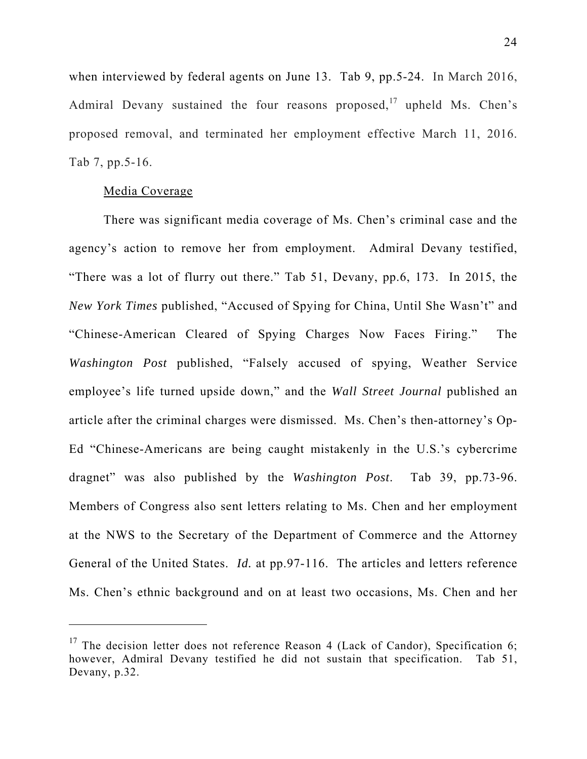when interviewed by federal agents on June 13. Tab 9, pp.5-24. In March 2016, Admiral Devany sustained the four reasons proposed, $17$  upheld Ms. Chen's proposed removal, and terminated her employment effective March 11, 2016. Tab 7, pp.5-16.

### Media Coverage

 There was significant media coverage of Ms. Chen's criminal case and the agency's action to remove her from employment. Admiral Devany testified, "There was a lot of flurry out there." Tab 51, Devany, pp.6, 173. In 2015, the *New York Times* published, "Accused of Spying for China, Until She Wasn't" and "Chinese-American Cleared of Spying Charges Now Faces Firing." The *Washington Post* published, "Falsely accused of spying, Weather Service employee's life turned upside down," and the *Wall Street Journal* published an article after the criminal charges were dismissed. Ms. Chen's then-attorney's Op-Ed "Chinese-Americans are being caught mistakenly in the U.S.'s cybercrime dragnet" was also published by the *Washington Post*. Tab 39, pp.73-96. Members of Congress also sent letters relating to Ms. Chen and her employment at the NWS to the Secretary of the Department of Commerce and the Attorney General of the United States. *Id.* at pp.97-116. The articles and letters reference Ms. Chen's ethnic background and on at least two occasions, Ms. Chen and her

<sup>&</sup>lt;sup>17</sup> The decision letter does not reference Reason 4 (Lack of Candor), Specification 6; however, Admiral Devany testified he did not sustain that specification. Tab 51, Devany, p.32.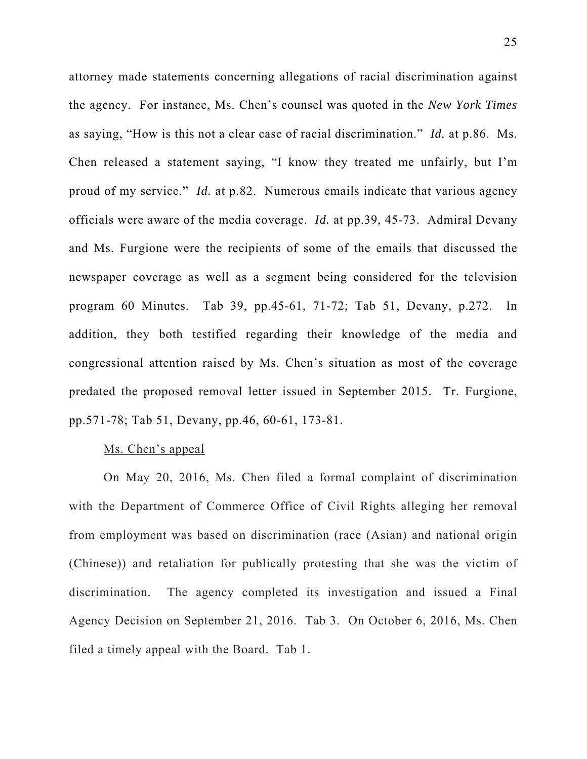attorney made statements concerning allegations of racial discrimination against the agency. For instance, Ms. Chen's counsel was quoted in the *New York Times* as saying, "How is this not a clear case of racial discrimination." *Id.* at p.86. Ms. Chen released a statement saying, "I know they treated me unfairly, but I'm proud of my service." *Id.* at p.82. Numerous emails indicate that various agency officials were aware of the media coverage. *Id.* at pp.39, 45-73. Admiral Devany and Ms. Furgione were the recipients of some of the emails that discussed the newspaper coverage as well as a segment being considered for the television program 60 Minutes. Tab 39, pp.45-61, 71-72; Tab 51, Devany, p.272. In addition, they both testified regarding their knowledge of the media and congressional attention raised by Ms. Chen's situation as most of the coverage predated the proposed removal letter issued in September 2015. Tr. Furgione, pp.571-78; Tab 51, Devany, pp.46, 60-61, 173-81.

## Ms. Chen's appeal

On May 20, 2016, Ms. Chen filed a formal complaint of discrimination with the Department of Commerce Office of Civil Rights alleging her removal from employment was based on discrimination (race (Asian) and national origin (Chinese)) and retaliation for publically protesting that she was the victim of discrimination. The agency completed its investigation and issued a Final Agency Decision on September 21, 2016. Tab 3. On October 6, 2016, Ms. Chen filed a timely appeal with the Board. Tab 1.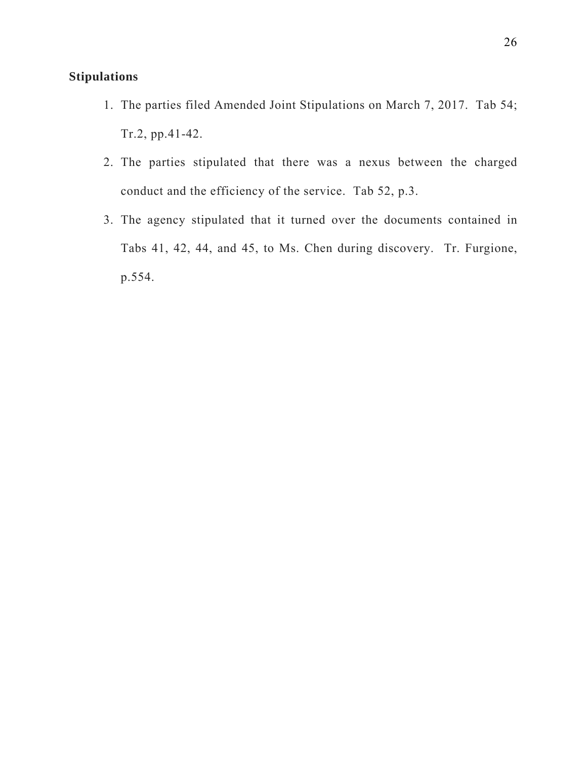# **Stipulations**

- 1. The parties filed Amended Joint Stipulations on March 7, 2017. Tab 54; Tr.2, pp.41-42.
- 2. The parties stipulated that there was a nexus between the charged conduct and the efficiency of the service. Tab 52, p.3.
- 3. The agency stipulated that it turned over the documents contained in Tabs 41, 42, 44, and 45, to Ms. Chen during discovery. Tr. Furgione, p.554.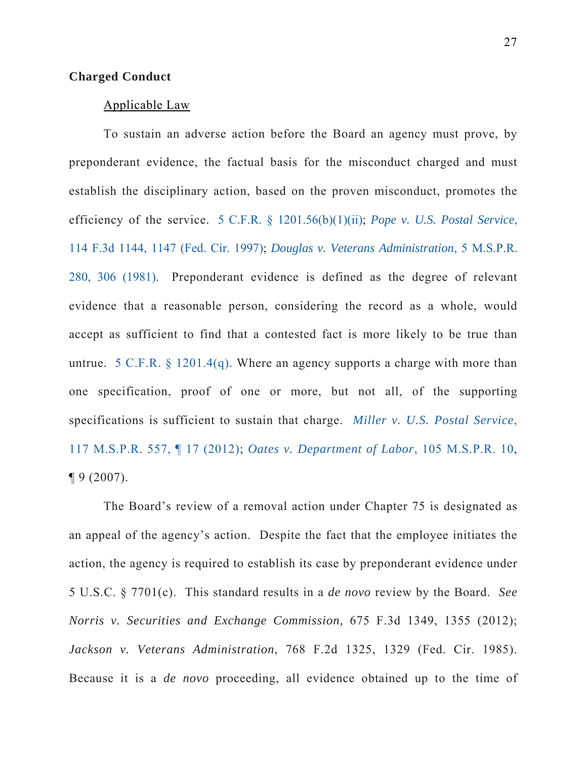## **Charged Conduct**

## Applicable Law

To sustain an adverse action before the Board an agency must prove, by preponderant evidence, the factual basis for the misconduct charged and must establish the disciplinary action, based on the proven misconduct, promotes the efficiency of the service. 5 C.F.R. § 1201.56(b)(1)(ii); *Pope v. U.S. Postal Service*, 114 F.3d 1144, 1147 (Fed. Cir. 1997); *Douglas v. Veterans Administration*, 5 M.S.P.R. 280, 306 (1981). Preponderant evidence is defined as the degree of relevant evidence that a reasonable person, considering the record as a whole, would accept as sufficient to find that a contested fact is more likely to be true than untrue. 5 C.F.R. § 1201.4(q). Where an agency supports a charge with more than one specification, proof of one or more, but not all, of the supporting specifications is sufficient to sustain that charge. *Miller v. U.S. Postal Service*, 117 M.S.P.R. 557, ¶ 17 (2012); *Oates v. Department of Labor*, 105 M.S.P.R. 10,  $\P 9(2007)$ .

The Board's review of a removal action under Chapter 75 is designated as an appeal of the agency's action. Despite the fact that the employee initiates the action, the agency is required to establish its case by preponderant evidence under 5 U.S.C. § 7701(c). This standard results in a *de novo* review by the Board. *See Norris v. Securities and Exchange Commission,* 675 F.3d 1349, 1355 (2012); *Jackson v. Veterans Administration*, 768 F.2d 1325, 1329 (Fed. Cir. 1985). Because it is a *de novo* proceeding, all evidence obtained up to the time of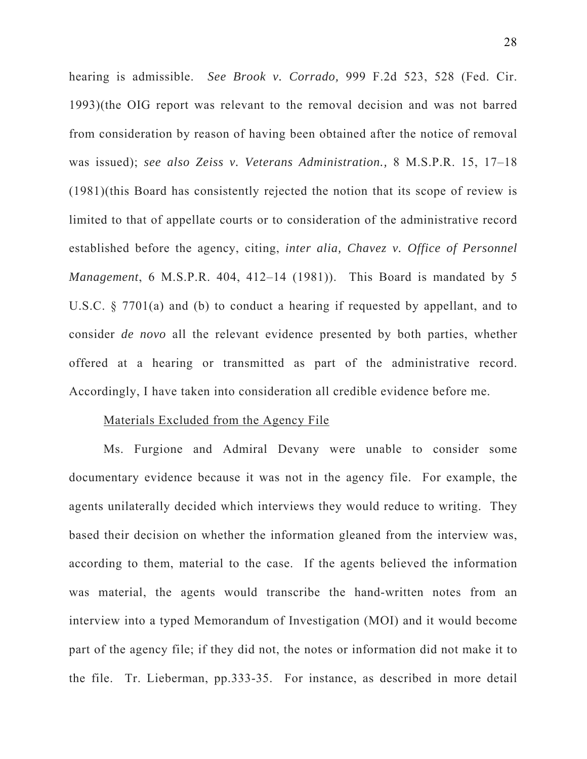hearing is admissible. *See Brook v. Corrado,* 999 F.2d 523, 528 (Fed. Cir. 1993)(the OIG report was relevant to the removal decision and was not barred from consideration by reason of having been obtained after the notice of removal was issued); *see also Zeiss v. Veterans Administration.,* 8 M.S.P.R. 15, 17–18 (1981)(this Board has consistently rejected the notion that its scope of review is limited to that of appellate courts or to consideration of the administrative record established before the agency, citing, *inter alia, Chavez v. Office of Personnel Management*, 6 M.S.P.R. 404, 412–14 (1981)). This Board is mandated by 5 U.S.C. § 7701(a) and (b) to conduct a hearing if requested by appellant, and to consider *de novo* all the relevant evidence presented by both parties, whether offered at a hearing or transmitted as part of the administrative record. Accordingly, I have taken into consideration all credible evidence before me.

#### Materials Excluded from the Agency File

Ms. Furgione and Admiral Devany were unable to consider some documentary evidence because it was not in the agency file. For example, the agents unilaterally decided which interviews they would reduce to writing. They based their decision on whether the information gleaned from the interview was, according to them, material to the case. If the agents believed the information was material, the agents would transcribe the hand-written notes from an interview into a typed Memorandum of Investigation (MOI) and it would become part of the agency file; if they did not, the notes or information did not make it to the file. Tr. Lieberman, pp.333-35. For instance, as described in more detail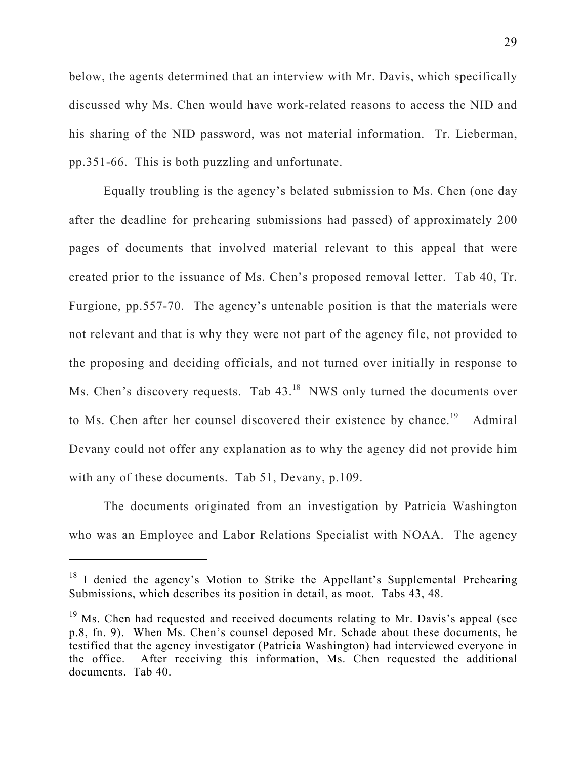below, the agents determined that an interview with Mr. Davis, which specifically discussed why Ms. Chen would have work-related reasons to access the NID and his sharing of the NID password, was not material information. Tr. Lieberman, pp.351-66. This is both puzzling and unfortunate.

Equally troubling is the agency's belated submission to Ms. Chen (one day after the deadline for prehearing submissions had passed) of approximately 200 pages of documents that involved material relevant to this appeal that were created prior to the issuance of Ms. Chen's proposed removal letter. Tab 40, Tr. Furgione, pp.557-70. The agency's untenable position is that the materials were not relevant and that is why they were not part of the agency file, not provided to the proposing and deciding officials, and not turned over initially in response to Ms. Chen's discovery requests. Tab 43.<sup>18</sup> NWS only turned the documents over to Ms. Chen after her counsel discovered their existence by chance.<sup>19</sup> Admiral Devany could not offer any explanation as to why the agency did not provide him with any of these documents. Tab 51, Devany, p.109.

The documents originated from an investigation by Patricia Washington who was an Employee and Labor Relations Specialist with NOAA. The agency

 $18$  I denied the agency's Motion to Strike the Appellant's Supplemental Prehearing Submissions, which describes its position in detail, as moot. Tabs 43, 48.

<sup>&</sup>lt;sup>19</sup> Ms. Chen had requested and received documents relating to Mr. Davis's appeal (see p.8, fn. 9). When Ms. Chen's counsel deposed Mr. Schade about these documents, he testified that the agency investigator (Patricia Washington) had interviewed everyone in the office. After receiving this information, Ms. Chen requested the additional documents. Tab 40.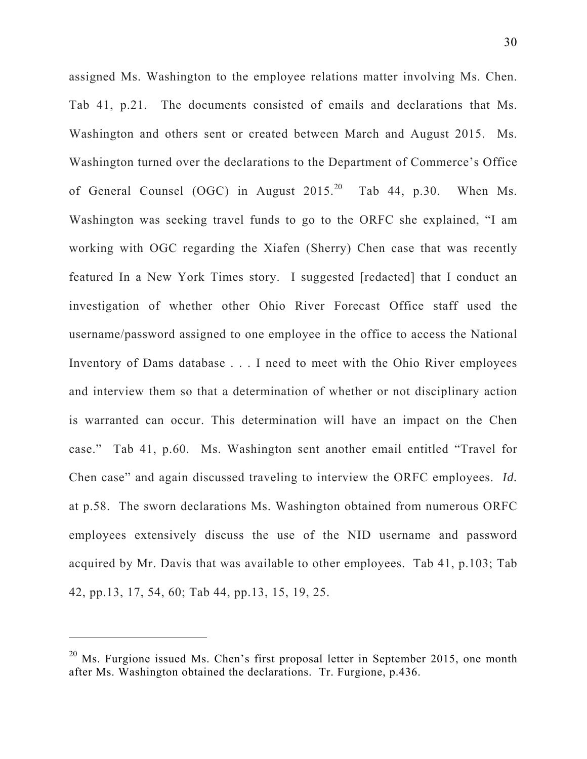assigned Ms. Washington to the employee relations matter involving Ms. Chen. Tab 41, p.21. The documents consisted of emails and declarations that Ms. Washington and others sent or created between March and August 2015. Ms. Washington turned over the declarations to the Department of Commerce's Office of General Counsel (OGC) in August 2015.<sup>20</sup> Tab 44, p.30. When Ms. Washington was seeking travel funds to go to the ORFC she explained, "I am working with OGC regarding the Xiafen (Sherry) Chen case that was recently featured In a New York Times story. I suggested [redacted] that I conduct an investigation of whether other Ohio River Forecast Office staff used the username/password assigned to one employee in the office to access the National Inventory of Dams database . . . I need to meet with the Ohio River employees and interview them so that a determination of whether or not disciplinary action is warranted can occur. This determination will have an impact on the Chen case." Tab 41, p.60. Ms. Washington sent another email entitled "Travel for Chen case" and again discussed traveling to interview the ORFC employees. *Id.*  at p.58. The sworn declarations Ms. Washington obtained from numerous ORFC employees extensively discuss the use of the NID username and password acquired by Mr. Davis that was available to other employees. Tab 41, p.103; Tab 42, pp.13, 17, 54, 60; Tab 44, pp.13, 15, 19, 25.

 $20$  Ms. Furgione issued Ms. Chen's first proposal letter in September 2015, one month after Ms. Washington obtained the declarations. Tr. Furgione, p.436.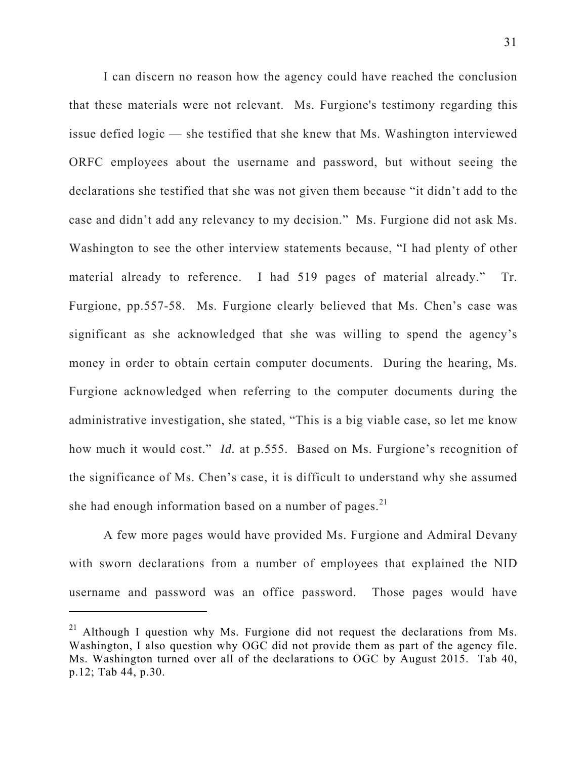I can discern no reason how the agency could have reached the conclusion that these materials were not relevant. Ms. Furgione's testimony regarding this issue defied logic — she testified that she knew that Ms. Washington interviewed ORFC employees about the username and password, but without seeing the declarations she testified that she was not given them because "it didn't add to the case and didn't add any relevancy to my decision." Ms. Furgione did not ask Ms. Washington to see the other interview statements because, "I had plenty of other material already to reference. I had 519 pages of material already." Tr. Furgione, pp.557-58. Ms. Furgione clearly believed that Ms. Chen's case was significant as she acknowledged that she was willing to spend the agency's money in order to obtain certain computer documents. During the hearing, Ms. Furgione acknowledged when referring to the computer documents during the administrative investigation, she stated, "This is a big viable case, so let me know how much it would cost." *Id.* at p.555. Based on Ms. Furgione's recognition of the significance of Ms. Chen's case, it is difficult to understand why she assumed she had enough information based on a number of pages. $^{21}$ 

A few more pages would have provided Ms. Furgione and Admiral Devany with sworn declarations from a number of employees that explained the NID username and password was an office password. Those pages would have

 $\overline{a}$ 

<sup>&</sup>lt;sup>21</sup> Although I question why Ms. Furgione did not request the declarations from Ms. Washington, I also question why OGC did not provide them as part of the agency file. Ms. Washington turned over all of the declarations to OGC by August 2015. Tab 40, p.12; Tab 44, p.30.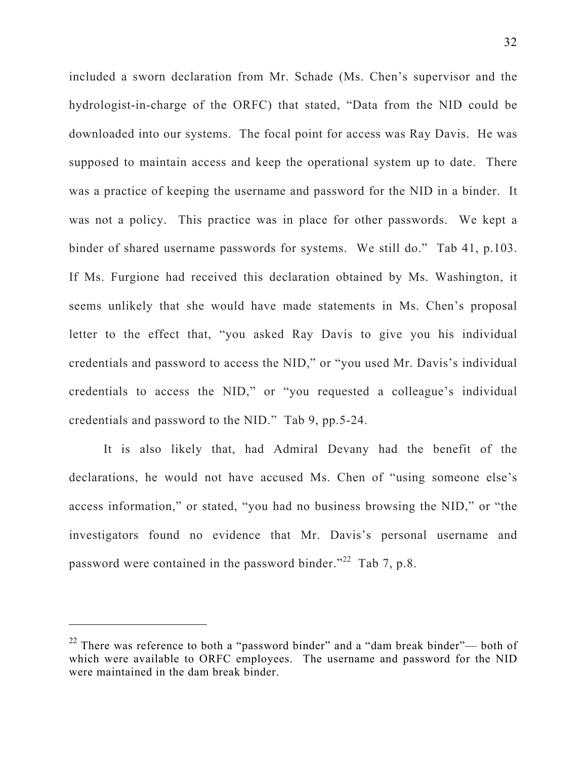included a sworn declaration from Mr. Schade (Ms. Chen's supervisor and the hydrologist-in-charge of the ORFC) that stated, "Data from the NID could be downloaded into our systems. The focal point for access was Ray Davis. He was supposed to maintain access and keep the operational system up to date. There was a practice of keeping the username and password for the NID in a binder. It was not a policy. This practice was in place for other passwords. We kept a binder of shared username passwords for systems. We still do." Tab 41, p.103. If Ms. Furgione had received this declaration obtained by Ms. Washington, it seems unlikely that she would have made statements in Ms. Chen's proposal letter to the effect that, "you asked Ray Davis to give you his individual credentials and password to access the NID," or "you used Mr. Davis's individual credentials to access the NID," or "you requested a colleague's individual credentials and password to the NID." Tab 9, pp.5-24.

It is also likely that, had Admiral Devany had the benefit of the declarations, he would not have accused Ms. Chen of "using someone else's access information," or stated, "you had no business browsing the NID," or "the investigators found no evidence that Mr. Davis's personal username and password were contained in the password binder."<sup>22</sup> Tab 7, p.8.

 $\overline{a}$ 

 $22$  There was reference to both a "password binder" and a "dam break binder"— both of which were available to ORFC employees. The username and password for the NID were maintained in the dam break binder.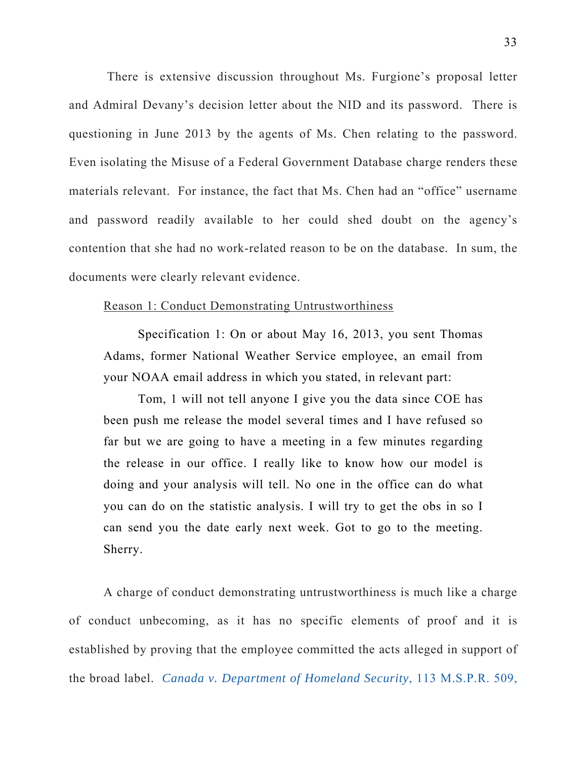There is extensive discussion throughout Ms. Furgione's proposal letter and Admiral Devany's decision letter about the NID and its password. There is questioning in June 2013 by the agents of Ms. Chen relating to the password. Even isolating the Misuse of a Federal Government Database charge renders these materials relevant. For instance, the fact that Ms. Chen had an "office" username and password readily available to her could shed doubt on the agency's contention that she had no work-related reason to be on the database. In sum, the documents were clearly relevant evidence.

### Reason 1: Conduct Demonstrating Untrustworthiness

Specification 1: On or about May 16, 2013, you sent Thomas Adams, former National Weather Service employee, an email from your NOAA email address in which you stated, in relevant part:

Tom, 1 will not tell anyone I give you the data since COE has been push me release the model several times and I have refused so far but we are going to have a meeting in a few minutes regarding the release in our office. I really like to know how our model is doing and your analysis will tell. No one in the office can do what you can do on the statistic analysis. I will try to get the obs in so I can send you the date early next week. Got to go to the meeting. Sherry.

A charge of conduct demonstrating untrustworthiness is much like a charge of conduct unbecoming, as it has no specific elements of proof and it is established by proving that the employee committed the acts alleged in support of the broad label. *Canada v. Department of Homeland Security*, 113 M.S.P.R. 509,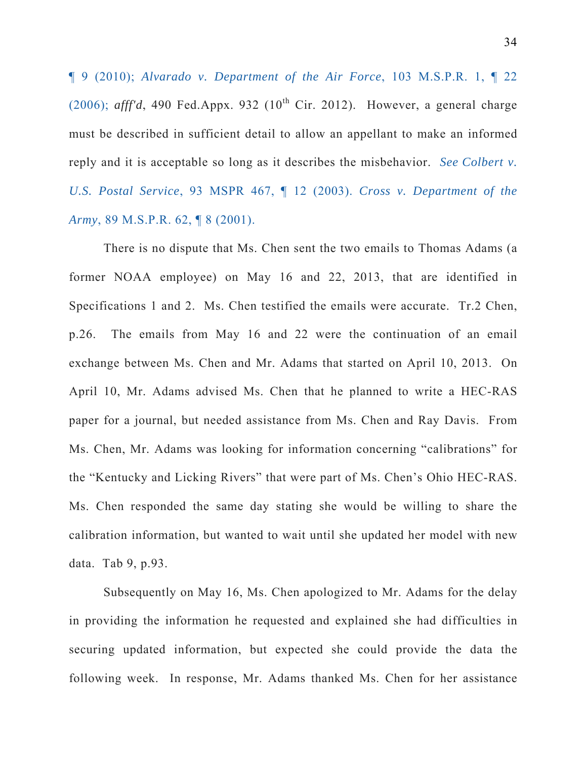¶ 9 (2010); *Alvarado v. Department of the Air Force*, 103 M.S.P.R. 1, ¶ 22 (2006);  $aff'd$ , 490 Fed.Appx. 932 ( $10<sup>th</sup>$  Cir. 2012). However, a general charge must be described in sufficient detail to allow an appellant to make an informed reply and it is acceptable so long as it describes the misbehavior. *See Colbert v. U.S. Postal Service*, 93 MSPR 467, ¶ 12 (2003). *Cross v. Department of the Army*, 89 M.S.P.R. 62, ¶ 8 (2001).

There is no dispute that Ms. Chen sent the two emails to Thomas Adams (a former NOAA employee) on May 16 and 22, 2013, that are identified in Specifications 1 and 2. Ms. Chen testified the emails were accurate. Tr.2 Chen, p.26. The emails from May 16 and 22 were the continuation of an email exchange between Ms. Chen and Mr. Adams that started on April 10, 2013. On April 10, Mr. Adams advised Ms. Chen that he planned to write a HEC-RAS paper for a journal, but needed assistance from Ms. Chen and Ray Davis. From Ms. Chen, Mr. Adams was looking for information concerning "calibrations" for the "Kentucky and Licking Rivers" that were part of Ms. Chen's Ohio HEC-RAS. Ms. Chen responded the same day stating she would be willing to share the calibration information, but wanted to wait until she updated her model with new data. Tab 9, p.93.

Subsequently on May 16, Ms. Chen apologized to Mr. Adams for the delay in providing the information he requested and explained she had difficulties in securing updated information, but expected she could provide the data the following week. In response, Mr. Adams thanked Ms. Chen for her assistance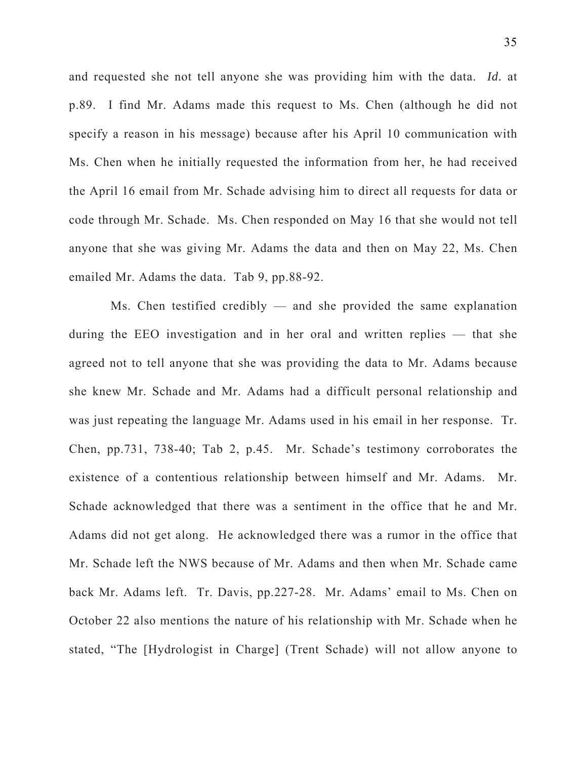and requested she not tell anyone she was providing him with the data. *Id.* at p.89. I find Mr. Adams made this request to Ms. Chen (although he did not specify a reason in his message) because after his April 10 communication with Ms. Chen when he initially requested the information from her, he had received the April 16 email from Mr. Schade advising him to direct all requests for data or code through Mr. Schade. Ms. Chen responded on May 16 that she would not tell anyone that she was giving Mr. Adams the data and then on May 22, Ms. Chen emailed Mr. Adams the data. Tab 9, pp.88-92.

 Ms. Chen testified credibly — and she provided the same explanation during the EEO investigation and in her oral and written replies — that she agreed not to tell anyone that she was providing the data to Mr. Adams because she knew Mr. Schade and Mr. Adams had a difficult personal relationship and was just repeating the language Mr. Adams used in his email in her response. Tr. Chen, pp.731, 738-40; Tab 2, p.45. Mr. Schade's testimony corroborates the existence of a contentious relationship between himself and Mr. Adams. Mr. Schade acknowledged that there was a sentiment in the office that he and Mr. Adams did not get along. He acknowledged there was a rumor in the office that Mr. Schade left the NWS because of Mr. Adams and then when Mr. Schade came back Mr. Adams left. Tr. Davis, pp.227-28. Mr. Adams' email to Ms. Chen on October 22 also mentions the nature of his relationship with Mr. Schade when he stated, "The [Hydrologist in Charge] (Trent Schade) will not allow anyone to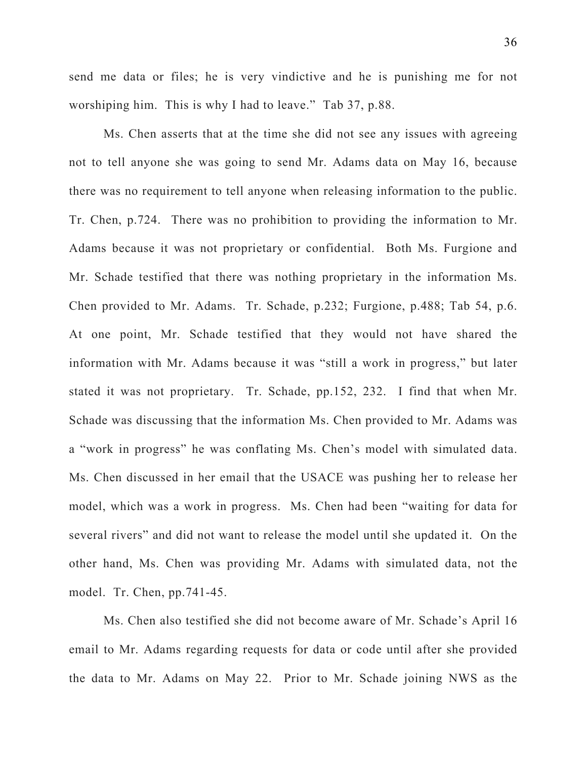send me data or files; he is very vindictive and he is punishing me for not worshiping him. This is why I had to leave." Tab 37, p.88.

Ms. Chen asserts that at the time she did not see any issues with agreeing not to tell anyone she was going to send Mr. Adams data on May 16, because there was no requirement to tell anyone when releasing information to the public. Tr. Chen, p.724. There was no prohibition to providing the information to Mr. Adams because it was not proprietary or confidential. Both Ms. Furgione and Mr. Schade testified that there was nothing proprietary in the information Ms. Chen provided to Mr. Adams. Tr. Schade, p.232; Furgione, p.488; Tab 54, p.6. At one point, Mr. Schade testified that they would not have shared the information with Mr. Adams because it was "still a work in progress," but later stated it was not proprietary. Tr. Schade, pp.152, 232. I find that when Mr. Schade was discussing that the information Ms. Chen provided to Mr. Adams was a "work in progress" he was conflating Ms. Chen's model with simulated data. Ms. Chen discussed in her email that the USACE was pushing her to release her model, which was a work in progress. Ms. Chen had been "waiting for data for several rivers" and did not want to release the model until she updated it. On the other hand, Ms. Chen was providing Mr. Adams with simulated data, not the model. Tr. Chen, pp.741-45.

Ms. Chen also testified she did not become aware of Mr. Schade's April 16 email to Mr. Adams regarding requests for data or code until after she provided the data to Mr. Adams on May 22. Prior to Mr. Schade joining NWS as the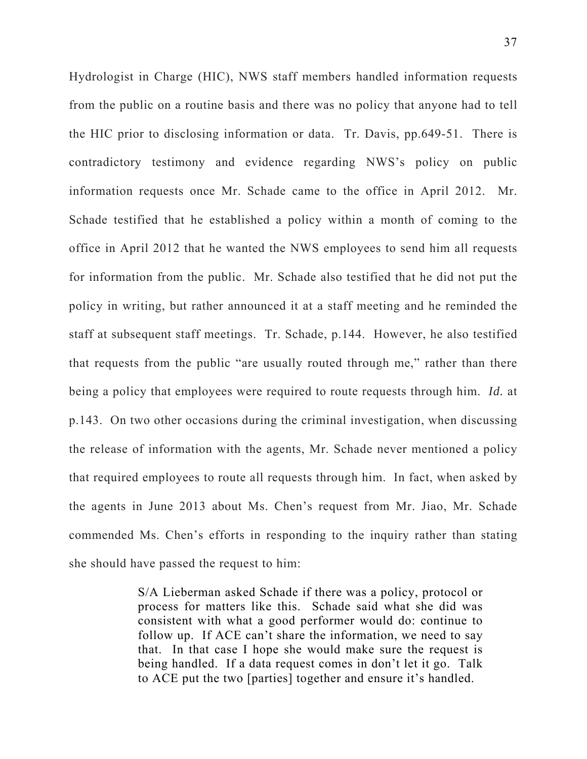Hydrologist in Charge (HIC), NWS staff members handled information requests from the public on a routine basis and there was no policy that anyone had to tell the HIC prior to disclosing information or data. Tr. Davis, pp.649-51. There is contradictory testimony and evidence regarding NWS's policy on public information requests once Mr. Schade came to the office in April 2012. Mr. Schade testified that he established a policy within a month of coming to the office in April 2012 that he wanted the NWS employees to send him all requests for information from the public. Mr. Schade also testified that he did not put the policy in writing, but rather announced it at a staff meeting and he reminded the staff at subsequent staff meetings. Tr. Schade, p.144. However, he also testified that requests from the public "are usually routed through me," rather than there being a policy that employees were required to route requests through him. *Id.* at p.143. On two other occasions during the criminal investigation, when discussing the release of information with the agents, Mr. Schade never mentioned a policy that required employees to route all requests through him. In fact, when asked by the agents in June 2013 about Ms. Chen's request from Mr. Jiao, Mr. Schade commended Ms. Chen's efforts in responding to the inquiry rather than stating she should have passed the request to him:

> S/A Lieberman asked Schade if there was a policy, protocol or process for matters like this. Schade said what she did was consistent with what a good performer would do: continue to follow up. If ACE can't share the information, we need to say that. In that case I hope she would make sure the request is being handled. If a data request comes in don't let it go. Talk to ACE put the two [parties] together and ensure it's handled.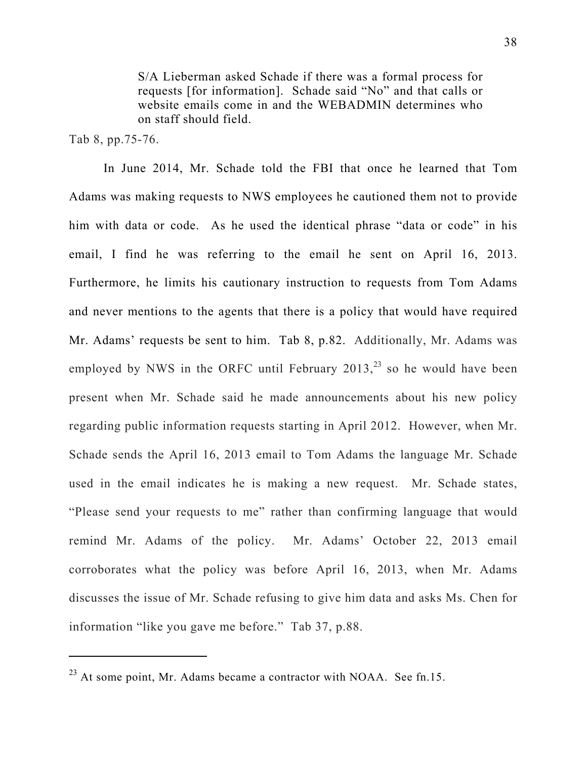S/A Lieberman asked Schade if there was a formal process for requests [for information]. Schade said "No" and that calls or website emails come in and the WEBADMIN determines who on staff should field.

Tab 8, pp.75-76.

In June 2014, Mr. Schade told the FBI that once he learned that Tom Adams was making requests to NWS employees he cautioned them not to provide him with data or code. As he used the identical phrase "data or code" in his email, I find he was referring to the email he sent on April 16, 2013. Furthermore, he limits his cautionary instruction to requests from Tom Adams and never mentions to the agents that there is a policy that would have required Mr. Adams' requests be sent to him. Tab 8, p.82. Additionally, Mr. Adams was employed by NWS in the ORFC until February  $2013$ ,  $^{23}$  so he would have been present when Mr. Schade said he made announcements about his new policy regarding public information requests starting in April 2012. However, when Mr. Schade sends the April 16, 2013 email to Tom Adams the language Mr. Schade used in the email indicates he is making a new request. Mr. Schade states, "Please send your requests to me" rather than confirming language that would remind Mr. Adams of the policy. Mr. Adams' October 22, 2013 email corroborates what the policy was before April 16, 2013, when Mr. Adams discusses the issue of Mr. Schade refusing to give him data and asks Ms. Chen for information "like you gave me before." Tab 37, p.88.

 $^{23}$  At some point, Mr. Adams became a contractor with NOAA. See fn.15.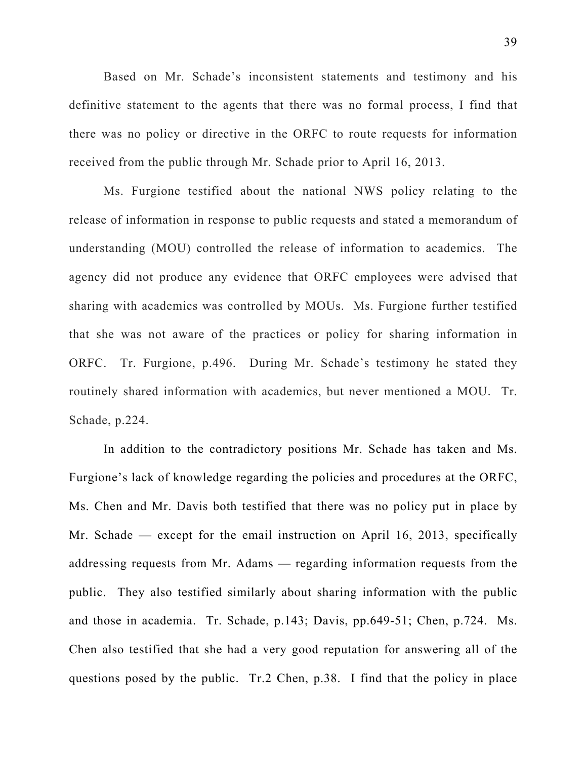Based on Mr. Schade's inconsistent statements and testimony and his definitive statement to the agents that there was no formal process, I find that there was no policy or directive in the ORFC to route requests for information received from the public through Mr. Schade prior to April 16, 2013.

Ms. Furgione testified about the national NWS policy relating to the release of information in response to public requests and stated a memorandum of understanding (MOU) controlled the release of information to academics. The agency did not produce any evidence that ORFC employees were advised that sharing with academics was controlled by MOUs. Ms. Furgione further testified that she was not aware of the practices or policy for sharing information in ORFC. Tr. Furgione, p.496. During Mr. Schade's testimony he stated they routinely shared information with academics, but never mentioned a MOU. Tr. Schade, p.224.

In addition to the contradictory positions Mr. Schade has taken and Ms. Furgione's lack of knowledge regarding the policies and procedures at the ORFC, Ms. Chen and Mr. Davis both testified that there was no policy put in place by Mr. Schade — except for the email instruction on April 16, 2013, specifically addressing requests from Mr. Adams — regarding information requests from the public. They also testified similarly about sharing information with the public and those in academia. Tr. Schade, p.143; Davis, pp.649-51; Chen, p.724. Ms. Chen also testified that she had a very good reputation for answering all of the questions posed by the public. Tr.2 Chen, p.38. I find that the policy in place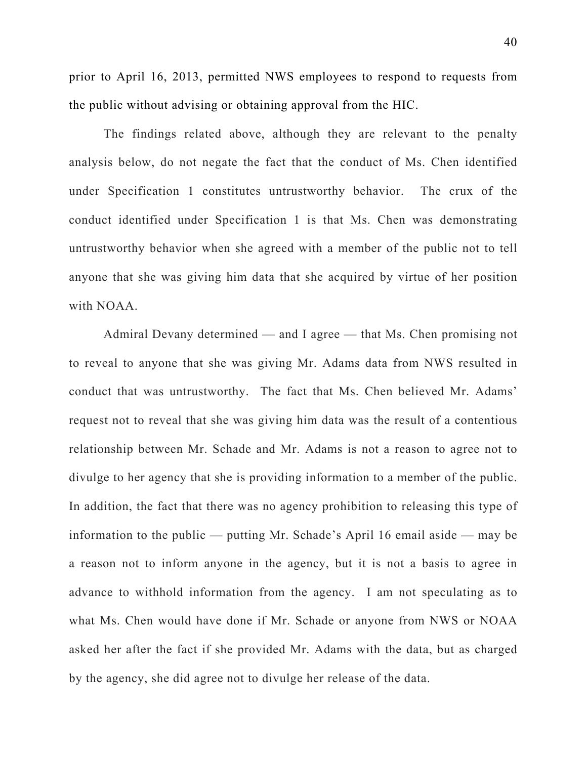prior to April 16, 2013, permitted NWS employees to respond to requests from the public without advising or obtaining approval from the HIC.

The findings related above, although they are relevant to the penalty analysis below, do not negate the fact that the conduct of Ms. Chen identified under Specification 1 constitutes untrustworthy behavior. The crux of the conduct identified under Specification 1 is that Ms. Chen was demonstrating untrustworthy behavior when she agreed with a member of the public not to tell anyone that she was giving him data that she acquired by virtue of her position with NOAA.

Admiral Devany determined — and I agree — that Ms. Chen promising not to reveal to anyone that she was giving Mr. Adams data from NWS resulted in conduct that was untrustworthy. The fact that Ms. Chen believed Mr. Adams' request not to reveal that she was giving him data was the result of a contentious relationship between Mr. Schade and Mr. Adams is not a reason to agree not to divulge to her agency that she is providing information to a member of the public. In addition, the fact that there was no agency prohibition to releasing this type of information to the public — putting Mr. Schade's April 16 email aside — may be a reason not to inform anyone in the agency, but it is not a basis to agree in advance to withhold information from the agency. I am not speculating as to what Ms. Chen would have done if Mr. Schade or anyone from NWS or NOAA asked her after the fact if she provided Mr. Adams with the data, but as charged by the agency, she did agree not to divulge her release of the data.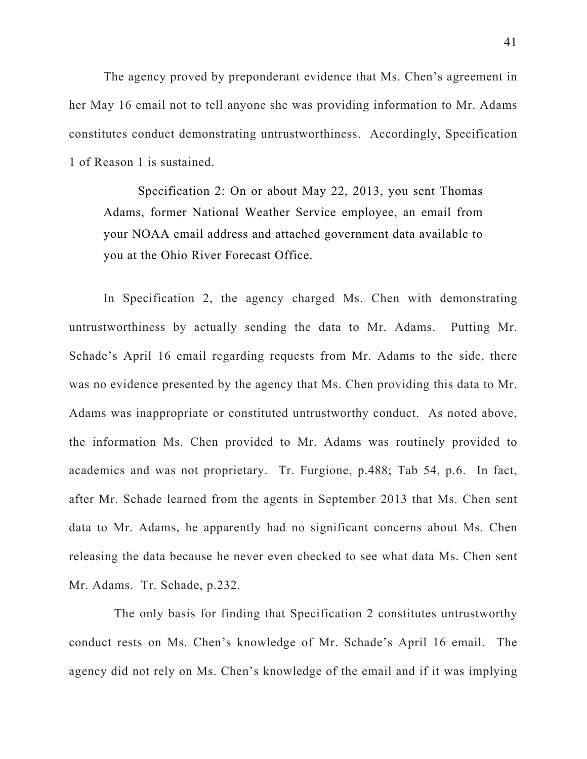The agency proved by preponderant evidence that Ms. Chen's agreement in her May 16 email not to tell anyone she was providing information to Mr. Adams constitutes conduct demonstrating untrustworthiness. Accordingly, Specification 1 of Reason 1 is sustained.

Specification 2: On or about May 22, 2013, you sent Thomas Adams, former National Weather Service employee, an email from your NOAA email address and attached government data available to you at the Ohio River Forecast Office.

In Specification 2, the agency charged Ms. Chen with demonstrating untrustworthiness by actually sending the data to Mr. Adams. Putting Mr. Schade's April 16 email regarding requests from Mr. Adams to the side, there was no evidence presented by the agency that Ms. Chen providing this data to Mr. Adams was inappropriate or constituted untrustworthy conduct. As noted above, the information Ms. Chen provided to Mr. Adams was routinely provided to academics and was not proprietary. Tr. Furgione, p.488; Tab 54, p.6. In fact, after Mr. Schade learned from the agents in September 2013 that Ms. Chen sent data to Mr. Adams, he apparently had no significant concerns about Ms. Chen releasing the data because he never even checked to see what data Ms. Chen sent Mr. Adams. Tr. Schade, p.232.

 The only basis for finding that Specification 2 constitutes untrustworthy conduct rests on Ms. Chen's knowledge of Mr. Schade's April 16 email. The agency did not rely on Ms. Chen's knowledge of the email and if it was implying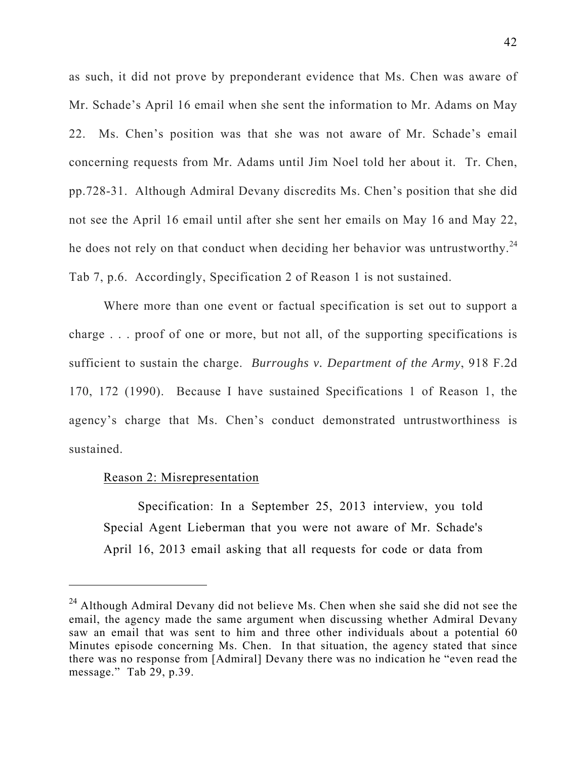as such, it did not prove by preponderant evidence that Ms. Chen was aware of Mr. Schade's April 16 email when she sent the information to Mr. Adams on May 22. Ms. Chen's position was that she was not aware of Mr. Schade's email concerning requests from Mr. Adams until Jim Noel told her about it. Tr. Chen, pp.728-31. Although Admiral Devany discredits Ms. Chen's position that she did not see the April 16 email until after she sent her emails on May 16 and May 22, he does not rely on that conduct when deciding her behavior was untrustworthy.<sup>24</sup> Tab 7, p.6. Accordingly, Specification 2 of Reason 1 is not sustained.

Where more than one event or factual specification is set out to support a charge . . . proof of one or more, but not all, of the supporting specifications is sufficient to sustain the charge. *Burroughs v. Department of the Army*, 918 F.2d 170, 172 (1990). Because I have sustained Specifications 1 of Reason 1, the agency's charge that Ms. Chen's conduct demonstrated untrustworthiness is sustained.

### Reason 2: Misrepresentation

 $\overline{a}$ 

Specification: In a September 25, 2013 interview, you told Special Agent Lieberman that you were not aware of Mr. Schade's April 16, 2013 email asking that all requests for code or data from

<sup>&</sup>lt;sup>24</sup> Although Admiral Devany did not believe Ms. Chen when she said she did not see the email, the agency made the same argument when discussing whether Admiral Devany saw an email that was sent to him and three other individuals about a potential 60 Minutes episode concerning Ms. Chen. In that situation, the agency stated that since there was no response from [Admiral] Devany there was no indication he "even read the message." Tab 29, p.39.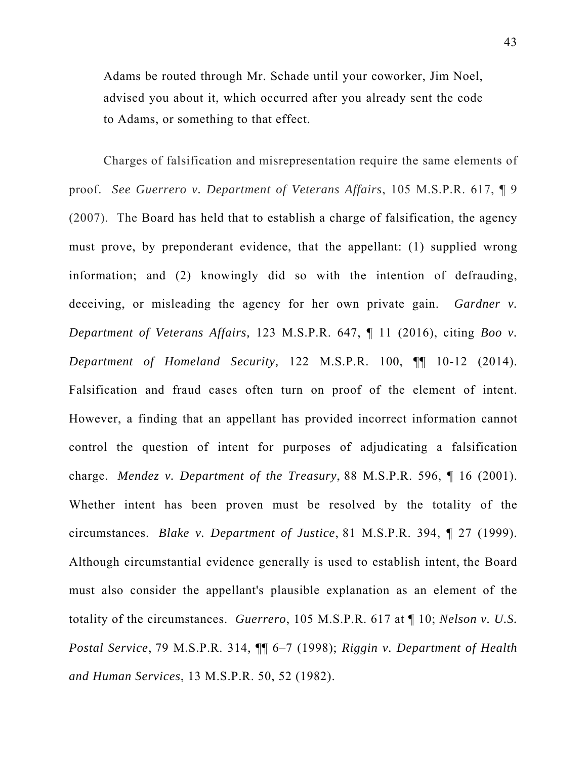Adams be routed through Mr. Schade until your coworker, Jim Noel, advised you about it, which occurred after you already sent the code to Adams, or something to that effect.

Charges of falsification and misrepresentation require the same elements of proof. *See Guerrero v. Department of Veterans Affairs*, 105 M.S.P.R. 617, ¶ 9 (2007). The Board has held that to establish a charge of falsification, the agency must prove, by preponderant evidence, that the appellant: (1) supplied wrong information; and (2) knowingly did so with the intention of defrauding, deceiving, or misleading the agency for her own private gain. *Gardner v. Department of Veterans Affairs,* 123 M.S.P.R. 647, ¶ 11 (2016), citing *Boo v. Department of Homeland Security,* 122 M.S.P.R. 100, ¶¶ 10-12 (2014). Falsification and fraud cases often turn on proof of the element of intent. However, a finding that an appellant has provided incorrect information cannot control the question of intent for purposes of adjudicating a falsification charge. *Mendez v. Department of the Treasury*, 88 M.S.P.R. 596, ¶ 16 (2001). Whether intent has been proven must be resolved by the totality of the circumstances. *Blake v. Department of Justice*, 81 M.S.P.R. 394, ¶ 27 (1999). Although circumstantial evidence generally is used to establish intent, the Board must also consider the appellant's plausible explanation as an element of the totality of the circumstances. *Guerrero*, 105 M.S.P.R. 617 at ¶ 10; *Nelson v. U.S. Postal Service*, 79 M.S.P.R. 314, ¶¶ 6–7 (1998); *Riggin v. Department of Health and Human Services*, 13 M.S.P.R. 50, 52 (1982).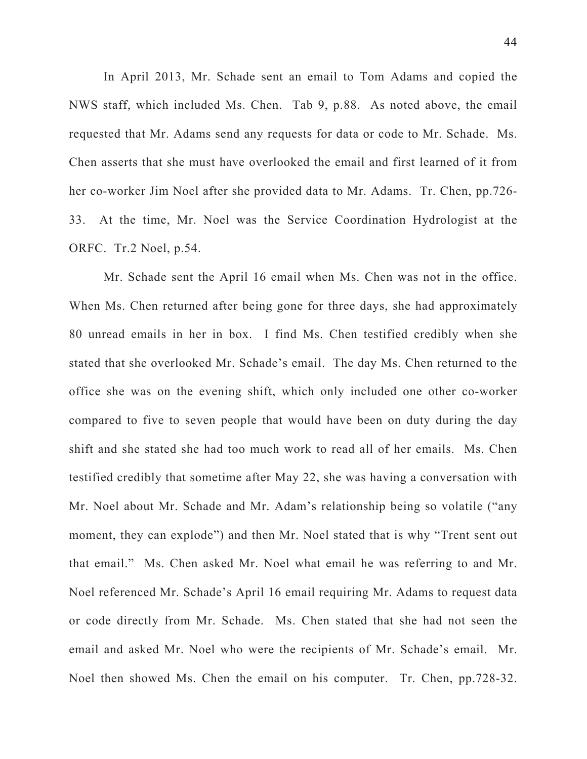In April 2013, Mr. Schade sent an email to Tom Adams and copied the NWS staff, which included Ms. Chen. Tab 9, p.88. As noted above, the email requested that Mr. Adams send any requests for data or code to Mr. Schade. Ms. Chen asserts that she must have overlooked the email and first learned of it from her co-worker Jim Noel after she provided data to Mr. Adams. Tr. Chen, pp.726- 33. At the time, Mr. Noel was the Service Coordination Hydrologist at the ORFC. Tr.2 Noel, p.54.

Mr. Schade sent the April 16 email when Ms. Chen was not in the office. When Ms. Chen returned after being gone for three days, she had approximately 80 unread emails in her in box. I find Ms. Chen testified credibly when she stated that she overlooked Mr. Schade's email. The day Ms. Chen returned to the office she was on the evening shift, which only included one other co-worker compared to five to seven people that would have been on duty during the day shift and she stated she had too much work to read all of her emails. Ms. Chen testified credibly that sometime after May 22, she was having a conversation with Mr. Noel about Mr. Schade and Mr. Adam's relationship being so volatile ("any moment, they can explode") and then Mr. Noel stated that is why "Trent sent out that email." Ms. Chen asked Mr. Noel what email he was referring to and Mr. Noel referenced Mr. Schade's April 16 email requiring Mr. Adams to request data or code directly from Mr. Schade. Ms. Chen stated that she had not seen the email and asked Mr. Noel who were the recipients of Mr. Schade's email. Mr. Noel then showed Ms. Chen the email on his computer. Tr. Chen, pp.728-32.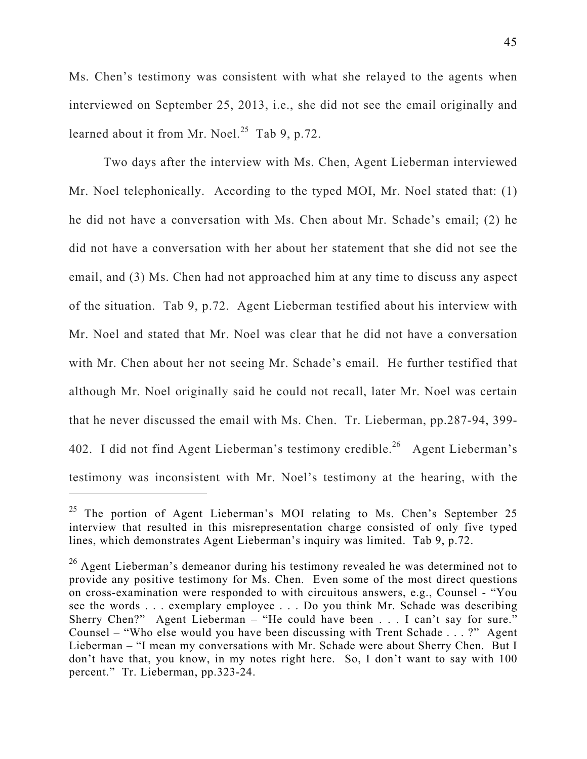Ms. Chen's testimony was consistent with what she relayed to the agents when interviewed on September 25, 2013, i.e., she did not see the email originally and learned about it from Mr. Noel.<sup>25</sup> Tab 9, p.72.

Two days after the interview with Ms. Chen, Agent Lieberman interviewed Mr. Noel telephonically. According to the typed MOI, Mr. Noel stated that: (1) he did not have a conversation with Ms. Chen about Mr. Schade's email; (2) he did not have a conversation with her about her statement that she did not see the email, and (3) Ms. Chen had not approached him at any time to discuss any aspect of the situation. Tab 9, p.72. Agent Lieberman testified about his interview with Mr. Noel and stated that Mr. Noel was clear that he did not have a conversation with Mr. Chen about her not seeing Mr. Schade's email. He further testified that although Mr. Noel originally said he could not recall, later Mr. Noel was certain that he never discussed the email with Ms. Chen. Tr. Lieberman, pp.287-94, 399- 402. I did not find Agent Lieberman's testimony credible.<sup>26</sup> Agent Lieberman's testimony was inconsistent with Mr. Noel's testimony at the hearing, with the  $\overline{a}$ 

<sup>&</sup>lt;sup>25</sup> The portion of Agent Lieberman's MOI relating to Ms. Chen's September 25 interview that resulted in this misrepresentation charge consisted of only five typed lines, which demonstrates Agent Lieberman's inquiry was limited. Tab 9, p.72.

 $26$  Agent Lieberman's demeanor during his testimony revealed he was determined not to provide any positive testimony for Ms. Chen. Even some of the most direct questions on cross-examination were responded to with circuitous answers, e.g., Counsel - "You see the words . . . exemplary employee . . . Do you think Mr. Schade was describing Sherry Chen?" Agent Lieberman – "He could have been . . . I can't say for sure." Counsel – "Who else would you have been discussing with Trent Schade . . . ?" Agent Lieberman – "I mean my conversations with Mr. Schade were about Sherry Chen. But I don't have that, you know, in my notes right here. So, I don't want to say with 100 percent." Tr. Lieberman, pp.323-24.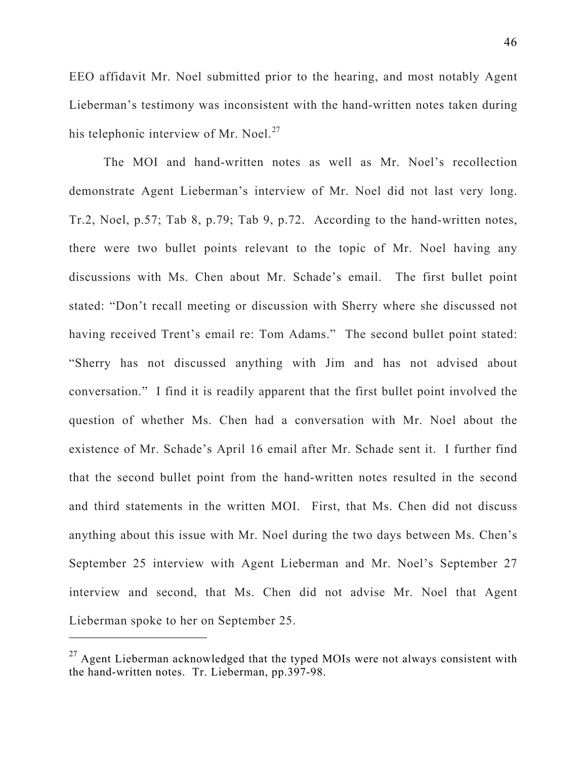EEO affidavit Mr. Noel submitted prior to the hearing, and most notably Agent Lieberman's testimony was inconsistent with the hand-written notes taken during his telephonic interview of Mr. Noel. $^{27}$ 

The MOI and hand-written notes as well as Mr. Noel's recollection demonstrate Agent Lieberman's interview of Mr. Noel did not last very long. Tr.2, Noel, p.57; Tab 8, p.79; Tab 9, p.72. According to the hand-written notes, there were two bullet points relevant to the topic of Mr. Noel having any discussions with Ms. Chen about Mr. Schade's email. The first bullet point stated: "Don't recall meeting or discussion with Sherry where she discussed not having received Trent's email re: Tom Adams." The second bullet point stated: "Sherry has not discussed anything with Jim and has not advised about conversation." I find it is readily apparent that the first bullet point involved the question of whether Ms. Chen had a conversation with Mr. Noel about the existence of Mr. Schade's April 16 email after Mr. Schade sent it. I further find that the second bullet point from the hand-written notes resulted in the second and third statements in the written MOI. First, that Ms. Chen did not discuss anything about this issue with Mr. Noel during the two days between Ms. Chen's September 25 interview with Agent Lieberman and Mr. Noel's September 27 interview and second, that Ms. Chen did not advise Mr. Noel that Agent Lieberman spoke to her on September 25.

 $27$  Agent Lieberman acknowledged that the typed MOIs were not always consistent with the hand-written notes. Tr. Lieberman, pp.397-98.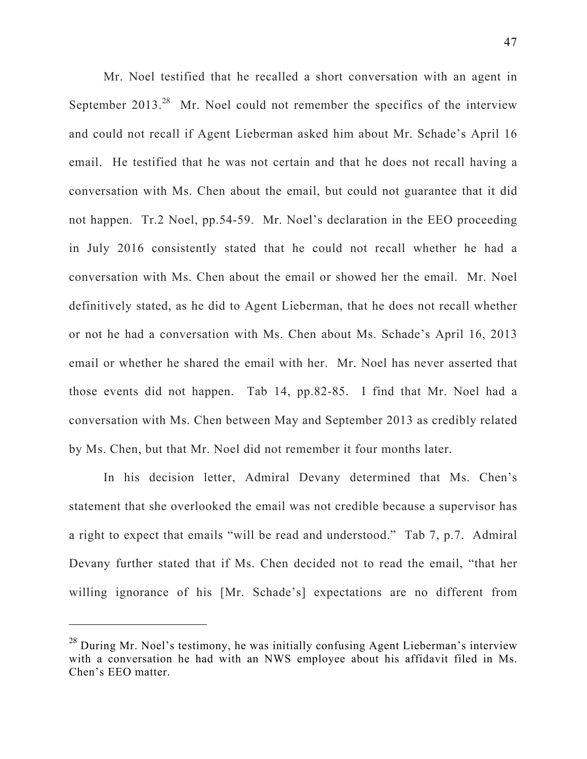Mr. Noel testified that he recalled a short conversation with an agent in September  $2013<sup>28</sup>$  Mr. Noel could not remember the specifics of the interview and could not recall if Agent Lieberman asked him about Mr. Schade's April 16 email. He testified that he was not certain and that he does not recall having a conversation with Ms. Chen about the email, but could not guarantee that it did not happen. Tr.2 Noel, pp.54-59. Mr. Noel's declaration in the EEO proceeding in July 2016 consistently stated that he could not recall whether he had a conversation with Ms. Chen about the email or showed her the email. Mr. Noel definitively stated, as he did to Agent Lieberman, that he does not recall whether or not he had a conversation with Ms. Chen about Ms. Schade's April 16, 2013 email or whether he shared the email with her. Mr. Noel has never asserted that those events did not happen. Tab 14, pp.82-85. I find that Mr. Noel had a conversation with Ms. Chen between May and September 2013 as credibly related by Ms. Chen, but that Mr. Noel did not remember it four months later.

In his decision letter, Admiral Devany determined that Ms. Chen's statement that she overlooked the email was not credible because a supervisor has a right to expect that emails "will be read and understood." Tab 7, p.7. Admiral Devany further stated that if Ms. Chen decided not to read the email, "that her willing ignorance of his [Mr. Schade's] expectations are no different from

<sup>&</sup>lt;sup>28</sup> During Mr. Noel's testimony, he was initially confusing Agent Lieberman's interview with a conversation he had with an NWS employee about his affidavit filed in Ms. Chen's EEO matter.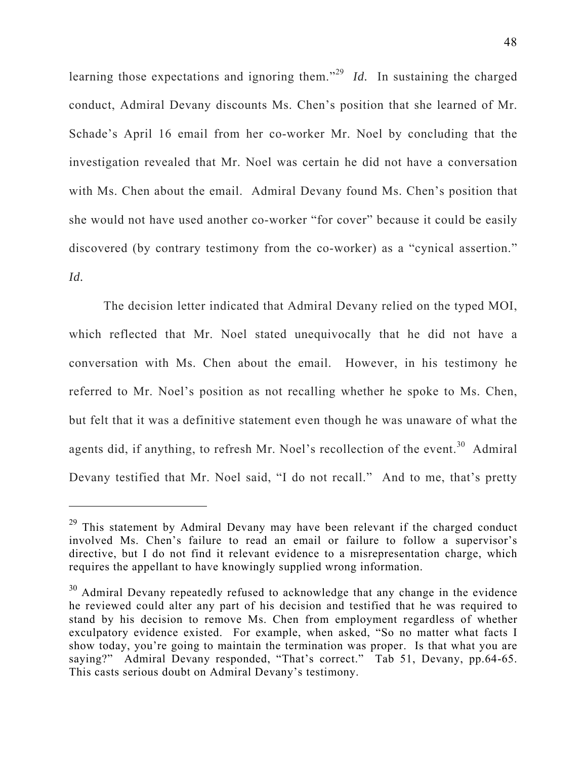learning those expectations and ignoring them."29 *Id.* In sustaining the charged conduct, Admiral Devany discounts Ms. Chen's position that she learned of Mr. Schade's April 16 email from her co-worker Mr. Noel by concluding that the investigation revealed that Mr. Noel was certain he did not have a conversation with Ms. Chen about the email. Admiral Devany found Ms. Chen's position that she would not have used another co-worker "for cover" because it could be easily discovered (by contrary testimony from the co-worker) as a "cynical assertion." *Id.* 

The decision letter indicated that Admiral Devany relied on the typed MOI, which reflected that Mr. Noel stated unequivocally that he did not have a conversation with Ms. Chen about the email. However, in his testimony he referred to Mr. Noel's position as not recalling whether he spoke to Ms. Chen, but felt that it was a definitive statement even though he was unaware of what the agents did, if anything, to refresh Mr. Noel's recollection of the event.<sup>30</sup> Admiral Devany testified that Mr. Noel said, "I do not recall." And to me, that's pretty

 $29$  This statement by Admiral Devany may have been relevant if the charged conduct involved Ms. Chen's failure to read an email or failure to follow a supervisor's directive, but I do not find it relevant evidence to a misrepresentation charge, which requires the appellant to have knowingly supplied wrong information.

 $30$  Admiral Devany repeatedly refused to acknowledge that any change in the evidence he reviewed could alter any part of his decision and testified that he was required to stand by his decision to remove Ms. Chen from employment regardless of whether exculpatory evidence existed. For example, when asked, "So no matter what facts I show today, you're going to maintain the termination was proper. Is that what you are saying?" Admiral Devany responded, "That's correct." Tab 51, Devany, pp.64-65. This casts serious doubt on Admiral Devany's testimony.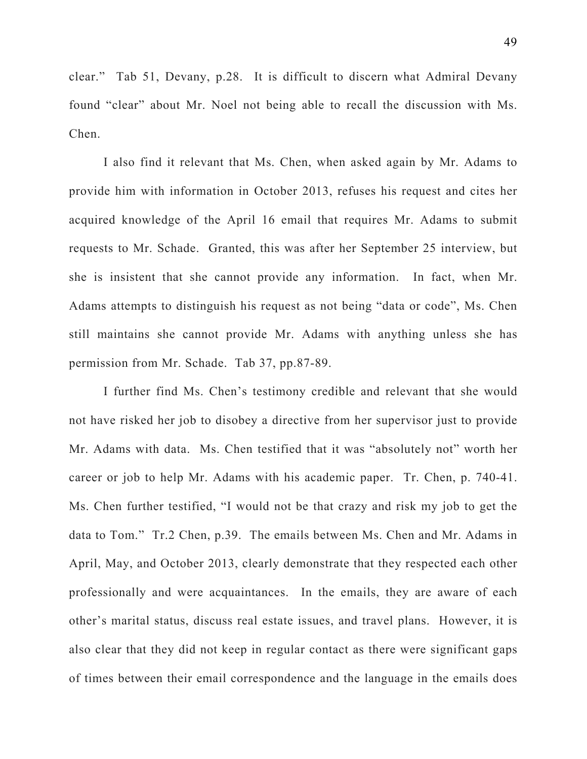clear." Tab 51, Devany, p.28. It is difficult to discern what Admiral Devany found "clear" about Mr. Noel not being able to recall the discussion with Ms. Chen.

I also find it relevant that Ms. Chen, when asked again by Mr. Adams to provide him with information in October 2013, refuses his request and cites her acquired knowledge of the April 16 email that requires Mr. Adams to submit requests to Mr. Schade. Granted, this was after her September 25 interview, but she is insistent that she cannot provide any information. In fact, when Mr. Adams attempts to distinguish his request as not being "data or code", Ms. Chen still maintains she cannot provide Mr. Adams with anything unless she has permission from Mr. Schade. Tab 37, pp.87-89.

I further find Ms. Chen's testimony credible and relevant that she would not have risked her job to disobey a directive from her supervisor just to provide Mr. Adams with data. Ms. Chen testified that it was "absolutely not" worth her career or job to help Mr. Adams with his academic paper. Tr. Chen, p. 740-41. Ms. Chen further testified, "I would not be that crazy and risk my job to get the data to Tom." Tr.2 Chen, p.39. The emails between Ms. Chen and Mr. Adams in April, May, and October 2013, clearly demonstrate that they respected each other professionally and were acquaintances. In the emails, they are aware of each other's marital status, discuss real estate issues, and travel plans. However, it is also clear that they did not keep in regular contact as there were significant gaps of times between their email correspondence and the language in the emails does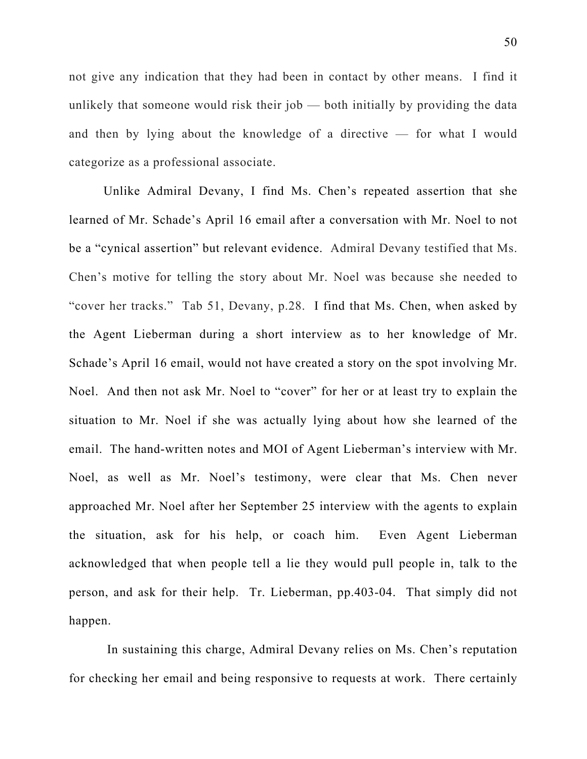not give any indication that they had been in contact by other means. I find it unlikely that someone would risk their job — both initially by providing the data and then by lying about the knowledge of a directive — for what I would categorize as a professional associate.

Unlike Admiral Devany, I find Ms. Chen's repeated assertion that she learned of Mr. Schade's April 16 email after a conversation with Mr. Noel to not be a "cynical assertion" but relevant evidence. Admiral Devany testified that Ms. Chen's motive for telling the story about Mr. Noel was because she needed to "cover her tracks." Tab 51, Devany, p.28. I find that Ms. Chen, when asked by the Agent Lieberman during a short interview as to her knowledge of Mr. Schade's April 16 email, would not have created a story on the spot involving Mr. Noel. And then not ask Mr. Noel to "cover" for her or at least try to explain the situation to Mr. Noel if she was actually lying about how she learned of the email. The hand-written notes and MOI of Agent Lieberman's interview with Mr. Noel, as well as Mr. Noel's testimony, were clear that Ms. Chen never approached Mr. Noel after her September 25 interview with the agents to explain the situation, ask for his help, or coach him. Even Agent Lieberman acknowledged that when people tell a lie they would pull people in, talk to the person, and ask for their help. Tr. Lieberman, pp.403-04. That simply did not happen.

 In sustaining this charge, Admiral Devany relies on Ms. Chen's reputation for checking her email and being responsive to requests at work. There certainly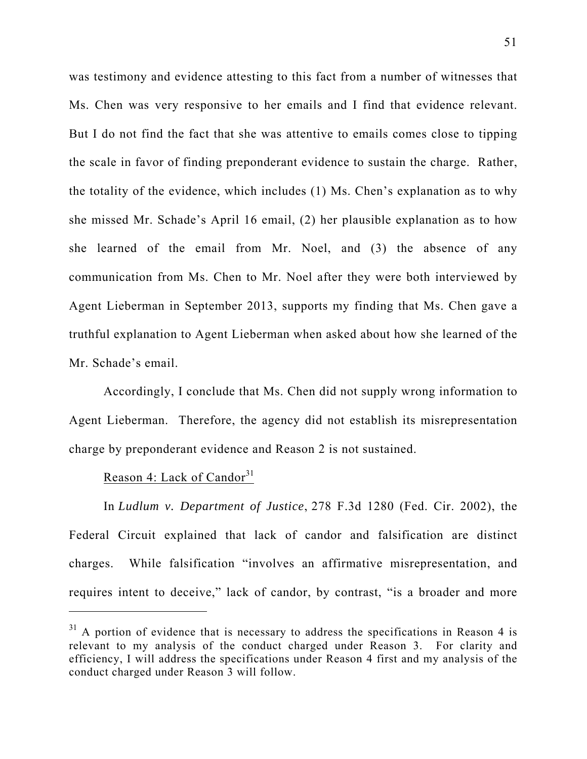was testimony and evidence attesting to this fact from a number of witnesses that Ms. Chen was very responsive to her emails and I find that evidence relevant. But I do not find the fact that she was attentive to emails comes close to tipping the scale in favor of finding preponderant evidence to sustain the charge. Rather, the totality of the evidence, which includes (1) Ms. Chen's explanation as to why she missed Mr. Schade's April 16 email, (2) her plausible explanation as to how she learned of the email from Mr. Noel, and (3) the absence of any communication from Ms. Chen to Mr. Noel after they were both interviewed by Agent Lieberman in September 2013, supports my finding that Ms. Chen gave a truthful explanation to Agent Lieberman when asked about how she learned of the Mr. Schade's email.

Accordingly, I conclude that Ms. Chen did not supply wrong information to Agent Lieberman. Therefore, the agency did not establish its misrepresentation charge by preponderant evidence and Reason 2 is not sustained.

## Reason 4: Lack of Candor $31$

 $\overline{a}$ 

In *Ludlum v. Department of Justice*, 278 F.3d 1280 (Fed. Cir. 2002), the Federal Circuit explained that lack of candor and falsification are distinct charges. While falsification "involves an affirmative misrepresentation, and requires intent to deceive," lack of candor, by contrast, "is a broader and more

 $31$  A portion of evidence that is necessary to address the specifications in Reason 4 is relevant to my analysis of the conduct charged under Reason 3. For clarity and efficiency, I will address the specifications under Reason 4 first and my analysis of the conduct charged under Reason 3 will follow.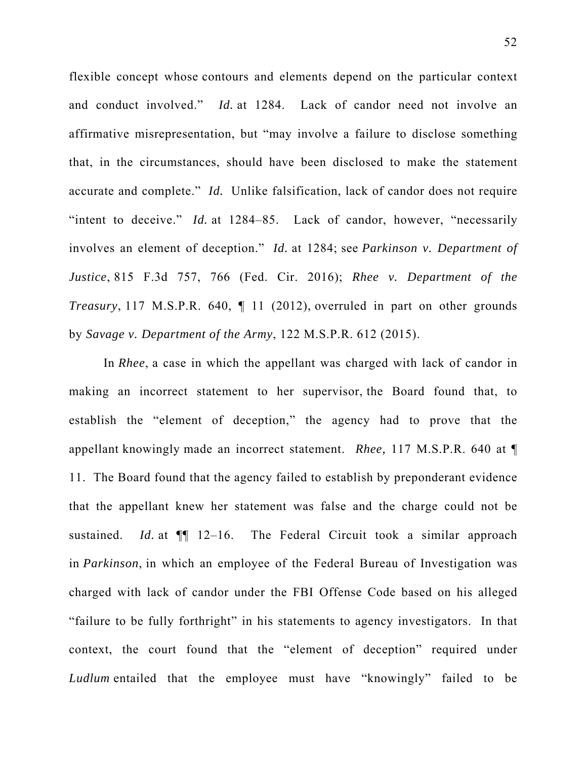flexible concept whose contours and elements depend on the particular context and conduct involved." *Id.* at 1284. Lack of candor need not involve an affirmative misrepresentation, but "may involve a failure to disclose something that, in the circumstances, should have been disclosed to make the statement accurate and complete." *Id.* Unlike falsification, lack of candor does not require "intent to deceive." *Id.* at 1284–85. Lack of candor, however, "necessarily involves an element of deception." *Id.* at 1284; see *Parkinson v. Department of Justice*, 815 F.3d 757, 766 (Fed. Cir. 2016); *Rhee v. Department of the Treasury*, 117 M.S.P.R. 640, ¶ 11 (2012), overruled in part on other grounds by *Savage v. Department of the Army*, 122 M.S.P.R. 612 (2015).

In *Rhee*, a case in which the appellant was charged with lack of candor in making an incorrect statement to her supervisor, the Board found that, to establish the "element of deception," the agency had to prove that the appellant knowingly made an incorrect statement. *Rhee,* 117 M.S.P.R. 640 at ¶ 11. The Board found that the agency failed to establish by preponderant evidence that the appellant knew her statement was false and the charge could not be sustained. *Id.* at ¶¶ 12–16. The Federal Circuit took a similar approach in *Parkinson*, in which an employee of the Federal Bureau of Investigation was charged with lack of candor under the FBI Offense Code based on his alleged "failure to be fully forthright" in his statements to agency investigators. In that context, the court found that the "element of deception" required under *Ludlum* entailed that the employee must have "knowingly" failed to be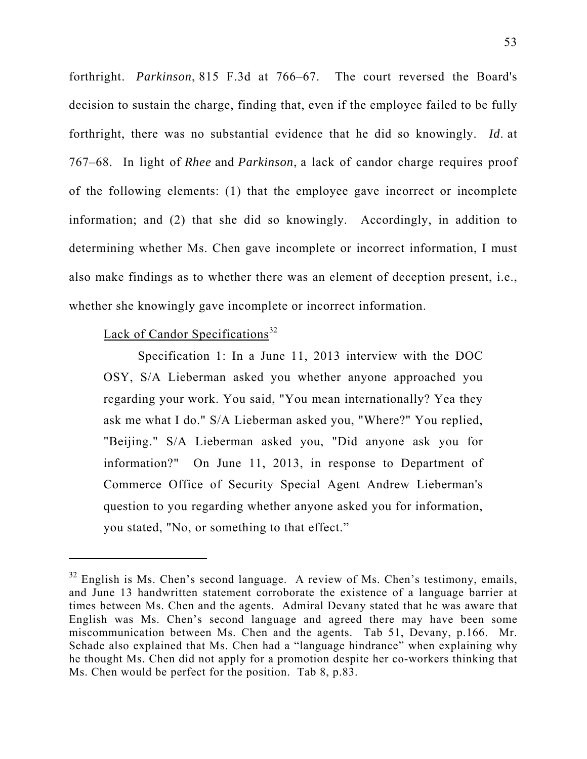forthright. *Parkinson*, 815 F.3d at 766–67. The court reversed the Board's decision to sustain the charge, finding that, even if the employee failed to be fully forthright, there was no substantial evidence that he did so knowingly. *Id*. at 767–68. In light of *Rhee* and *Parkinson*, a lack of candor charge requires proof of the following elements: (1) that the employee gave incorrect or incomplete information; and (2) that she did so knowingly. Accordingly, in addition to determining whether Ms. Chen gave incomplete or incorrect information, I must also make findings as to whether there was an element of deception present, i.e., whether she knowingly gave incomplete or incorrect information.

# Lack of Candor Specifications $32$

 $\overline{a}$ 

 Specification 1: In a June 11, 2013 interview with the DOC OSY, S/A Lieberman asked you whether anyone approached you regarding your work. You said, "You mean internationally? Yea they ask me what I do." S/A Lieberman asked you, "Where?" You replied, "Beijing." S/A Lieberman asked you, "Did anyone ask you for information?" On June 11, 2013, in response to Department of Commerce Office of Security Special Agent Andrew Lieberman's question to you regarding whether anyone asked you for information, you stated, "No, or something to that effect."

 $32$  English is Ms. Chen's second language. A review of Ms. Chen's testimony, emails, and June 13 handwritten statement corroborate the existence of a language barrier at times between Ms. Chen and the agents. Admiral Devany stated that he was aware that English was Ms. Chen's second language and agreed there may have been some miscommunication between Ms. Chen and the agents. Tab 51, Devany, p.166. Mr. Schade also explained that Ms. Chen had a "language hindrance" when explaining why he thought Ms. Chen did not apply for a promotion despite her co-workers thinking that Ms. Chen would be perfect for the position. Tab 8, p.83.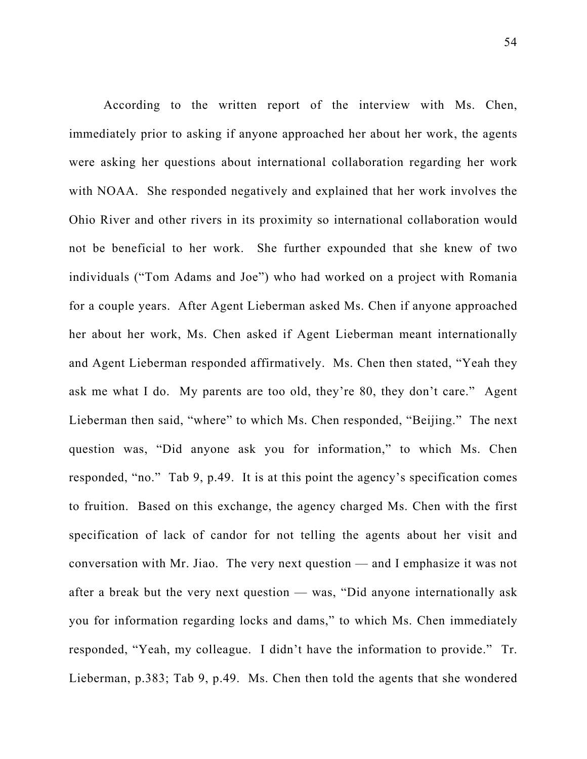According to the written report of the interview with Ms. Chen, immediately prior to asking if anyone approached her about her work, the agents were asking her questions about international collaboration regarding her work with NOAA. She responded negatively and explained that her work involves the Ohio River and other rivers in its proximity so international collaboration would not be beneficial to her work. She further expounded that she knew of two individuals ("Tom Adams and Joe") who had worked on a project with Romania for a couple years. After Agent Lieberman asked Ms. Chen if anyone approached her about her work, Ms. Chen asked if Agent Lieberman meant internationally and Agent Lieberman responded affirmatively. Ms. Chen then stated, "Yeah they ask me what I do. My parents are too old, they're 80, they don't care." Agent Lieberman then said, "where" to which Ms. Chen responded, "Beijing." The next question was, "Did anyone ask you for information," to which Ms. Chen responded, "no." Tab 9, p.49. It is at this point the agency's specification comes to fruition. Based on this exchange, the agency charged Ms. Chen with the first specification of lack of candor for not telling the agents about her visit and conversation with Mr. Jiao. The very next question — and I emphasize it was not after a break but the very next question — was, "Did anyone internationally ask you for information regarding locks and dams," to which Ms. Chen immediately responded, "Yeah, my colleague. I didn't have the information to provide." Tr. Lieberman, p.383; Tab 9, p.49. Ms. Chen then told the agents that she wondered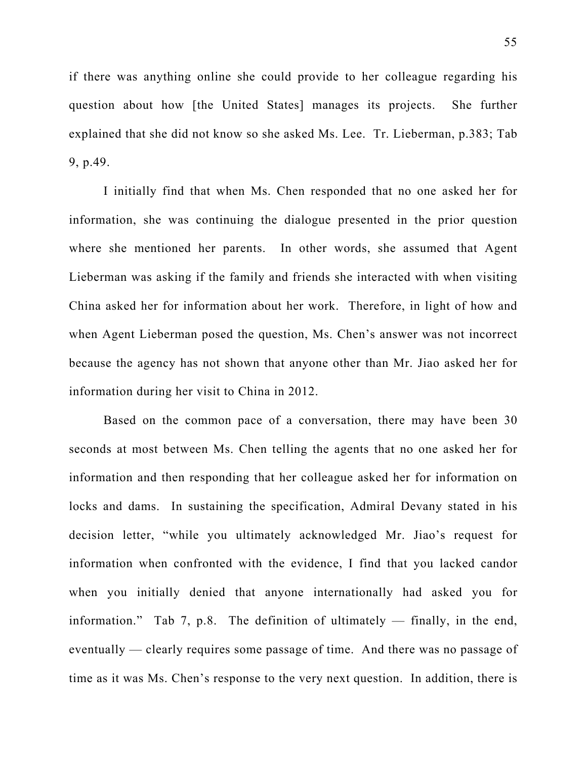if there was anything online she could provide to her colleague regarding his question about how [the United States] manages its projects. She further explained that she did not know so she asked Ms. Lee. Tr. Lieberman, p.383; Tab 9, p.49.

I initially find that when Ms. Chen responded that no one asked her for information, she was continuing the dialogue presented in the prior question where she mentioned her parents. In other words, she assumed that Agent Lieberman was asking if the family and friends she interacted with when visiting China asked her for information about her work. Therefore, in light of how and when Agent Lieberman posed the question, Ms. Chen's answer was not incorrect because the agency has not shown that anyone other than Mr. Jiao asked her for information during her visit to China in 2012.

Based on the common pace of a conversation, there may have been 30 seconds at most between Ms. Chen telling the agents that no one asked her for information and then responding that her colleague asked her for information on locks and dams. In sustaining the specification, Admiral Devany stated in his decision letter, "while you ultimately acknowledged Mr. Jiao's request for information when confronted with the evidence, I find that you lacked candor when you initially denied that anyone internationally had asked you for information." Tab 7, p.8. The definition of ultimately — finally, in the end, eventually — clearly requires some passage of time. And there was no passage of time as it was Ms. Chen's response to the very next question. In addition, there is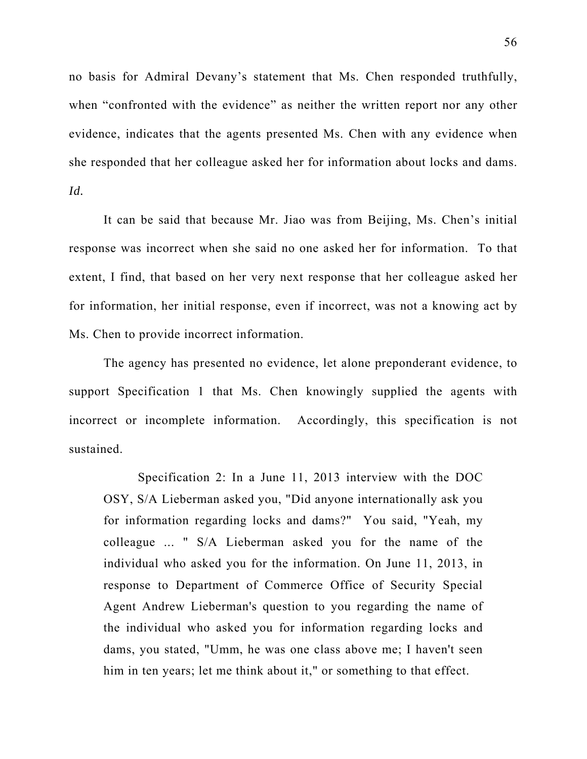no basis for Admiral Devany's statement that Ms. Chen responded truthfully, when "confronted with the evidence" as neither the written report nor any other evidence, indicates that the agents presented Ms. Chen with any evidence when she responded that her colleague asked her for information about locks and dams. *Id.* 

It can be said that because Mr. Jiao was from Beijing, Ms. Chen's initial response was incorrect when she said no one asked her for information. To that extent, I find, that based on her very next response that her colleague asked her for information, her initial response, even if incorrect, was not a knowing act by Ms. Chen to provide incorrect information.

The agency has presented no evidence, let alone preponderant evidence, to support Specification 1 that Ms. Chen knowingly supplied the agents with incorrect or incomplete information. Accordingly, this specification is not sustained.

Specification 2: In a June 11, 2013 interview with the DOC OSY, S/A Lieberman asked you, "Did anyone internationally ask you for information regarding locks and dams?" You said, "Yeah, my colleague ... " S/A Lieberman asked you for the name of the individual who asked you for the information. On June 11, 2013, in response to Department of Commerce Office of Security Special Agent Andrew Lieberman's question to you regarding the name of the individual who asked you for information regarding locks and dams, you stated, "Umm, he was one class above me; I haven't seen him in ten years; let me think about it," or something to that effect.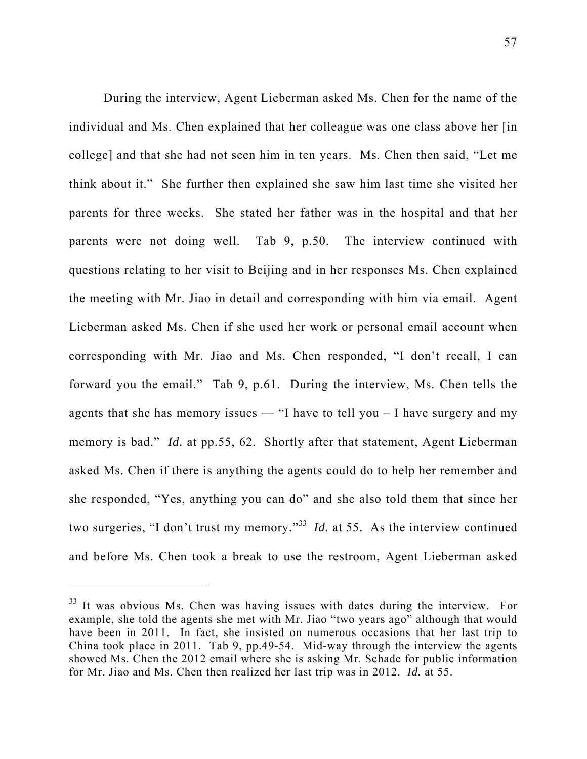During the interview, Agent Lieberman asked Ms. Chen for the name of the individual and Ms. Chen explained that her colleague was one class above her [in college] and that she had not seen him in ten years. Ms. Chen then said, "Let me think about it." She further then explained she saw him last time she visited her parents for three weeks. She stated her father was in the hospital and that her parents were not doing well. Tab 9, p.50. The interview continued with questions relating to her visit to Beijing and in her responses Ms. Chen explained the meeting with Mr. Jiao in detail and corresponding with him via email. Agent Lieberman asked Ms. Chen if she used her work or personal email account when corresponding with Mr. Jiao and Ms. Chen responded, "I don't recall, I can forward you the email." Tab 9, p.61. During the interview, Ms. Chen tells the agents that she has memory issues  $-$  "I have to tell you  $-$  I have surgery and my memory is bad." *Id.* at pp.55, 62. Shortly after that statement, Agent Lieberman asked Ms. Chen if there is anything the agents could do to help her remember and she responded, "Yes, anything you can do" and she also told them that since her two surgeries, "I don't trust my memory."<sup>33</sup> *Id.* at 55. As the interview continued and before Ms. Chen took a break to use the restroom, Agent Lieberman asked

 $33$  It was obvious Ms. Chen was having issues with dates during the interview. For example, she told the agents she met with Mr. Jiao "two years ago" although that would have been in 2011. In fact, she insisted on numerous occasions that her last trip to China took place in 2011. Tab 9, pp.49-54. Mid-way through the interview the agents showed Ms. Chen the 2012 email where she is asking Mr. Schade for public information for Mr. Jiao and Ms. Chen then realized her last trip was in 2012. *Id.* at 55.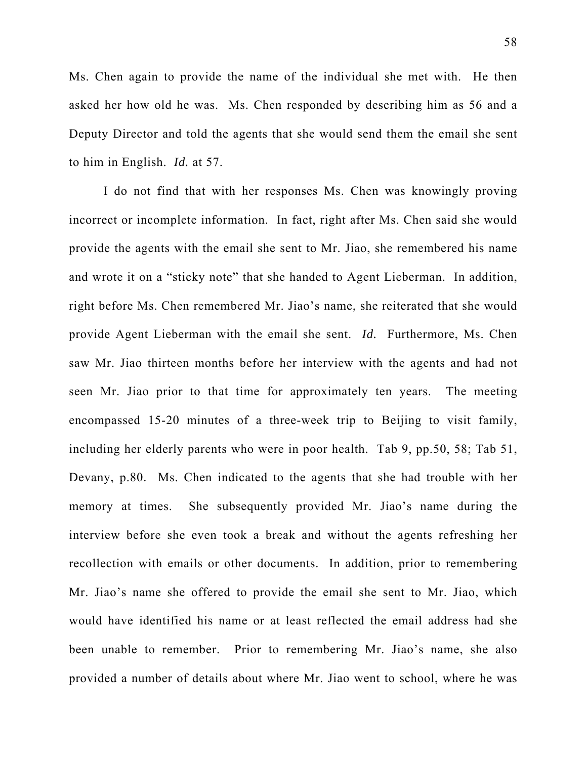Ms. Chen again to provide the name of the individual she met with. He then asked her how old he was. Ms. Chen responded by describing him as 56 and a Deputy Director and told the agents that she would send them the email she sent to him in English. *Id.* at 57.

I do not find that with her responses Ms. Chen was knowingly proving incorrect or incomplete information. In fact, right after Ms. Chen said she would provide the agents with the email she sent to Mr. Jiao, she remembered his name and wrote it on a "sticky note" that she handed to Agent Lieberman. In addition, right before Ms. Chen remembered Mr. Jiao's name, she reiterated that she would provide Agent Lieberman with the email she sent. *Id.* Furthermore, Ms. Chen saw Mr. Jiao thirteen months before her interview with the agents and had not seen Mr. Jiao prior to that time for approximately ten years. The meeting encompassed 15-20 minutes of a three-week trip to Beijing to visit family, including her elderly parents who were in poor health. Tab 9, pp.50, 58; Tab 51, Devany, p.80. Ms. Chen indicated to the agents that she had trouble with her memory at times. She subsequently provided Mr. Jiao's name during the interview before she even took a break and without the agents refreshing her recollection with emails or other documents. In addition, prior to remembering Mr. Jiao's name she offered to provide the email she sent to Mr. Jiao, which would have identified his name or at least reflected the email address had she been unable to remember. Prior to remembering Mr. Jiao's name, she also provided a number of details about where Mr. Jiao went to school, where he was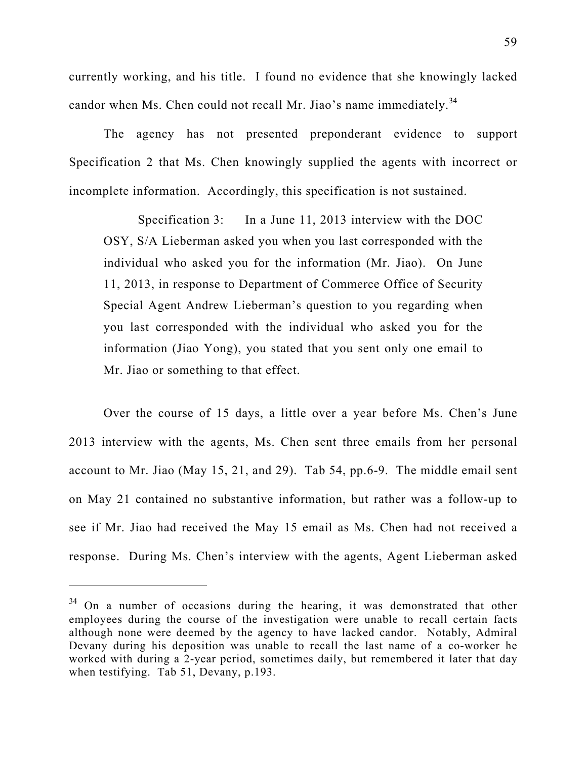currently working, and his title. I found no evidence that she knowingly lacked candor when Ms. Chen could not recall Mr. Jiao's name immediately.<sup>34</sup>

The agency has not presented preponderant evidence to support Specification 2 that Ms. Chen knowingly supplied the agents with incorrect or incomplete information. Accordingly, this specification is not sustained.

Specification 3: In a June 11, 2013 interview with the DOC OSY, S/A Lieberman asked you when you last corresponded with the individual who asked you for the information (Mr. Jiao). On June 11, 2013, in response to Department of Commerce Office of Security Special Agent Andrew Lieberman's question to you regarding when you last corresponded with the individual who asked you for the information (Jiao Yong), you stated that you sent only one email to Mr. Jiao or something to that effect.

Over the course of 15 days, a little over a year before Ms. Chen's June 2013 interview with the agents, Ms. Chen sent three emails from her personal account to Mr. Jiao (May 15, 21, and 29). Tab 54, pp.6-9. The middle email sent on May 21 contained no substantive information, but rather was a follow-up to see if Mr. Jiao had received the May 15 email as Ms. Chen had not received a response. During Ms. Chen's interview with the agents, Agent Lieberman asked

<sup>&</sup>lt;sup>34</sup> On a number of occasions during the hearing, it was demonstrated that other employees during the course of the investigation were unable to recall certain facts although none were deemed by the agency to have lacked candor. Notably, Admiral Devany during his deposition was unable to recall the last name of a co-worker he worked with during a 2-year period, sometimes daily, but remembered it later that day when testifying. Tab 51, Devany, p.193.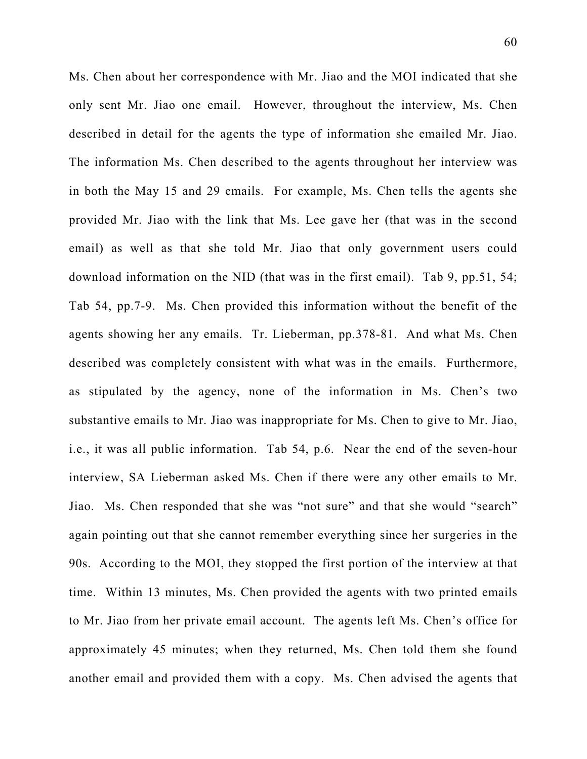Ms. Chen about her correspondence with Mr. Jiao and the MOI indicated that she only sent Mr. Jiao one email. However, throughout the interview, Ms. Chen described in detail for the agents the type of information she emailed Mr. Jiao. The information Ms. Chen described to the agents throughout her interview was in both the May 15 and 29 emails. For example, Ms. Chen tells the agents she provided Mr. Jiao with the link that Ms. Lee gave her (that was in the second email) as well as that she told Mr. Jiao that only government users could download information on the NID (that was in the first email). Tab 9, pp.51, 54; Tab 54, pp.7-9. Ms. Chen provided this information without the benefit of the agents showing her any emails. Tr. Lieberman, pp.378-81. And what Ms. Chen described was completely consistent with what was in the emails. Furthermore, as stipulated by the agency, none of the information in Ms. Chen's two substantive emails to Mr. Jiao was inappropriate for Ms. Chen to give to Mr. Jiao, i.e., it was all public information. Tab 54, p.6. Near the end of the seven-hour interview, SA Lieberman asked Ms. Chen if there were any other emails to Mr. Jiao. Ms. Chen responded that she was "not sure" and that she would "search" again pointing out that she cannot remember everything since her surgeries in the 90s. According to the MOI, they stopped the first portion of the interview at that time. Within 13 minutes, Ms. Chen provided the agents with two printed emails to Mr. Jiao from her private email account. The agents left Ms. Chen's office for approximately 45 minutes; when they returned, Ms. Chen told them she found another email and provided them with a copy. Ms. Chen advised the agents that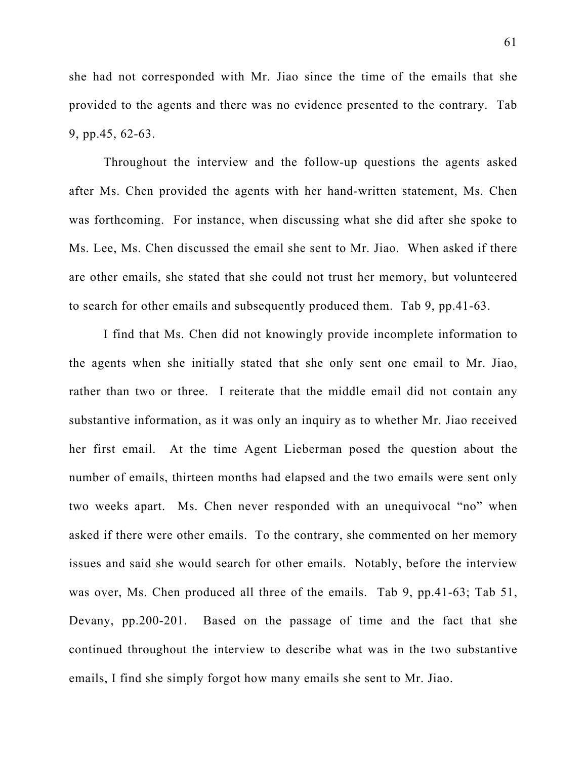she had not corresponded with Mr. Jiao since the time of the emails that she provided to the agents and there was no evidence presented to the contrary. Tab 9, pp.45, 62-63.

Throughout the interview and the follow-up questions the agents asked after Ms. Chen provided the agents with her hand-written statement, Ms. Chen was forthcoming. For instance, when discussing what she did after she spoke to Ms. Lee, Ms. Chen discussed the email she sent to Mr. Jiao. When asked if there are other emails, she stated that she could not trust her memory, but volunteered to search for other emails and subsequently produced them. Tab 9, pp.41-63.

I find that Ms. Chen did not knowingly provide incomplete information to the agents when she initially stated that she only sent one email to Mr. Jiao, rather than two or three. I reiterate that the middle email did not contain any substantive information, as it was only an inquiry as to whether Mr. Jiao received her first email. At the time Agent Lieberman posed the question about the number of emails, thirteen months had elapsed and the two emails were sent only two weeks apart. Ms. Chen never responded with an unequivocal "no" when asked if there were other emails. To the contrary, she commented on her memory issues and said she would search for other emails. Notably, before the interview was over, Ms. Chen produced all three of the emails. Tab 9, pp.41-63; Tab 51, Devany, pp.200-201. Based on the passage of time and the fact that she continued throughout the interview to describe what was in the two substantive emails, I find she simply forgot how many emails she sent to Mr. Jiao.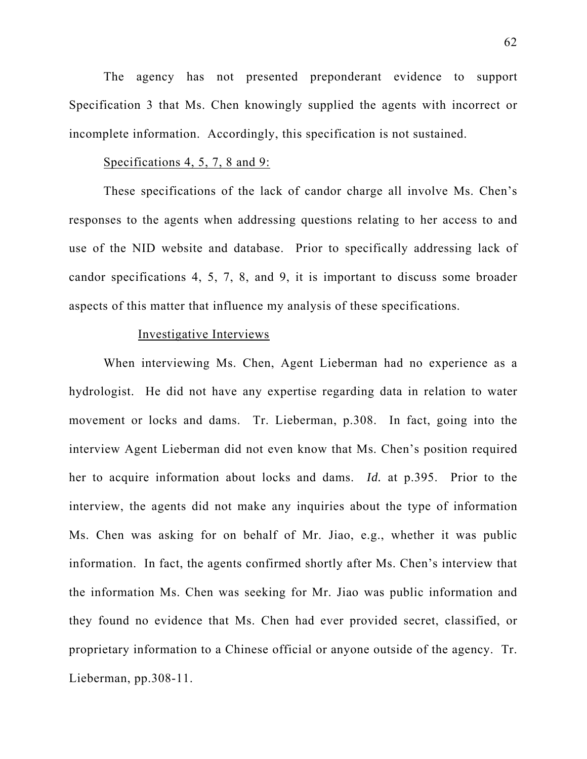The agency has not presented preponderant evidence to support Specification 3 that Ms. Chen knowingly supplied the agents with incorrect or incomplete information. Accordingly, this specification is not sustained.

### Specifications 4, 5, 7, 8 and 9:

These specifications of the lack of candor charge all involve Ms. Chen's responses to the agents when addressing questions relating to her access to and use of the NID website and database. Prior to specifically addressing lack of candor specifications 4, 5, 7, 8, and 9, it is important to discuss some broader aspects of this matter that influence my analysis of these specifications.

## Investigative Interviews

When interviewing Ms. Chen, Agent Lieberman had no experience as a hydrologist. He did not have any expertise regarding data in relation to water movement or locks and dams. Tr. Lieberman, p.308. In fact, going into the interview Agent Lieberman did not even know that Ms. Chen's position required her to acquire information about locks and dams. *Id.* at p.395. Prior to the interview, the agents did not make any inquiries about the type of information Ms. Chen was asking for on behalf of Mr. Jiao, e.g., whether it was public information. In fact, the agents confirmed shortly after Ms. Chen's interview that the information Ms. Chen was seeking for Mr. Jiao was public information and they found no evidence that Ms. Chen had ever provided secret, classified, or proprietary information to a Chinese official or anyone outside of the agency. Tr. Lieberman, pp.308-11.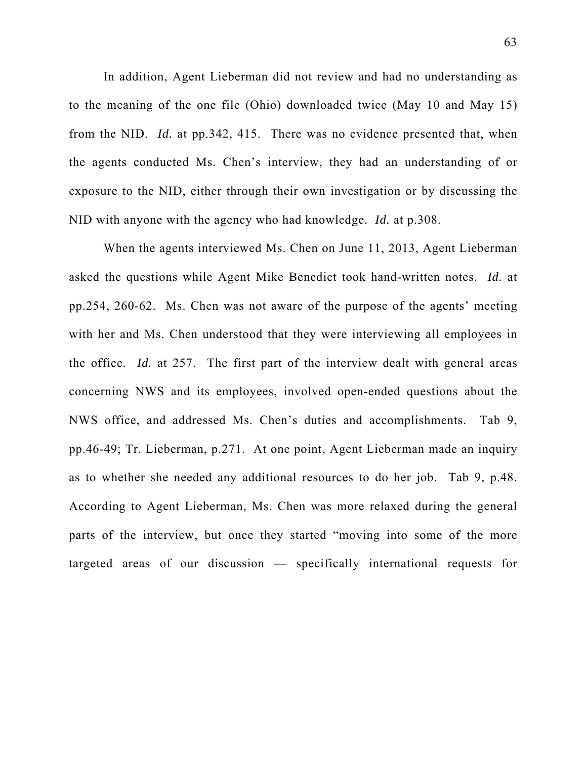In addition, Agent Lieberman did not review and had no understanding as to the meaning of the one file (Ohio) downloaded twice (May 10 and May 15) from the NID. *Id.* at pp.342, 415. There was no evidence presented that, when the agents conducted Ms. Chen's interview, they had an understanding of or exposure to the NID, either through their own investigation or by discussing the NID with anyone with the agency who had knowledge. *Id.* at p.308.

When the agents interviewed Ms. Chen on June 11, 2013, Agent Lieberman asked the questions while Agent Mike Benedict took hand-written notes. *Id.* at pp.254, 260-62. Ms. Chen was not aware of the purpose of the agents' meeting with her and Ms. Chen understood that they were interviewing all employees in the office. *Id.* at 257. The first part of the interview dealt with general areas concerning NWS and its employees, involved open-ended questions about the NWS office, and addressed Ms. Chen's duties and accomplishments. Tab 9, pp.46-49; Tr. Lieberman, p.271. At one point, Agent Lieberman made an inquiry as to whether she needed any additional resources to do her job. Tab 9, p.48. According to Agent Lieberman, Ms. Chen was more relaxed during the general parts of the interview, but once they started "moving into some of the more targeted areas of our discussion — specifically international requests for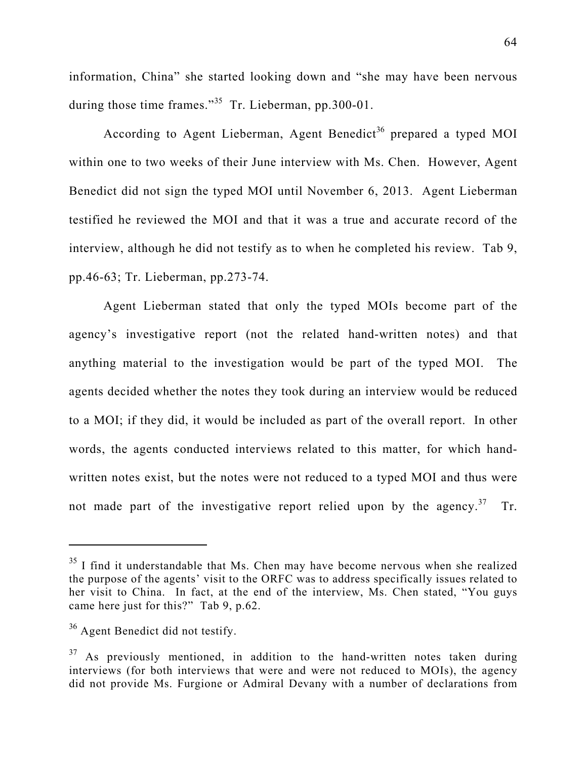information, China" she started looking down and "she may have been nervous during those time frames."<sup>35</sup> Tr. Lieberman, pp.300-01.

According to Agent Lieberman, Agent Benedict<sup>36</sup> prepared a typed MOI within one to two weeks of their June interview with Ms. Chen. However, Agent Benedict did not sign the typed MOI until November 6, 2013. Agent Lieberman testified he reviewed the MOI and that it was a true and accurate record of the interview, although he did not testify as to when he completed his review. Tab 9, pp.46-63; Tr. Lieberman, pp.273-74.

Agent Lieberman stated that only the typed MOIs become part of the agency's investigative report (not the related hand-written notes) and that anything material to the investigation would be part of the typed MOI. The agents decided whether the notes they took during an interview would be reduced to a MOI; if they did, it would be included as part of the overall report. In other words, the agents conducted interviews related to this matter, for which handwritten notes exist, but the notes were not reduced to a typed MOI and thus were not made part of the investigative report relied upon by the agency.<sup>37</sup> Tr.

 $35$  I find it understandable that Ms. Chen may have become nervous when she realized the purpose of the agents' visit to the ORFC was to address specifically issues related to her visit to China. In fact, at the end of the interview, Ms. Chen stated, "You guys came here just for this?" Tab 9, p.62.

<sup>&</sup>lt;sup>36</sup> Agent Benedict did not testify.

 $37$  As previously mentioned, in addition to the hand-written notes taken during interviews (for both interviews that were and were not reduced to MOIs), the agency did not provide Ms. Furgione or Admiral Devany with a number of declarations from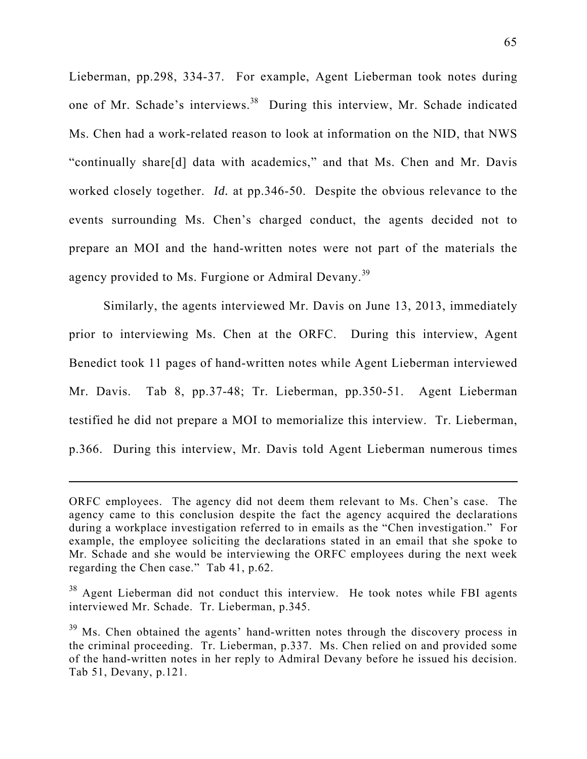Lieberman, pp.298, 334-37. For example, Agent Lieberman took notes during one of Mr. Schade's interviews.<sup>38</sup> During this interview, Mr. Schade indicated Ms. Chen had a work-related reason to look at information on the NID, that NWS "continually share[d] data with academics," and that Ms. Chen and Mr. Davis worked closely together. *Id.* at pp.346-50. Despite the obvious relevance to the events surrounding Ms. Chen's charged conduct, the agents decided not to prepare an MOI and the hand-written notes were not part of the materials the agency provided to Ms. Furgione or Admiral Devany.<sup>39</sup>

Similarly, the agents interviewed Mr. Davis on June 13, 2013, immediately prior to interviewing Ms. Chen at the ORFC. During this interview, Agent Benedict took 11 pages of hand-written notes while Agent Lieberman interviewed Mr. Davis. Tab 8, pp.37-48; Tr. Lieberman, pp.350-51. Agent Lieberman testified he did not prepare a MOI to memorialize this interview. Tr. Lieberman, p.366. During this interview, Mr. Davis told Agent Lieberman numerous times

ORFC employees. The agency did not deem them relevant to Ms. Chen's case. The agency came to this conclusion despite the fact the agency acquired the declarations during a workplace investigation referred to in emails as the "Chen investigation." For example, the employee soliciting the declarations stated in an email that she spoke to Mr. Schade and she would be interviewing the ORFC employees during the next week regarding the Chen case." Tab 41, p.62.

 $38$  Agent Lieberman did not conduct this interview. He took notes while FBI agents interviewed Mr. Schade. Tr. Lieberman, p.345.

 $39$  Ms. Chen obtained the agents' hand-written notes through the discovery process in the criminal proceeding. Tr. Lieberman, p.337. Ms. Chen relied on and provided some of the hand-written notes in her reply to Admiral Devany before he issued his decision. Tab 51, Devany, p.121.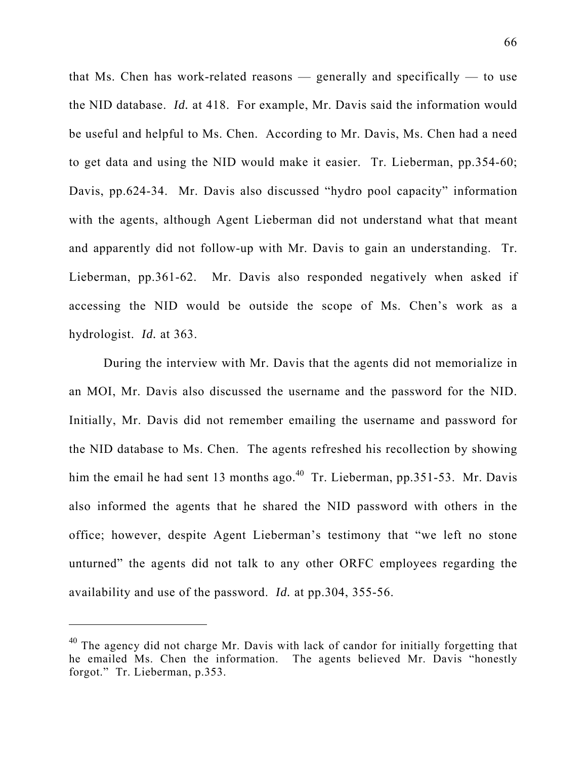that Ms. Chen has work-related reasons  $-$  generally and specifically  $-$  to use the NID database. *Id.* at 418. For example, Mr. Davis said the information would be useful and helpful to Ms. Chen. According to Mr. Davis, Ms. Chen had a need to get data and using the NID would make it easier. Tr. Lieberman, pp.354-60; Davis, pp.624-34. Mr. Davis also discussed "hydro pool capacity" information with the agents, although Agent Lieberman did not understand what that meant and apparently did not follow-up with Mr. Davis to gain an understanding. Tr. Lieberman, pp.361-62. Mr. Davis also responded negatively when asked if accessing the NID would be outside the scope of Ms. Chen's work as a hydrologist. *Id.* at 363.

 During the interview with Mr. Davis that the agents did not memorialize in an MOI, Mr. Davis also discussed the username and the password for the NID. Initially, Mr. Davis did not remember emailing the username and password for the NID database to Ms. Chen. The agents refreshed his recollection by showing him the email he had sent 13 months ago.<sup>40</sup> Tr. Lieberman, pp.351-53. Mr. Davis also informed the agents that he shared the NID password with others in the office; however, despite Agent Lieberman's testimony that "we left no stone unturned" the agents did not talk to any other ORFC employees regarding the availability and use of the password. *Id.* at pp.304, 355-56.

 $40$  The agency did not charge Mr. Davis with lack of candor for initially forgetting that he emailed Ms. Chen the information. The agents believed Mr. Davis "honestly forgot." Tr. Lieberman, p.353.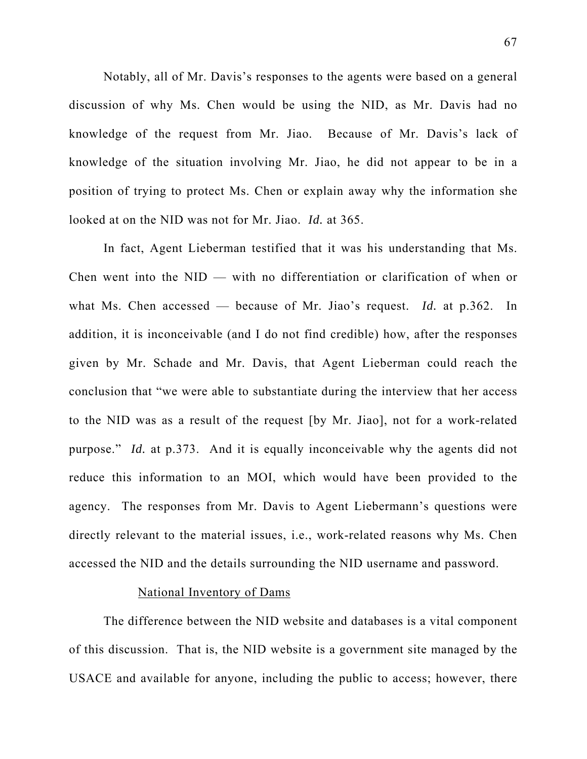Notably, all of Mr. Davis's responses to the agents were based on a general discussion of why Ms. Chen would be using the NID, as Mr. Davis had no knowledge of the request from Mr. Jiao. Because of Mr. Davis's lack of knowledge of the situation involving Mr. Jiao, he did not appear to be in a position of trying to protect Ms. Chen or explain away why the information she looked at on the NID was not for Mr. Jiao. *Id.* at 365.

In fact, Agent Lieberman testified that it was his understanding that Ms. Chen went into the NID — with no differentiation or clarification of when or what Ms. Chen accessed — because of Mr. Jiao's request. *Id.* at p.362. In addition, it is inconceivable (and I do not find credible) how, after the responses given by Mr. Schade and Mr. Davis, that Agent Lieberman could reach the conclusion that "we were able to substantiate during the interview that her access to the NID was as a result of the request [by Mr. Jiao], not for a work-related purpose." *Id.* at p.373. And it is equally inconceivable why the agents did not reduce this information to an MOI, which would have been provided to the agency. The responses from Mr. Davis to Agent Liebermann's questions were directly relevant to the material issues, i.e., work-related reasons why Ms. Chen accessed the NID and the details surrounding the NID username and password.

## National Inventory of Dams

The difference between the NID website and databases is a vital component of this discussion. That is, the NID website is a government site managed by the USACE and available for anyone, including the public to access; however, there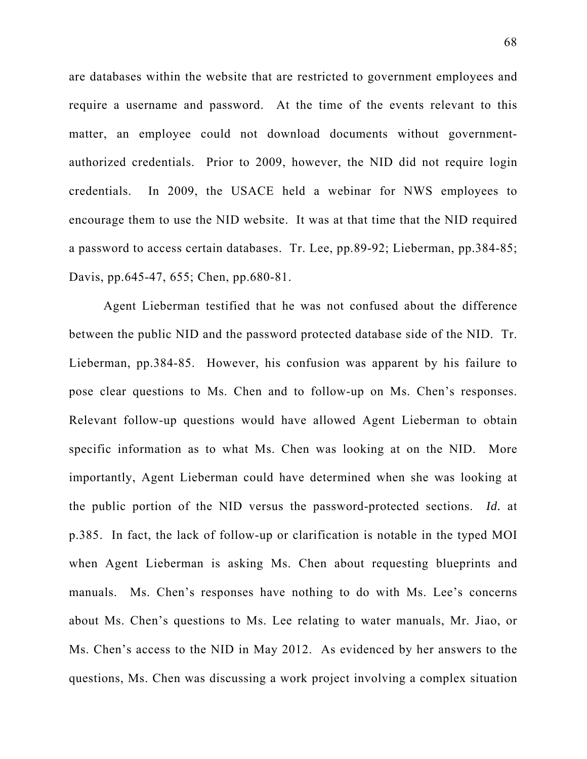are databases within the website that are restricted to government employees and require a username and password. At the time of the events relevant to this matter, an employee could not download documents without governmentauthorized credentials. Prior to 2009, however, the NID did not require login credentials. In 2009, the USACE held a webinar for NWS employees to encourage them to use the NID website. It was at that time that the NID required a password to access certain databases. Tr. Lee, pp.89-92; Lieberman, pp.384-85; Davis, pp.645-47, 655; Chen, pp.680-81.

Agent Lieberman testified that he was not confused about the difference between the public NID and the password protected database side of the NID. Tr. Lieberman, pp.384-85. However, his confusion was apparent by his failure to pose clear questions to Ms. Chen and to follow-up on Ms. Chen's responses. Relevant follow-up questions would have allowed Agent Lieberman to obtain specific information as to what Ms. Chen was looking at on the NID. More importantly, Agent Lieberman could have determined when she was looking at the public portion of the NID versus the password-protected sections. *Id.* at p.385. In fact, the lack of follow-up or clarification is notable in the typed MOI when Agent Lieberman is asking Ms. Chen about requesting blueprints and manuals. Ms. Chen's responses have nothing to do with Ms. Lee's concerns about Ms. Chen's questions to Ms. Lee relating to water manuals, Mr. Jiao, or Ms. Chen's access to the NID in May 2012. As evidenced by her answers to the questions, Ms. Chen was discussing a work project involving a complex situation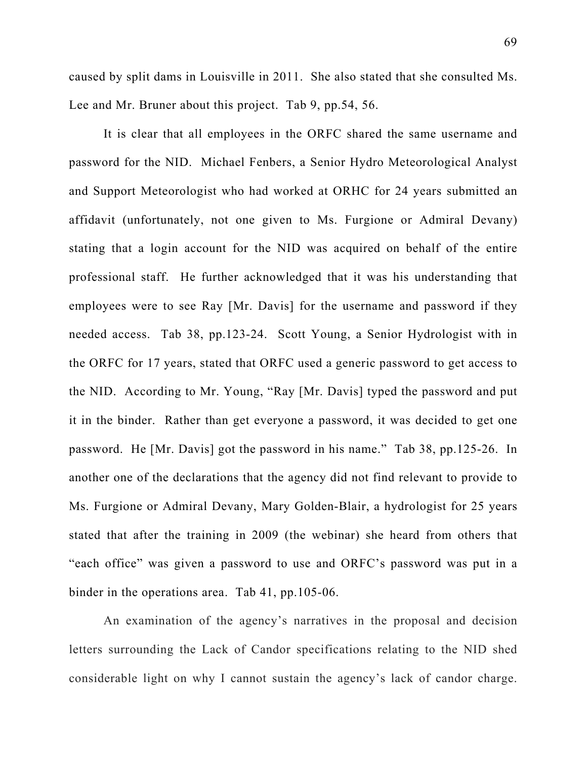caused by split dams in Louisville in 2011. She also stated that she consulted Ms. Lee and Mr. Bruner about this project. Tab 9, pp.54, 56.

It is clear that all employees in the ORFC shared the same username and password for the NID. Michael Fenbers, a Senior Hydro Meteorological Analyst and Support Meteorologist who had worked at ORHC for 24 years submitted an affidavit (unfortunately, not one given to Ms. Furgione or Admiral Devany) stating that a login account for the NID was acquired on behalf of the entire professional staff. He further acknowledged that it was his understanding that employees were to see Ray [Mr. Davis] for the username and password if they needed access. Tab 38, pp.123-24. Scott Young, a Senior Hydrologist with in the ORFC for 17 years, stated that ORFC used a generic password to get access to the NID. According to Mr. Young, "Ray [Mr. Davis] typed the password and put it in the binder. Rather than get everyone a password, it was decided to get one password. He [Mr. Davis] got the password in his name." Tab 38, pp.125-26. In another one of the declarations that the agency did not find relevant to provide to Ms. Furgione or Admiral Devany, Mary Golden-Blair, a hydrologist for 25 years stated that after the training in 2009 (the webinar) she heard from others that "each office" was given a password to use and ORFC's password was put in a binder in the operations area. Tab 41, pp.105-06.

An examination of the agency's narratives in the proposal and decision letters surrounding the Lack of Candor specifications relating to the NID shed considerable light on why I cannot sustain the agency's lack of candor charge.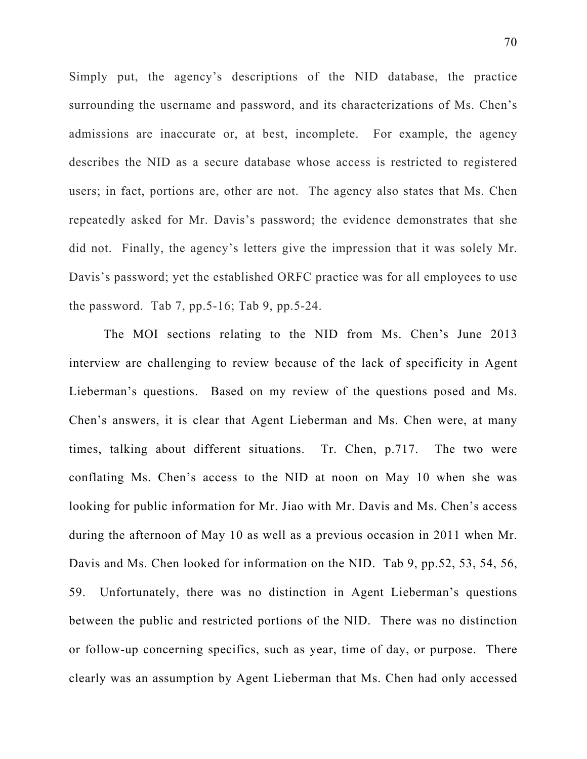Simply put, the agency's descriptions of the NID database, the practice surrounding the username and password, and its characterizations of Ms. Chen's admissions are inaccurate or, at best, incomplete. For example, the agency describes the NID as a secure database whose access is restricted to registered users; in fact, portions are, other are not. The agency also states that Ms. Chen repeatedly asked for Mr. Davis's password; the evidence demonstrates that she did not. Finally, the agency's letters give the impression that it was solely Mr. Davis's password; yet the established ORFC practice was for all employees to use the password. Tab 7, pp.5-16; Tab 9, pp.5-24.

The MOI sections relating to the NID from Ms. Chen's June 2013 interview are challenging to review because of the lack of specificity in Agent Lieberman's questions. Based on my review of the questions posed and Ms. Chen's answers, it is clear that Agent Lieberman and Ms. Chen were, at many times, talking about different situations. Tr. Chen, p.717. The two were conflating Ms. Chen's access to the NID at noon on May 10 when she was looking for public information for Mr. Jiao with Mr. Davis and Ms. Chen's access during the afternoon of May 10 as well as a previous occasion in 2011 when Mr. Davis and Ms. Chen looked for information on the NID. Tab 9, pp.52, 53, 54, 56, 59. Unfortunately, there was no distinction in Agent Lieberman's questions between the public and restricted portions of the NID. There was no distinction or follow-up concerning specifics, such as year, time of day, or purpose. There clearly was an assumption by Agent Lieberman that Ms. Chen had only accessed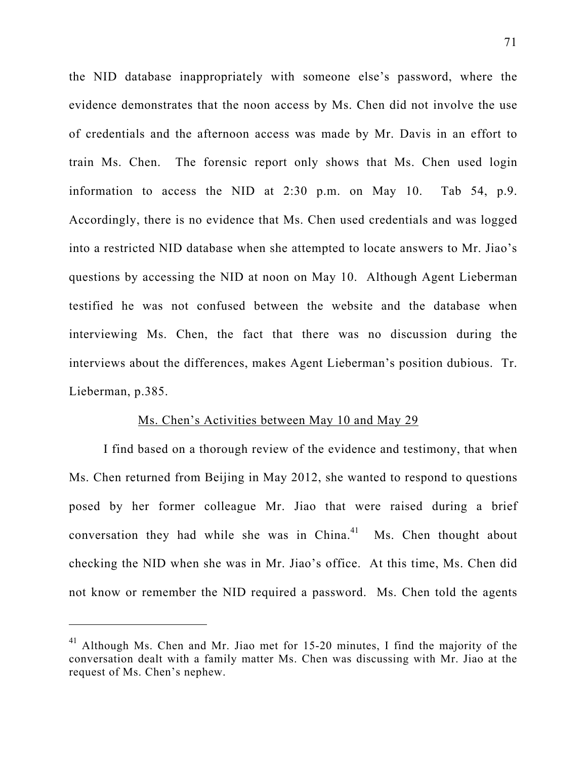the NID database inappropriately with someone else's password, where the evidence demonstrates that the noon access by Ms. Chen did not involve the use of credentials and the afternoon access was made by Mr. Davis in an effort to train Ms. Chen. The forensic report only shows that Ms. Chen used login information to access the NID at 2:30 p.m. on May 10. Tab 54, p.9. Accordingly, there is no evidence that Ms. Chen used credentials and was logged into a restricted NID database when she attempted to locate answers to Mr. Jiao's questions by accessing the NID at noon on May 10. Although Agent Lieberman testified he was not confused between the website and the database when interviewing Ms. Chen, the fact that there was no discussion during the interviews about the differences, makes Agent Lieberman's position dubious. Tr. Lieberman, p.385.

#### Ms. Chen's Activities between May 10 and May 29

I find based on a thorough review of the evidence and testimony, that when Ms. Chen returned from Beijing in May 2012, she wanted to respond to questions posed by her former colleague Mr. Jiao that were raised during a brief conversation they had while she was in China. $41$  Ms. Chen thought about checking the NID when she was in Mr. Jiao's office. At this time, Ms. Chen did not know or remember the NID required a password. Ms. Chen told the agents

<sup>41</sup> Although Ms. Chen and Mr. Jiao met for 15-20 minutes, I find the majority of the conversation dealt with a family matter Ms. Chen was discussing with Mr. Jiao at the request of Ms. Chen's nephew.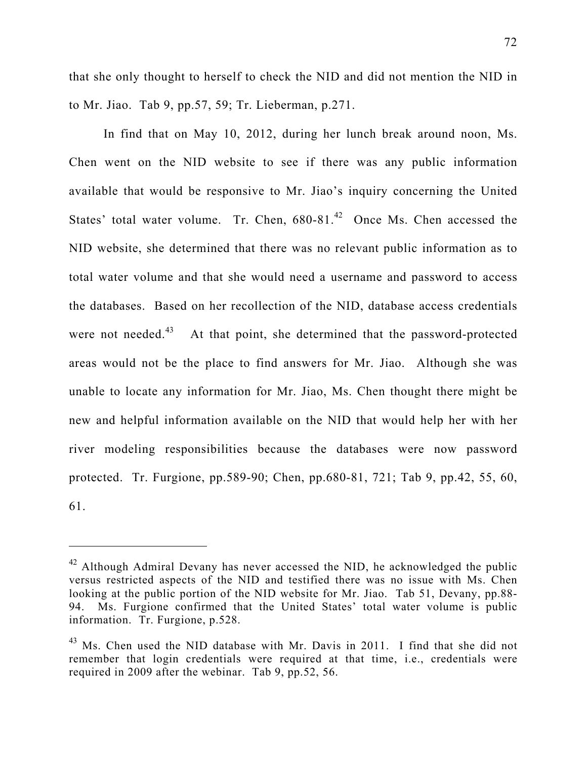that she only thought to herself to check the NID and did not mention the NID in to Mr. Jiao. Tab 9, pp.57, 59; Tr. Lieberman, p.271.

In find that on May 10, 2012, during her lunch break around noon, Ms. Chen went on the NID website to see if there was any public information available that would be responsive to Mr. Jiao's inquiry concerning the United States' total water volume. Tr. Chen,  $680-81<sup>42</sup>$  Once Ms. Chen accessed the NID website, she determined that there was no relevant public information as to total water volume and that she would need a username and password to access the databases. Based on her recollection of the NID, database access credentials were not needed.<sup>43</sup> At that point, she determined that the password-protected areas would not be the place to find answers for Mr. Jiao. Although she was unable to locate any information for Mr. Jiao, Ms. Chen thought there might be new and helpful information available on the NID that would help her with her river modeling responsibilities because the databases were now password protected. Tr. Furgione, pp.589-90; Chen, pp.680-81, 721; Tab 9, pp.42, 55, 60, 61.

 $42$  Although Admiral Devany has never accessed the NID, he acknowledged the public versus restricted aspects of the NID and testified there was no issue with Ms. Chen looking at the public portion of the NID website for Mr. Jiao. Tab 51, Devany, pp.88- 94. Ms. Furgione confirmed that the United States' total water volume is public information. Tr. Furgione, p.528.

<sup>&</sup>lt;sup>43</sup> Ms. Chen used the NID database with Mr. Davis in 2011. I find that she did not remember that login credentials were required at that time, i.e., credentials were required in 2009 after the webinar. Tab 9, pp.52, 56.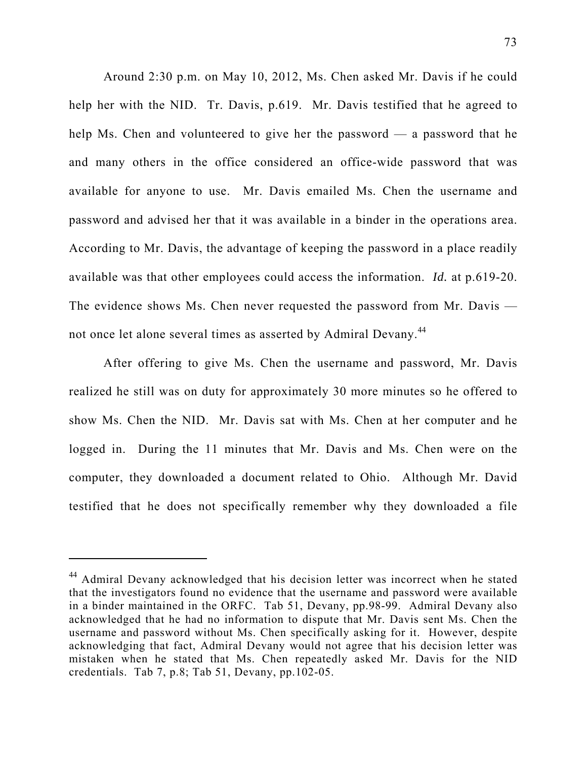Around 2:30 p.m. on May 10, 2012, Ms. Chen asked Mr. Davis if he could help her with the NID. Tr. Davis, p.619. Mr. Davis testified that he agreed to help Ms. Chen and volunteered to give her the password — a password that he and many others in the office considered an office-wide password that was available for anyone to use. Mr. Davis emailed Ms. Chen the username and password and advised her that it was available in a binder in the operations area. According to Mr. Davis, the advantage of keeping the password in a place readily available was that other employees could access the information. *Id.* at p.619-20. The evidence shows Ms. Chen never requested the password from Mr. Davis not once let alone several times as asserted by Admiral Devany.<sup>44</sup>

After offering to give Ms. Chen the username and password, Mr. Davis realized he still was on duty for approximately 30 more minutes so he offered to show Ms. Chen the NID. Mr. Davis sat with Ms. Chen at her computer and he logged in. During the 11 minutes that Mr. Davis and Ms. Chen were on the computer, they downloaded a document related to Ohio. Although Mr. David testified that he does not specifically remember why they downloaded a file

<sup>44</sup> Admiral Devany acknowledged that his decision letter was incorrect when he stated that the investigators found no evidence that the username and password were available in a binder maintained in the ORFC. Tab 51, Devany, pp.98-99. Admiral Devany also acknowledged that he had no information to dispute that Mr. Davis sent Ms. Chen the username and password without Ms. Chen specifically asking for it. However, despite acknowledging that fact, Admiral Devany would not agree that his decision letter was mistaken when he stated that Ms. Chen repeatedly asked Mr. Davis for the NID credentials. Tab 7, p.8; Tab 51, Devany, pp.102-05.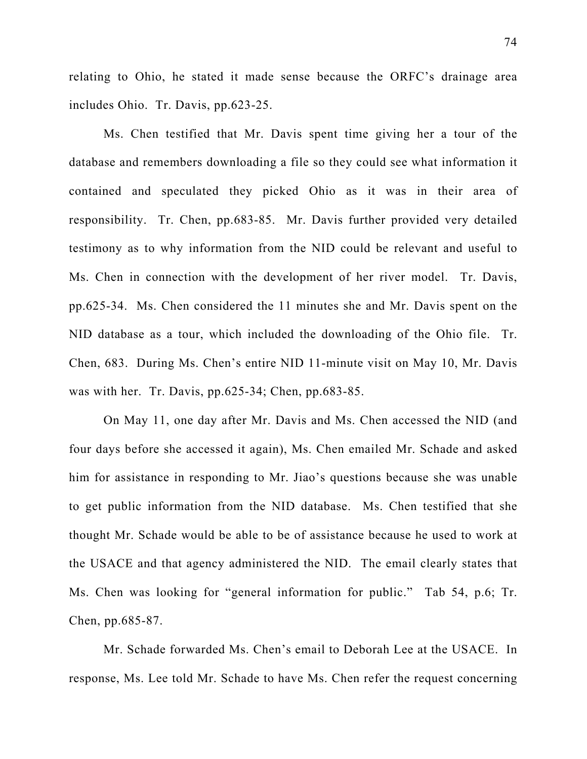relating to Ohio, he stated it made sense because the ORFC's drainage area includes Ohio. Tr. Davis, pp.623-25.

Ms. Chen testified that Mr. Davis spent time giving her a tour of the database and remembers downloading a file so they could see what information it contained and speculated they picked Ohio as it was in their area of responsibility. Tr. Chen, pp.683-85. Mr. Davis further provided very detailed testimony as to why information from the NID could be relevant and useful to Ms. Chen in connection with the development of her river model. Tr. Davis, pp.625-34. Ms. Chen considered the 11 minutes she and Mr. Davis spent on the NID database as a tour, which included the downloading of the Ohio file. Tr. Chen, 683. During Ms. Chen's entire NID 11-minute visit on May 10, Mr. Davis was with her. Tr. Davis, pp.625-34; Chen, pp.683-85.

On May 11, one day after Mr. Davis and Ms. Chen accessed the NID (and four days before she accessed it again), Ms. Chen emailed Mr. Schade and asked him for assistance in responding to Mr. Jiao's questions because she was unable to get public information from the NID database. Ms. Chen testified that she thought Mr. Schade would be able to be of assistance because he used to work at the USACE and that agency administered the NID. The email clearly states that Ms. Chen was looking for "general information for public." Tab 54, p.6; Tr. Chen, pp.685-87.

Mr. Schade forwarded Ms. Chen's email to Deborah Lee at the USACE. In response, Ms. Lee told Mr. Schade to have Ms. Chen refer the request concerning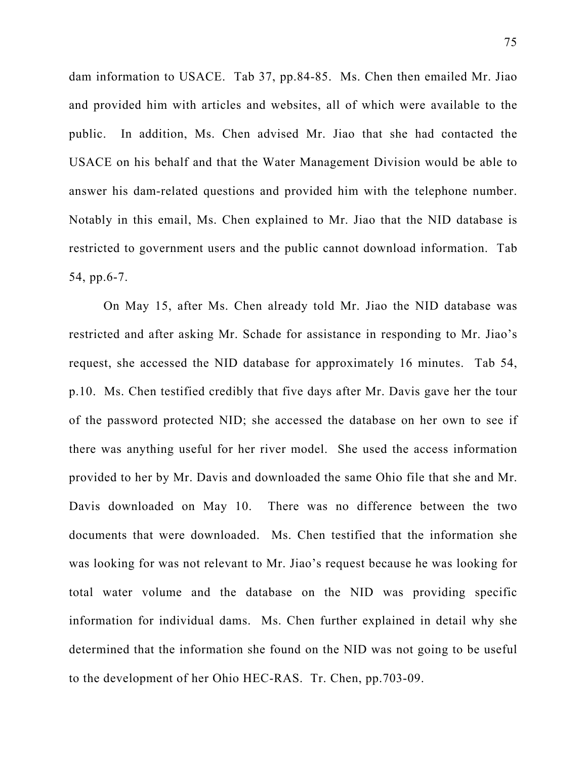dam information to USACE. Tab 37, pp.84-85. Ms. Chen then emailed Mr. Jiao and provided him with articles and websites, all of which were available to the public. In addition, Ms. Chen advised Mr. Jiao that she had contacted the USACE on his behalf and that the Water Management Division would be able to answer his dam-related questions and provided him with the telephone number. Notably in this email, Ms. Chen explained to Mr. Jiao that the NID database is restricted to government users and the public cannot download information. Tab 54, pp.6-7.

On May 15, after Ms. Chen already told Mr. Jiao the NID database was restricted and after asking Mr. Schade for assistance in responding to Mr. Jiao's request, she accessed the NID database for approximately 16 minutes. Tab 54, p.10. Ms. Chen testified credibly that five days after Mr. Davis gave her the tour of the password protected NID; she accessed the database on her own to see if there was anything useful for her river model. She used the access information provided to her by Mr. Davis and downloaded the same Ohio file that she and Mr. Davis downloaded on May 10. There was no difference between the two documents that were downloaded. Ms. Chen testified that the information she was looking for was not relevant to Mr. Jiao's request because he was looking for total water volume and the database on the NID was providing specific information for individual dams. Ms. Chen further explained in detail why she determined that the information she found on the NID was not going to be useful to the development of her Ohio HEC-RAS. Tr. Chen, pp.703-09.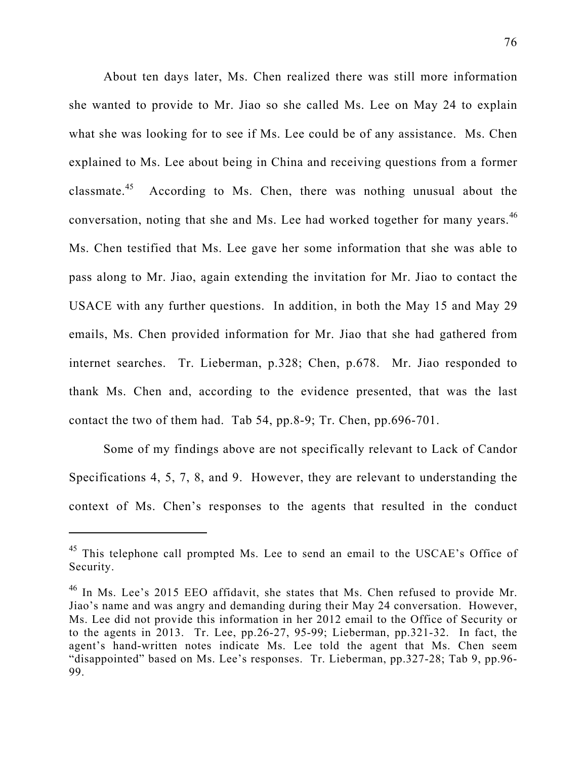About ten days later, Ms. Chen realized there was still more information she wanted to provide to Mr. Jiao so she called Ms. Lee on May 24 to explain what she was looking for to see if Ms. Lee could be of any assistance. Ms. Chen explained to Ms. Lee about being in China and receiving questions from a former classmate.<sup>45</sup> According to Ms. Chen, there was nothing unusual about the conversation, noting that she and Ms. Lee had worked together for many years.<sup>46</sup> Ms. Chen testified that Ms. Lee gave her some information that she was able to pass along to Mr. Jiao, again extending the invitation for Mr. Jiao to contact the USACE with any further questions. In addition, in both the May 15 and May 29 emails, Ms. Chen provided information for Mr. Jiao that she had gathered from internet searches. Tr. Lieberman, p.328; Chen, p.678. Mr. Jiao responded to thank Ms. Chen and, according to the evidence presented, that was the last contact the two of them had. Tab 54, pp.8-9; Tr. Chen, pp.696-701.

Some of my findings above are not specifically relevant to Lack of Candor Specifications 4, 5, 7, 8, and 9. However, they are relevant to understanding the context of Ms. Chen's responses to the agents that resulted in the conduct

<sup>&</sup>lt;sup>45</sup> This telephone call prompted Ms. Lee to send an email to the USCAE's Office of Security.

<sup>&</sup>lt;sup>46</sup> In Ms. Lee's 2015 EEO affidavit, she states that Ms. Chen refused to provide Mr. Jiao's name and was angry and demanding during their May 24 conversation. However, Ms. Lee did not provide this information in her 2012 email to the Office of Security or to the agents in 2013. Tr. Lee, pp.26-27, 95-99; Lieberman, pp.321-32. In fact, the agent's hand-written notes indicate Ms. Lee told the agent that Ms. Chen seem "disappointed" based on Ms. Lee's responses. Tr. Lieberman, pp.327-28; Tab 9, pp.96- 99.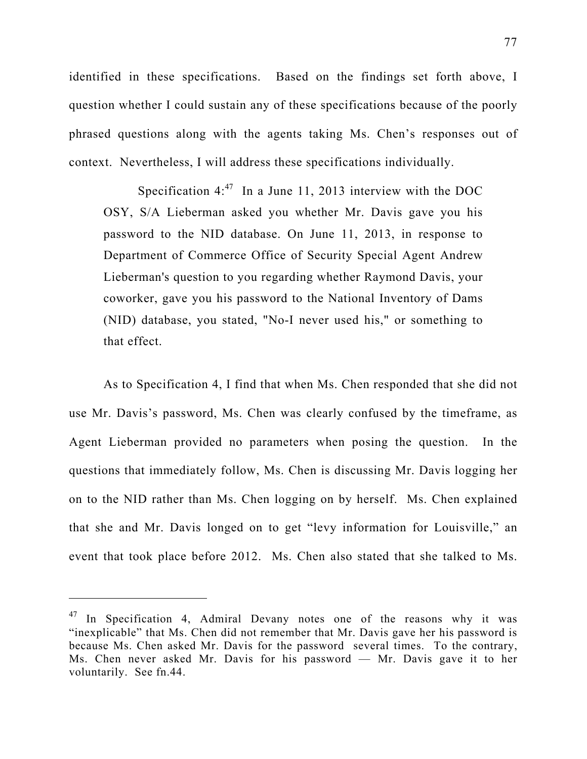identified in these specifications. Based on the findings set forth above, I question whether I could sustain any of these specifications because of the poorly phrased questions along with the agents taking Ms. Chen's responses out of context. Nevertheless, I will address these specifications individually.

Specification  $4:^{47}$  In a June 11, 2013 interview with the DOC OSY, S/A Lieberman asked you whether Mr. Davis gave you his password to the NID database. On June 11, 2013, in response to Department of Commerce Office of Security Special Agent Andrew Lieberman's question to you regarding whether Raymond Davis, your coworker, gave you his password to the National Inventory of Dams (NID) database, you stated, "No-I never used his," or something to that effect.

As to Specification 4, I find that when Ms. Chen responded that she did not use Mr. Davis's password, Ms. Chen was clearly confused by the timeframe, as Agent Lieberman provided no parameters when posing the question. In the questions that immediately follow, Ms. Chen is discussing Mr. Davis logging her on to the NID rather than Ms. Chen logging on by herself. Ms. Chen explained that she and Mr. Davis longed on to get "levy information for Louisville," an event that took place before 2012. Ms. Chen also stated that she talked to Ms.

 $47$  In Specification 4, Admiral Devany notes one of the reasons why it was "inexplicable" that Ms. Chen did not remember that Mr. Davis gave her his password is because Ms. Chen asked Mr. Davis for the password several times. To the contrary, Ms. Chen never asked Mr. Davis for his password — Mr. Davis gave it to her voluntarily. See fn.44.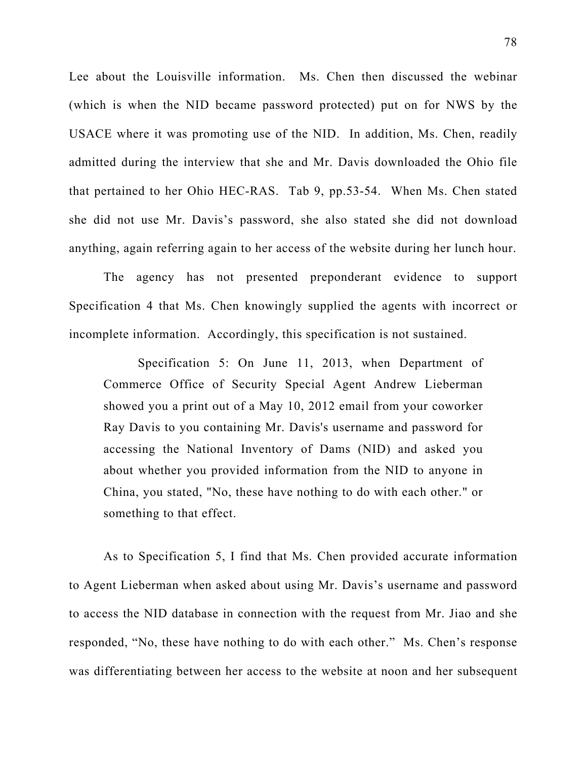Lee about the Louisville information. Ms. Chen then discussed the webinar (which is when the NID became password protected) put on for NWS by the USACE where it was promoting use of the NID. In addition, Ms. Chen, readily admitted during the interview that she and Mr. Davis downloaded the Ohio file that pertained to her Ohio HEC-RAS. Tab 9, pp.53-54. When Ms. Chen stated she did not use Mr. Davis's password, she also stated she did not download anything, again referring again to her access of the website during her lunch hour.

The agency has not presented preponderant evidence to support Specification 4 that Ms. Chen knowingly supplied the agents with incorrect or incomplete information. Accordingly, this specification is not sustained.

Specification 5: On June 11, 2013, when Department of Commerce Office of Security Special Agent Andrew Lieberman showed you a print out of a May 10, 2012 email from your coworker Ray Davis to you containing Mr. Davis's username and password for accessing the National Inventory of Dams (NID) and asked you about whether you provided information from the NID to anyone in China, you stated, "No, these have nothing to do with each other." or something to that effect.

As to Specification 5, I find that Ms. Chen provided accurate information to Agent Lieberman when asked about using Mr. Davis's username and password to access the NID database in connection with the request from Mr. Jiao and she responded, "No, these have nothing to do with each other." Ms. Chen's response was differentiating between her access to the website at noon and her subsequent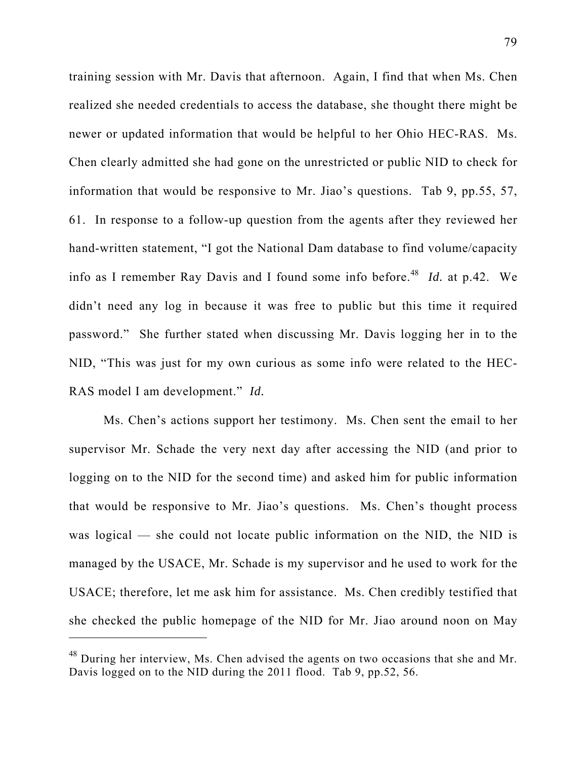training session with Mr. Davis that afternoon. Again, I find that when Ms. Chen realized she needed credentials to access the database, she thought there might be newer or updated information that would be helpful to her Ohio HEC-RAS. Ms. Chen clearly admitted she had gone on the unrestricted or public NID to check for information that would be responsive to Mr. Jiao's questions. Tab 9, pp.55, 57, 61. In response to a follow-up question from the agents after they reviewed her hand-written statement, "I got the National Dam database to find volume/capacity info as I remember Ray Davis and I found some info before.<sup>48</sup> *Id.* at p.42. We didn't need any log in because it was free to public but this time it required password." She further stated when discussing Mr. Davis logging her in to the NID, "This was just for my own curious as some info were related to the HEC-RAS model I am development." *Id.* 

Ms. Chen's actions support her testimony. Ms. Chen sent the email to her supervisor Mr. Schade the very next day after accessing the NID (and prior to logging on to the NID for the second time) and asked him for public information that would be responsive to Mr. Jiao's questions. Ms. Chen's thought process was logical — she could not locate public information on the NID, the NID is managed by the USACE, Mr. Schade is my supervisor and he used to work for the USACE; therefore, let me ask him for assistance. Ms. Chen credibly testified that she checked the public homepage of the NID for Mr. Jiao around noon on May

<sup>&</sup>lt;sup>48</sup> During her interview, Ms. Chen advised the agents on two occasions that she and Mr. Davis logged on to the NID during the 2011 flood. Tab 9, pp.52, 56.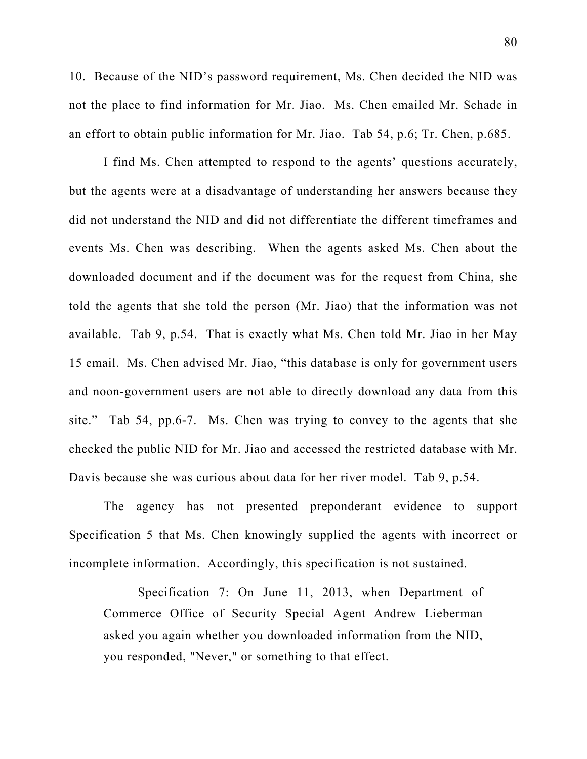10. Because of the NID's password requirement, Ms. Chen decided the NID was not the place to find information for Mr. Jiao. Ms. Chen emailed Mr. Schade in an effort to obtain public information for Mr. Jiao. Tab 54, p.6; Tr. Chen, p.685.

I find Ms. Chen attempted to respond to the agents' questions accurately, but the agents were at a disadvantage of understanding her answers because they did not understand the NID and did not differentiate the different timeframes and events Ms. Chen was describing. When the agents asked Ms. Chen about the downloaded document and if the document was for the request from China, she told the agents that she told the person (Mr. Jiao) that the information was not available. Tab 9, p.54. That is exactly what Ms. Chen told Mr. Jiao in her May 15 email. Ms. Chen advised Mr. Jiao, "this database is only for government users and noon-government users are not able to directly download any data from this site." Tab 54, pp.6-7. Ms. Chen was trying to convey to the agents that she checked the public NID for Mr. Jiao and accessed the restricted database with Mr. Davis because she was curious about data for her river model. Tab 9, p.54.

The agency has not presented preponderant evidence to support Specification 5 that Ms. Chen knowingly supplied the agents with incorrect or incomplete information. Accordingly, this specification is not sustained.

Specification 7: On June 11, 2013, when Department of Commerce Office of Security Special Agent Andrew Lieberman asked you again whether you downloaded information from the NID, you responded, "Never," or something to that effect.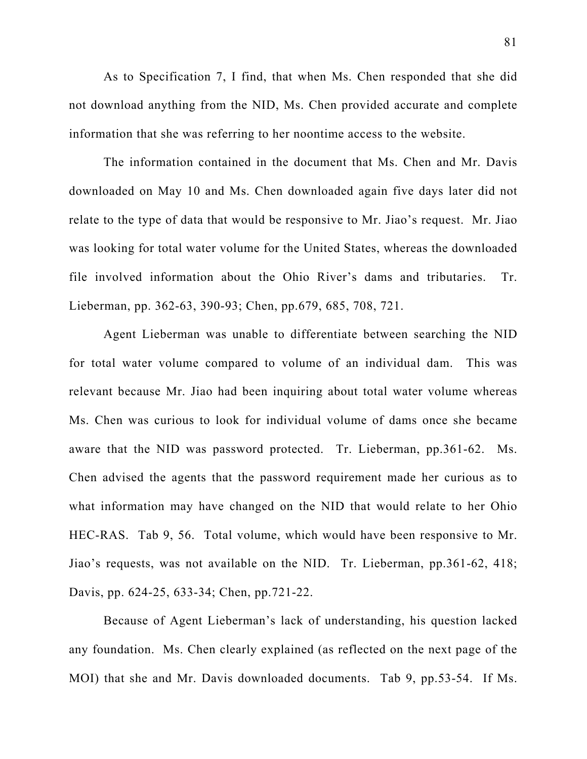As to Specification 7, I find, that when Ms. Chen responded that she did not download anything from the NID, Ms. Chen provided accurate and complete information that she was referring to her noontime access to the website.

The information contained in the document that Ms. Chen and Mr. Davis downloaded on May 10 and Ms. Chen downloaded again five days later did not relate to the type of data that would be responsive to Mr. Jiao's request. Mr. Jiao was looking for total water volume for the United States, whereas the downloaded file involved information about the Ohio River's dams and tributaries. Tr. Lieberman, pp. 362-63, 390-93; Chen, pp.679, 685, 708, 721.

Agent Lieberman was unable to differentiate between searching the NID for total water volume compared to volume of an individual dam. This was relevant because Mr. Jiao had been inquiring about total water volume whereas Ms. Chen was curious to look for individual volume of dams once she became aware that the NID was password protected. Tr. Lieberman, pp.361-62. Ms. Chen advised the agents that the password requirement made her curious as to what information may have changed on the NID that would relate to her Ohio HEC-RAS. Tab 9, 56. Total volume, which would have been responsive to Mr. Jiao's requests, was not available on the NID. Tr. Lieberman, pp.361-62, 418; Davis, pp. 624-25, 633-34; Chen, pp.721-22.

Because of Agent Lieberman's lack of understanding, his question lacked any foundation. Ms. Chen clearly explained (as reflected on the next page of the MOI) that she and Mr. Davis downloaded documents. Tab 9, pp.53-54. If Ms.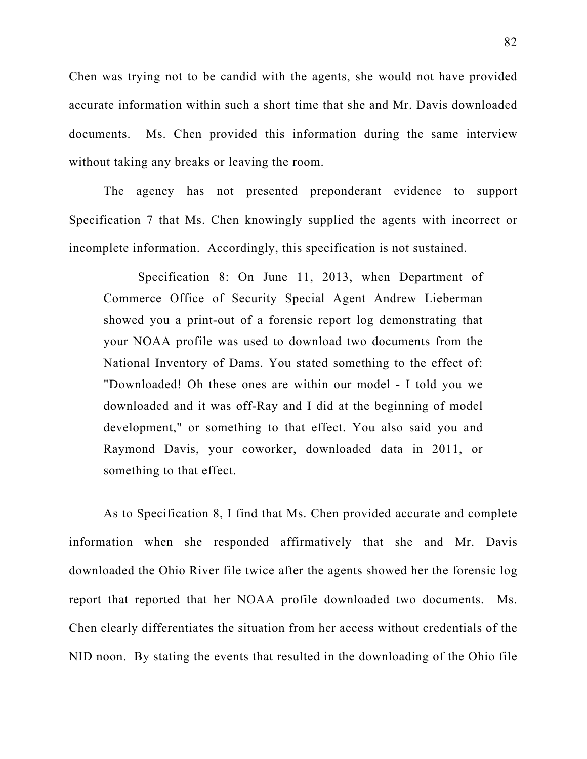Chen was trying not to be candid with the agents, she would not have provided accurate information within such a short time that she and Mr. Davis downloaded documents. Ms. Chen provided this information during the same interview without taking any breaks or leaving the room.

The agency has not presented preponderant evidence to support Specification 7 that Ms. Chen knowingly supplied the agents with incorrect or incomplete information. Accordingly, this specification is not sustained.

Specification 8: On June 11, 2013, when Department of Commerce Office of Security Special Agent Andrew Lieberman showed you a print-out of a forensic report log demonstrating that your NOAA profile was used to download two documents from the National Inventory of Dams. You stated something to the effect of: "Downloaded! Oh these ones are within our model - I told you we downloaded and it was off-Ray and I did at the beginning of model development," or something to that effect. You also said you and Raymond Davis, your coworker, downloaded data in 2011, or something to that effect.

As to Specification 8, I find that Ms. Chen provided accurate and complete information when she responded affirmatively that she and Mr. Davis downloaded the Ohio River file twice after the agents showed her the forensic log report that reported that her NOAA profile downloaded two documents. Ms. Chen clearly differentiates the situation from her access without credentials of the NID noon. By stating the events that resulted in the downloading of the Ohio file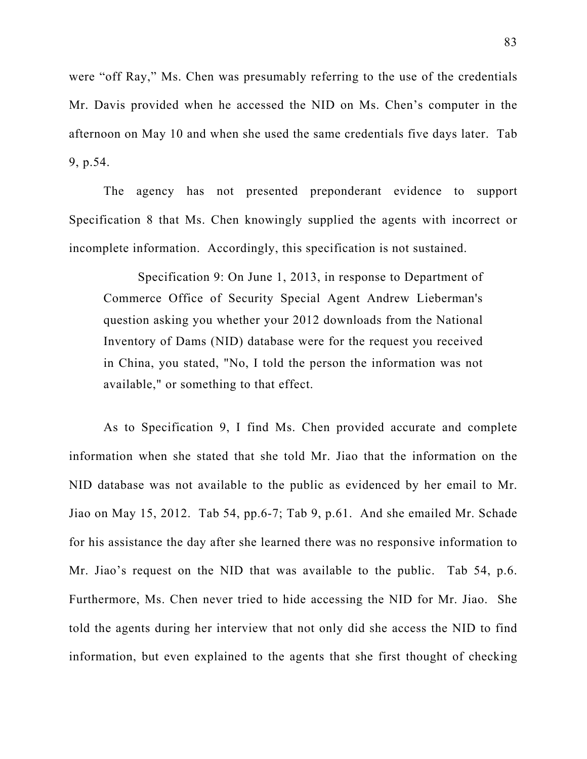were "off Ray," Ms. Chen was presumably referring to the use of the credentials Mr. Davis provided when he accessed the NID on Ms. Chen's computer in the afternoon on May 10 and when she used the same credentials five days later. Tab 9, p.54.

The agency has not presented preponderant evidence to support Specification 8 that Ms. Chen knowingly supplied the agents with incorrect or incomplete information. Accordingly, this specification is not sustained.

Specification 9: On June 1, 2013, in response to Department of Commerce Office of Security Special Agent Andrew Lieberman's question asking you whether your 2012 downloads from the National Inventory of Dams (NID) database were for the request you received in China, you stated, "No, I told the person the information was not available," or something to that effect.

As to Specification 9, I find Ms. Chen provided accurate and complete information when she stated that she told Mr. Jiao that the information on the NID database was not available to the public as evidenced by her email to Mr. Jiao on May 15, 2012. Tab 54, pp.6-7; Tab 9, p.61. And she emailed Mr. Schade for his assistance the day after she learned there was no responsive information to Mr. Jiao's request on the NID that was available to the public. Tab 54, p.6. Furthermore, Ms. Chen never tried to hide accessing the NID for Mr. Jiao. She told the agents during her interview that not only did she access the NID to find information, but even explained to the agents that she first thought of checking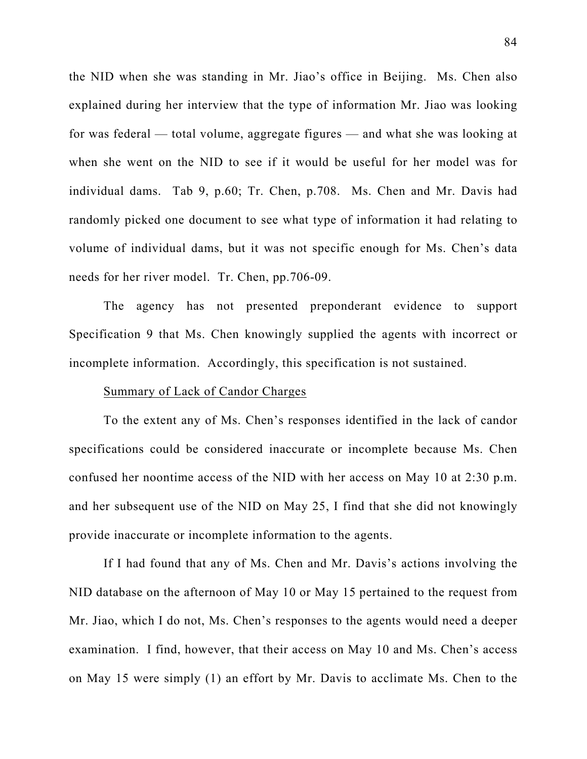the NID when she was standing in Mr. Jiao's office in Beijing. Ms. Chen also explained during her interview that the type of information Mr. Jiao was looking for was federal — total volume, aggregate figures — and what she was looking at when she went on the NID to see if it would be useful for her model was for individual dams. Tab 9, p.60; Tr. Chen, p.708. Ms. Chen and Mr. Davis had randomly picked one document to see what type of information it had relating to volume of individual dams, but it was not specific enough for Ms. Chen's data needs for her river model. Tr. Chen, pp.706-09.

The agency has not presented preponderant evidence to support Specification 9 that Ms. Chen knowingly supplied the agents with incorrect or incomplete information. Accordingly, this specification is not sustained.

#### Summary of Lack of Candor Charges

To the extent any of Ms. Chen's responses identified in the lack of candor specifications could be considered inaccurate or incomplete because Ms. Chen confused her noontime access of the NID with her access on May 10 at 2:30 p.m. and her subsequent use of the NID on May 25, I find that she did not knowingly provide inaccurate or incomplete information to the agents.

If I had found that any of Ms. Chen and Mr. Davis's actions involving the NID database on the afternoon of May 10 or May 15 pertained to the request from Mr. Jiao, which I do not, Ms. Chen's responses to the agents would need a deeper examination. I find, however, that their access on May 10 and Ms. Chen's access on May 15 were simply (1) an effort by Mr. Davis to acclimate Ms. Chen to the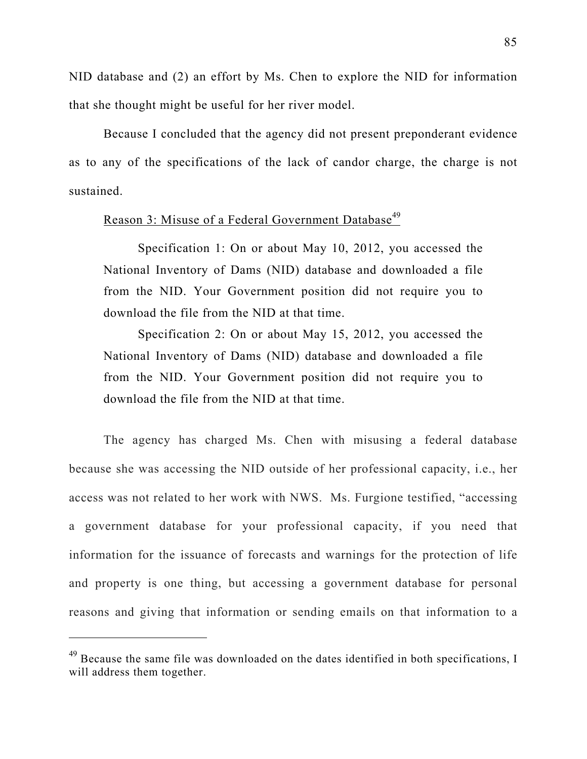NID database and (2) an effort by Ms. Chen to explore the NID for information that she thought might be useful for her river model.

Because I concluded that the agency did not present preponderant evidence as to any of the specifications of the lack of candor charge, the charge is not sustained.

# Reason 3: Misuse of a Federal Government Database<sup>49</sup>

Specification 1: On or about May 10, 2012, you accessed the National Inventory of Dams (NID) database and downloaded a file from the NID. Your Government position did not require you to download the file from the NID at that time.

Specification 2: On or about May 15, 2012, you accessed the National Inventory of Dams (NID) database and downloaded a file from the NID. Your Government position did not require you to download the file from the NID at that time.

The agency has charged Ms. Chen with misusing a federal database because she was accessing the NID outside of her professional capacity, i.e., her access was not related to her work with NWS. Ms. Furgione testified, "accessing a government database for your professional capacity, if you need that information for the issuance of forecasts and warnings for the protection of life and property is one thing, but accessing a government database for personal reasons and giving that information or sending emails on that information to a

<sup>&</sup>lt;sup>49</sup> Because the same file was downloaded on the dates identified in both specifications, I will address them together.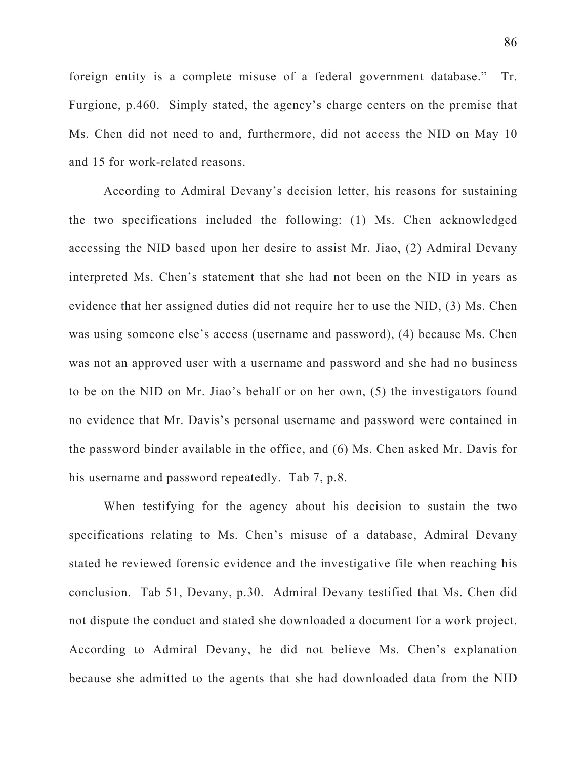foreign entity is a complete misuse of a federal government database." Tr. Furgione, p.460. Simply stated, the agency's charge centers on the premise that Ms. Chen did not need to and, furthermore, did not access the NID on May 10 and 15 for work-related reasons.

According to Admiral Devany's decision letter, his reasons for sustaining the two specifications included the following: (1) Ms. Chen acknowledged accessing the NID based upon her desire to assist Mr. Jiao, (2) Admiral Devany interpreted Ms. Chen's statement that she had not been on the NID in years as evidence that her assigned duties did not require her to use the NID, (3) Ms. Chen was using someone else's access (username and password), (4) because Ms. Chen was not an approved user with a username and password and she had no business to be on the NID on Mr. Jiao's behalf or on her own, (5) the investigators found no evidence that Mr. Davis's personal username and password were contained in the password binder available in the office, and (6) Ms. Chen asked Mr. Davis for his username and password repeatedly. Tab 7, p.8.

When testifying for the agency about his decision to sustain the two specifications relating to Ms. Chen's misuse of a database, Admiral Devany stated he reviewed forensic evidence and the investigative file when reaching his conclusion. Tab 51, Devany, p.30. Admiral Devany testified that Ms. Chen did not dispute the conduct and stated she downloaded a document for a work project. According to Admiral Devany, he did not believe Ms. Chen's explanation because she admitted to the agents that she had downloaded data from the NID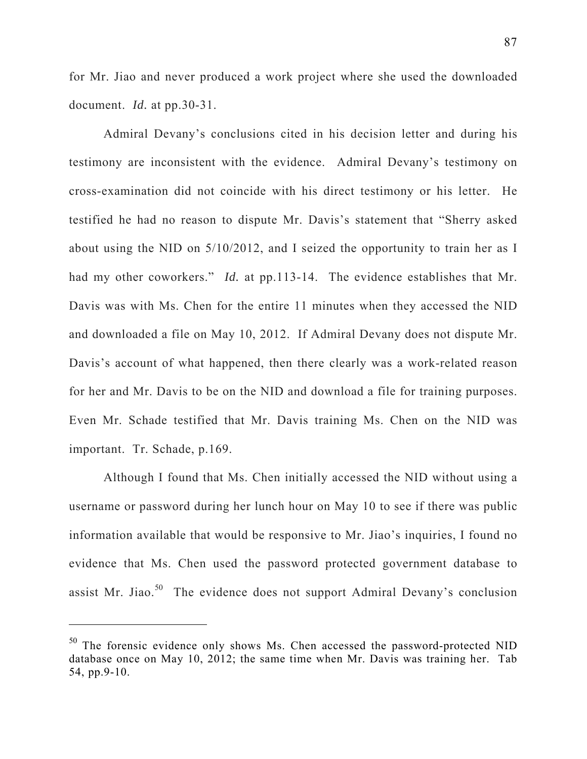for Mr. Jiao and never produced a work project where she used the downloaded document. *Id.* at pp.30-31.

Admiral Devany's conclusions cited in his decision letter and during his testimony are inconsistent with the evidence. Admiral Devany's testimony on cross-examination did not coincide with his direct testimony or his letter. He testified he had no reason to dispute Mr. Davis's statement that "Sherry asked about using the NID on 5/10/2012, and I seized the opportunity to train her as I had my other coworkers." *Id.* at pp.113-14. The evidence establishes that Mr. Davis was with Ms. Chen for the entire 11 minutes when they accessed the NID and downloaded a file on May 10, 2012. If Admiral Devany does not dispute Mr. Davis's account of what happened, then there clearly was a work-related reason for her and Mr. Davis to be on the NID and download a file for training purposes. Even Mr. Schade testified that Mr. Davis training Ms. Chen on the NID was important. Tr. Schade, p.169.

Although I found that Ms. Chen initially accessed the NID without using a username or password during her lunch hour on May 10 to see if there was public information available that would be responsive to Mr. Jiao's inquiries, I found no evidence that Ms. Chen used the password protected government database to assist Mr. Jiao.<sup>50</sup> The evidence does not support Admiral Devany's conclusion

 $50$  The forensic evidence only shows Ms. Chen accessed the password-protected NID database once on May 10, 2012; the same time when Mr. Davis was training her. Tab 54, pp.9-10.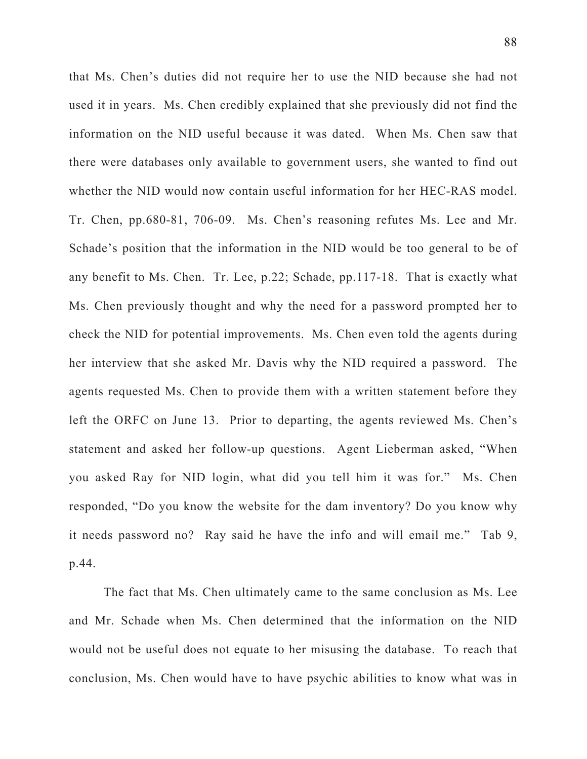that Ms. Chen's duties did not require her to use the NID because she had not used it in years. Ms. Chen credibly explained that she previously did not find the information on the NID useful because it was dated. When Ms. Chen saw that there were databases only available to government users, she wanted to find out whether the NID would now contain useful information for her HEC-RAS model. Tr. Chen, pp.680-81, 706-09. Ms. Chen's reasoning refutes Ms. Lee and Mr. Schade's position that the information in the NID would be too general to be of any benefit to Ms. Chen. Tr. Lee, p.22; Schade, pp.117-18. That is exactly what Ms. Chen previously thought and why the need for a password prompted her to check the NID for potential improvements. Ms. Chen even told the agents during her interview that she asked Mr. Davis why the NID required a password. The agents requested Ms. Chen to provide them with a written statement before they left the ORFC on June 13. Prior to departing, the agents reviewed Ms. Chen's statement and asked her follow-up questions. Agent Lieberman asked, "When you asked Ray for NID login, what did you tell him it was for." Ms. Chen responded, "Do you know the website for the dam inventory? Do you know why it needs password no? Ray said he have the info and will email me." Tab 9, p.44.

The fact that Ms. Chen ultimately came to the same conclusion as Ms. Lee and Mr. Schade when Ms. Chen determined that the information on the NID would not be useful does not equate to her misusing the database. To reach that conclusion, Ms. Chen would have to have psychic abilities to know what was in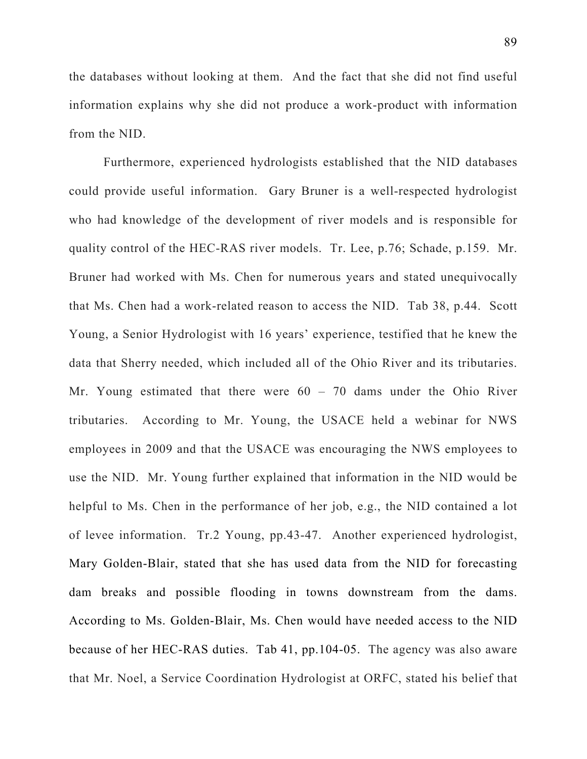the databases without looking at them. And the fact that she did not find useful information explains why she did not produce a work-product with information from the NID.

Furthermore, experienced hydrologists established that the NID databases could provide useful information. Gary Bruner is a well-respected hydrologist who had knowledge of the development of river models and is responsible for quality control of the HEC-RAS river models. Tr. Lee, p.76; Schade, p.159. Mr. Bruner had worked with Ms. Chen for numerous years and stated unequivocally that Ms. Chen had a work-related reason to access the NID. Tab 38, p.44. Scott Young, a Senior Hydrologist with 16 years' experience, testified that he knew the data that Sherry needed, which included all of the Ohio River and its tributaries. Mr. Young estimated that there were  $60 - 70$  dams under the Ohio River tributaries. According to Mr. Young, the USACE held a webinar for NWS employees in 2009 and that the USACE was encouraging the NWS employees to use the NID. Mr. Young further explained that information in the NID would be helpful to Ms. Chen in the performance of her job, e.g., the NID contained a lot of levee information. Tr.2 Young, pp.43-47. Another experienced hydrologist, Mary Golden-Blair, stated that she has used data from the NID for forecasting dam breaks and possible flooding in towns downstream from the dams. According to Ms. Golden-Blair, Ms. Chen would have needed access to the NID because of her HEC-RAS duties. Tab 41, pp.104-05. The agency was also aware that Mr. Noel, a Service Coordination Hydrologist at ORFC, stated his belief that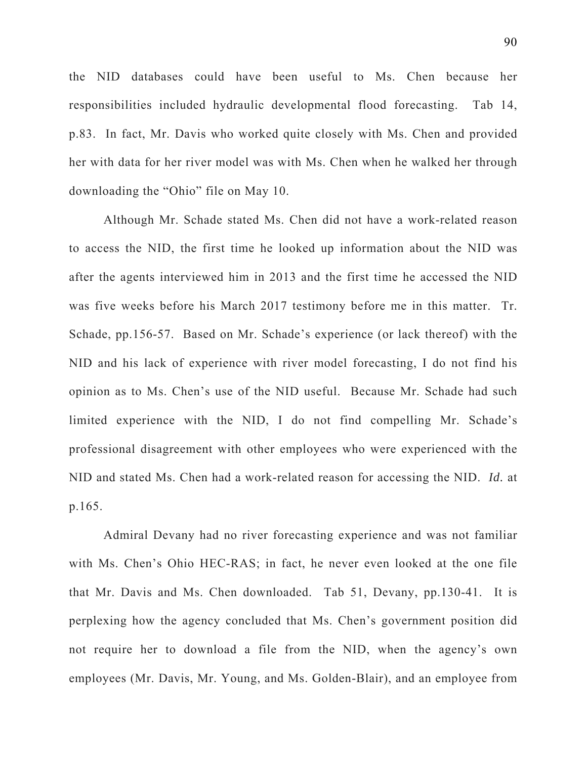the NID databases could have been useful to Ms. Chen because her responsibilities included hydraulic developmental flood forecasting. Tab 14, p.83. In fact, Mr. Davis who worked quite closely with Ms. Chen and provided her with data for her river model was with Ms. Chen when he walked her through downloading the "Ohio" file on May 10.

Although Mr. Schade stated Ms. Chen did not have a work-related reason to access the NID, the first time he looked up information about the NID was after the agents interviewed him in 2013 and the first time he accessed the NID was five weeks before his March 2017 testimony before me in this matter. Tr. Schade, pp.156-57. Based on Mr. Schade's experience (or lack thereof) with the NID and his lack of experience with river model forecasting, I do not find his opinion as to Ms. Chen's use of the NID useful. Because Mr. Schade had such limited experience with the NID, I do not find compelling Mr. Schade's professional disagreement with other employees who were experienced with the NID and stated Ms. Chen had a work-related reason for accessing the NID. *Id.* at p.165.

Admiral Devany had no river forecasting experience and was not familiar with Ms. Chen's Ohio HEC-RAS; in fact, he never even looked at the one file that Mr. Davis and Ms. Chen downloaded. Tab 51, Devany, pp.130-41. It is perplexing how the agency concluded that Ms. Chen's government position did not require her to download a file from the NID, when the agency's own employees (Mr. Davis, Mr. Young, and Ms. Golden-Blair), and an employee from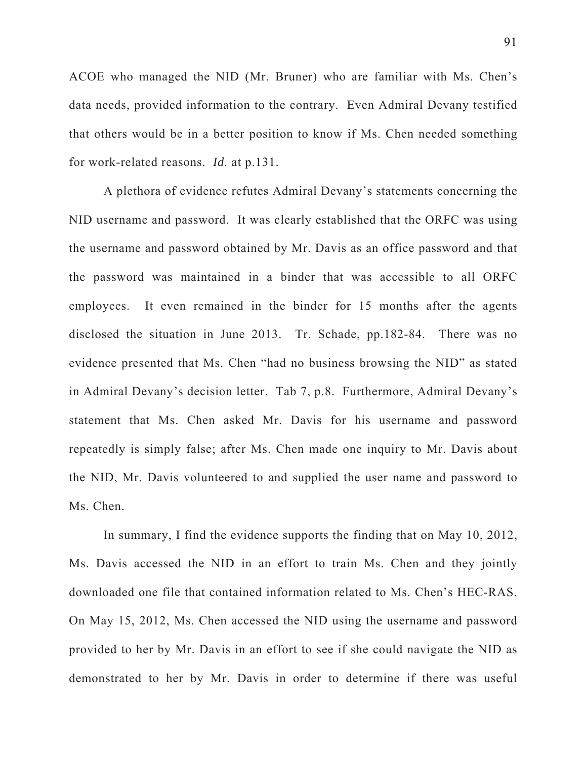ACOE who managed the NID (Mr. Bruner) who are familiar with Ms. Chen's data needs, provided information to the contrary. Even Admiral Devany testified that others would be in a better position to know if Ms. Chen needed something for work-related reasons. *Id.* at p.131.

A plethora of evidence refutes Admiral Devany's statements concerning the NID username and password. It was clearly established that the ORFC was using the username and password obtained by Mr. Davis as an office password and that the password was maintained in a binder that was accessible to all ORFC employees. It even remained in the binder for 15 months after the agents disclosed the situation in June 2013. Tr. Schade, pp.182-84. There was no evidence presented that Ms. Chen "had no business browsing the NID" as stated in Admiral Devany's decision letter. Tab 7, p.8. Furthermore, Admiral Devany's statement that Ms. Chen asked Mr. Davis for his username and password repeatedly is simply false; after Ms. Chen made one inquiry to Mr. Davis about the NID, Mr. Davis volunteered to and supplied the user name and password to Ms. Chen.

In summary, I find the evidence supports the finding that on May 10, 2012, Ms. Davis accessed the NID in an effort to train Ms. Chen and they jointly downloaded one file that contained information related to Ms. Chen's HEC-RAS. On May 15, 2012, Ms. Chen accessed the NID using the username and password provided to her by Mr. Davis in an effort to see if she could navigate the NID as demonstrated to her by Mr. Davis in order to determine if there was useful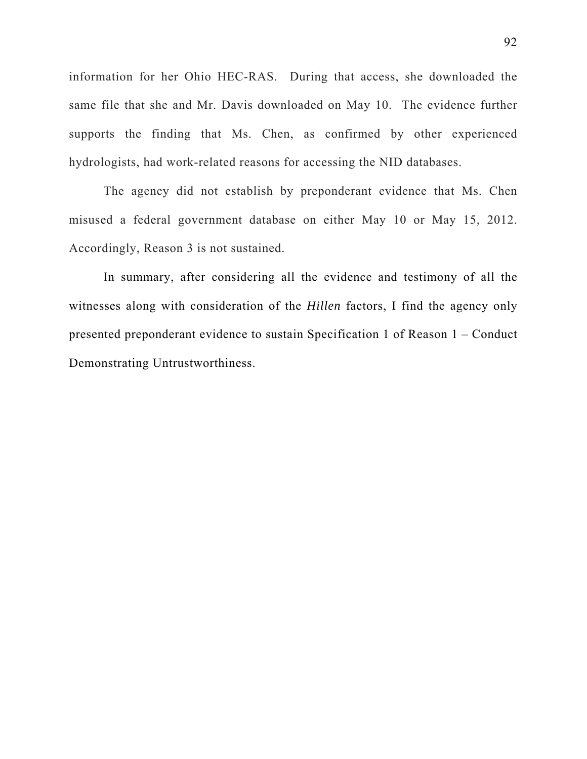information for her Ohio HEC-RAS. During that access, she downloaded the same file that she and Mr. Davis downloaded on May 10. The evidence further supports the finding that Ms. Chen, as confirmed by other experienced hydrologists, had work-related reasons for accessing the NID databases.

The agency did not establish by preponderant evidence that Ms. Chen misused a federal government database on either May 10 or May 15, 2012. Accordingly, Reason 3 is not sustained.

In summary, after considering all the evidence and testimony of all the witnesses along with consideration of the *Hillen* factors, I find the agency only presented preponderant evidence to sustain Specification 1 of Reason 1 – Conduct Demonstrating Untrustworthiness.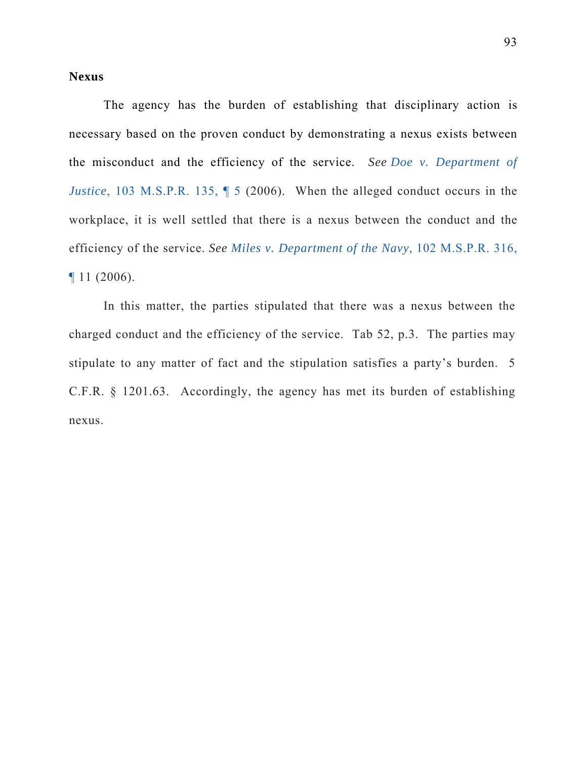## **Nexus**

The agency has the burden of establishing that disciplinary action is necessary based on the proven conduct by demonstrating a nexus exists between the misconduct and the efficiency of the service. *See Doe v. Department of Justice*, 103 M.S.P.R. 135,  $\parallel$  5 (2006). When the alleged conduct occurs in the workplace, it is well settled that there is a nexus between the conduct and the efficiency of the service. *See Miles v. Department of the Navy*, 102 M.S.P.R. 316, ¶ 11 (2006).

In this matter, the parties stipulated that there was a nexus between the charged conduct and the efficiency of the service. Tab 52, p.3. The parties may stipulate to any matter of fact and the stipulation satisfies a party's burden. 5 C.F.R. § 1201.63. Accordingly, the agency has met its burden of establishing nexus.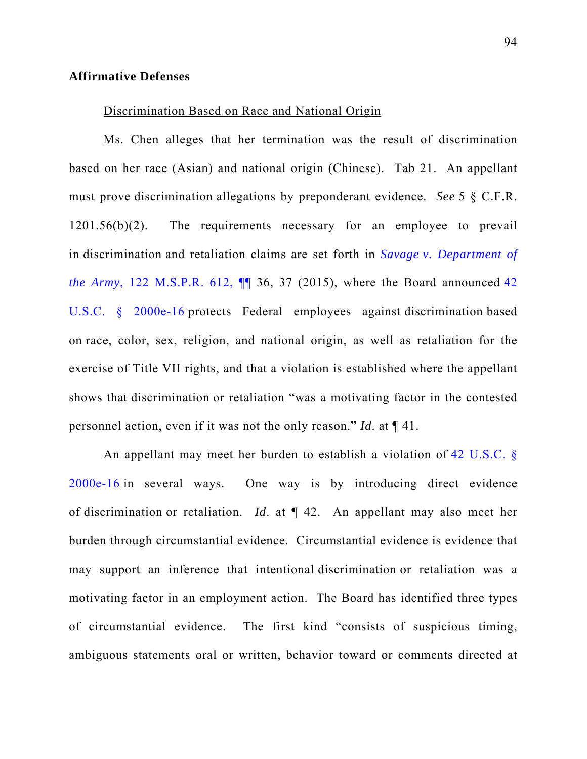### **Affirmative Defenses**

#### Discrimination Based on Race and National Origin

Ms. Chen alleges that her termination was the result of discrimination based on her race (Asian) and national origin (Chinese). Tab 21. An appellant must prove discrimination allegations by preponderant evidence. *See* 5 § C.F.R. 1201.56(b)(2). The requirements necessary for an employee to prevail in discrimination and retaliation claims are set forth in *Savage v. Department of the Army*, 122 M.S.P.R. 612, ¶¶ 36, 37 (2015), where the Board announced 42 U.S.C. § 2000e-16 protects Federal employees against discrimination based on race, color, sex, religion, and national origin, as well as retaliation for the exercise of Title VII rights, and that a violation is established where the appellant shows that discrimination or retaliation "was a motivating factor in the contested personnel action, even if it was not the only reason." *Id*. at ¶ 41.

An appellant may meet her burden to establish a violation of 42 U.S.C. § 2000e-16 in several ways. One way is by introducing direct evidence of discrimination or retaliation. *Id*. at ¶ 42. An appellant may also meet her burden through circumstantial evidence. Circumstantial evidence is evidence that may support an inference that intentional discrimination or retaliation was a motivating factor in an employment action. The Board has identified three types of circumstantial evidence. The first kind "consists of suspicious timing, ambiguous statements oral or written, behavior toward or comments directed at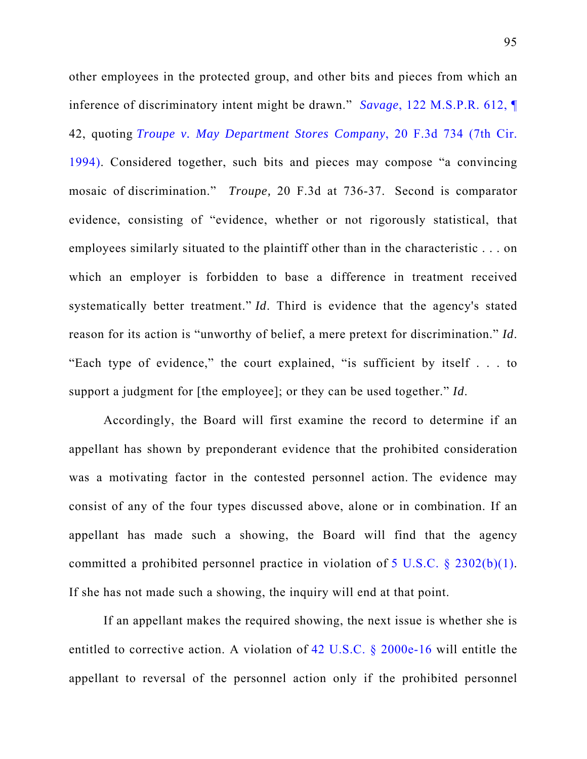other employees in the protected group, and other bits and pieces from which an inference of discriminatory intent might be drawn." *Savage*, 122 M.S.P.R. 612, ¶

42, quoting *Troupe v. May Department Stores Company*, 20 F.3d 734 (7th Cir.

1994). Considered together, such bits and pieces may compose "a convincing mosaic of discrimination." *Troupe,* 20 F.3d at 736-37. Second is comparator evidence, consisting of "evidence, whether or not rigorously statistical, that employees similarly situated to the plaintiff other than in the characteristic . . . on which an employer is forbidden to base a difference in treatment received systematically better treatment." *Id*. Third is evidence that the agency's stated reason for its action is "unworthy of belief, a mere pretext for discrimination." *Id*. "Each type of evidence," the court explained, "is sufficient by itself . . . to support a judgment for [the employee]; or they can be used together." *Id*.

Accordingly, the Board will first examine the record to determine if an appellant has shown by preponderant evidence that the prohibited consideration was a motivating factor in the contested personnel action. The evidence may consist of any of the four types discussed above, alone or in combination. If an appellant has made such a showing, the Board will find that the agency committed a prohibited personnel practice in violation of 5 U.S.C. § 2302(b)(1). If she has not made such a showing, the inquiry will end at that point.

If an appellant makes the required showing, the next issue is whether she is entitled to corrective action. A violation of 42 U.S.C. § 2000e-16 will entitle the appellant to reversal of the personnel action only if the prohibited personnel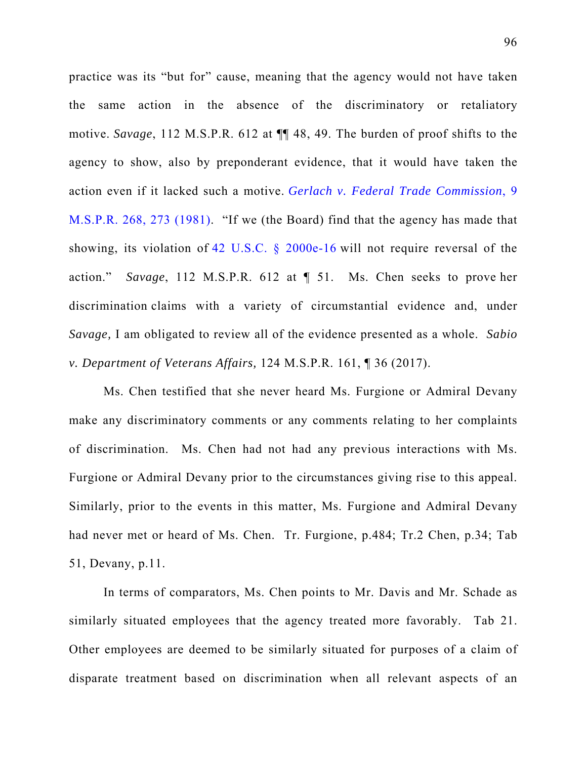practice was its "but for" cause, meaning that the agency would not have taken the same action in the absence of the discriminatory or retaliatory motive. *Savage*, 112 M.S.P.R. 612 at ¶¶ 48, 49. The burden of proof shifts to the agency to show, also by preponderant evidence, that it would have taken the action even if it lacked such a motive. *Gerlach v. Federal Trade Commission*, 9 M.S.P.R. 268, 273 (1981). "If we (the Board) find that the agency has made that showing, its violation of 42 U.S.C. § 2000e-16 will not require reversal of the action." *Savage*, 112 M.S.P.R. 612 at ¶ 51. Ms. Chen seeks to prove her discrimination claims with a variety of circumstantial evidence and, under *Savage,* I am obligated to review all of the evidence presented as a whole. *Sabio v. Department of Veterans Affairs,* 124 M.S.P.R. 161, ¶ 36 (2017).

Ms. Chen testified that she never heard Ms. Furgione or Admiral Devany make any discriminatory comments or any comments relating to her complaints of discrimination. Ms. Chen had not had any previous interactions with Ms. Furgione or Admiral Devany prior to the circumstances giving rise to this appeal. Similarly, prior to the events in this matter, Ms. Furgione and Admiral Devany had never met or heard of Ms. Chen. Tr. Furgione, p.484; Tr.2 Chen, p.34; Tab 51, Devany, p.11.

In terms of comparators, Ms. Chen points to Mr. Davis and Mr. Schade as similarly situated employees that the agency treated more favorably. Tab 21. Other employees are deemed to be similarly situated for purposes of a claim of disparate treatment based on discrimination when all relevant aspects of an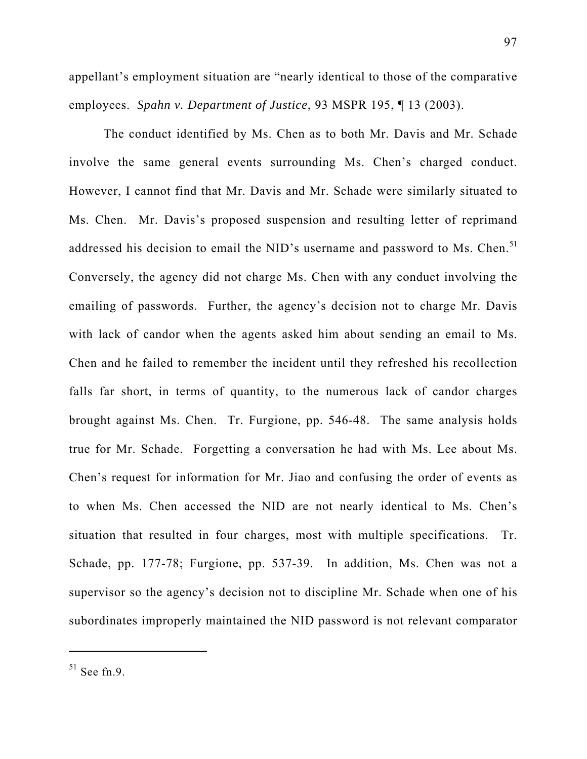appellant's employment situation are "nearly identical to those of the comparative employees. *Spahn v. Department of Justice*, 93 MSPR 195, ¶ 13 (2003).

The conduct identified by Ms. Chen as to both Mr. Davis and Mr. Schade involve the same general events surrounding Ms. Chen's charged conduct. However, I cannot find that Mr. Davis and Mr. Schade were similarly situated to Ms. Chen. Mr. Davis's proposed suspension and resulting letter of reprimand addressed his decision to email the NID's username and password to Ms. Chen.<sup>51</sup> Conversely, the agency did not charge Ms. Chen with any conduct involving the emailing of passwords. Further, the agency's decision not to charge Mr. Davis with lack of candor when the agents asked him about sending an email to Ms. Chen and he failed to remember the incident until they refreshed his recollection falls far short, in terms of quantity, to the numerous lack of candor charges brought against Ms. Chen. Tr. Furgione, pp. 546-48. The same analysis holds true for Mr. Schade. Forgetting a conversation he had with Ms. Lee about Ms. Chen's request for information for Mr. Jiao and confusing the order of events as to when Ms. Chen accessed the NID are not nearly identical to Ms. Chen's situation that resulted in four charges, most with multiple specifications. Tr. Schade, pp. 177-78; Furgione, pp. 537-39. In addition, Ms. Chen was not a supervisor so the agency's decision not to discipline Mr. Schade when one of his subordinates improperly maintained the NID password is not relevant comparator

 $51$  See fn.9.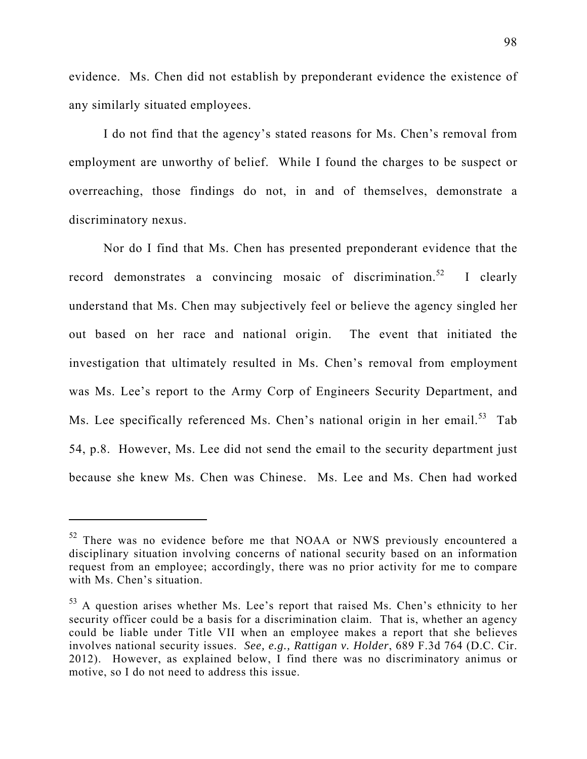evidence. Ms. Chen did not establish by preponderant evidence the existence of any similarly situated employees.

I do not find that the agency's stated reasons for Ms. Chen's removal from employment are unworthy of belief. While I found the charges to be suspect or overreaching, those findings do not, in and of themselves, demonstrate a discriminatory nexus.

Nor do I find that Ms. Chen has presented preponderant evidence that the record demonstrates a convincing mosaic of discrimination.<sup>52</sup> I clearly understand that Ms. Chen may subjectively feel or believe the agency singled her out based on her race and national origin. The event that initiated the investigation that ultimately resulted in Ms. Chen's removal from employment was Ms. Lee's report to the Army Corp of Engineers Security Department, and Ms. Lee specifically referenced Ms. Chen's national origin in her email.<sup>53</sup> Tab 54, p.8. However, Ms. Lee did not send the email to the security department just because she knew Ms. Chen was Chinese. Ms. Lee and Ms. Chen had worked

<sup>&</sup>lt;sup>52</sup> There was no evidence before me that NOAA or NWS previously encountered a disciplinary situation involving concerns of national security based on an information request from an employee; accordingly, there was no prior activity for me to compare with Ms. Chen's situation.

<sup>&</sup>lt;sup>53</sup> A question arises whether Ms. Lee's report that raised Ms. Chen's ethnicity to her security officer could be a basis for a discrimination claim. That is, whether an agency could be liable under Title VII when an employee makes a report that she believes involves national security issues. *See, e.g., Rattigan v. Holder*, 689 F.3d 764 (D.C. Cir. 2012).However, as explained below, I find there was no discriminatory animus or motive, so I do not need to address this issue.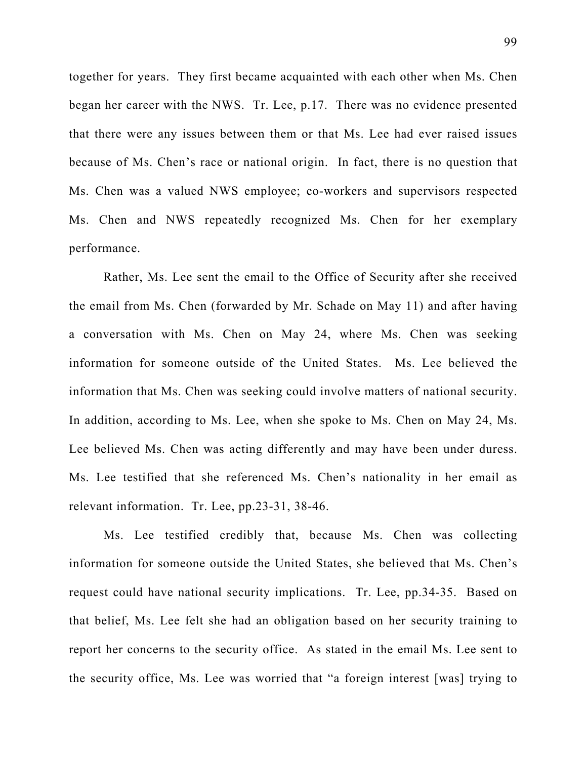together for years. They first became acquainted with each other when Ms. Chen began her career with the NWS. Tr. Lee, p.17. There was no evidence presented that there were any issues between them or that Ms. Lee had ever raised issues because of Ms. Chen's race or national origin. In fact, there is no question that Ms. Chen was a valued NWS employee; co-workers and supervisors respected Ms. Chen and NWS repeatedly recognized Ms. Chen for her exemplary performance.

Rather, Ms. Lee sent the email to the Office of Security after she received the email from Ms. Chen (forwarded by Mr. Schade on May 11) and after having a conversation with Ms. Chen on May 24, where Ms. Chen was seeking information for someone outside of the United States. Ms. Lee believed the information that Ms. Chen was seeking could involve matters of national security. In addition, according to Ms. Lee, when she spoke to Ms. Chen on May 24, Ms. Lee believed Ms. Chen was acting differently and may have been under duress. Ms. Lee testified that she referenced Ms. Chen's nationality in her email as relevant information. Tr. Lee, pp.23-31, 38-46.

Ms. Lee testified credibly that, because Ms. Chen was collecting information for someone outside the United States, she believed that Ms. Chen's request could have national security implications. Tr. Lee, pp.34-35. Based on that belief, Ms. Lee felt she had an obligation based on her security training to report her concerns to the security office. As stated in the email Ms. Lee sent to the security office, Ms. Lee was worried that "a foreign interest [was] trying to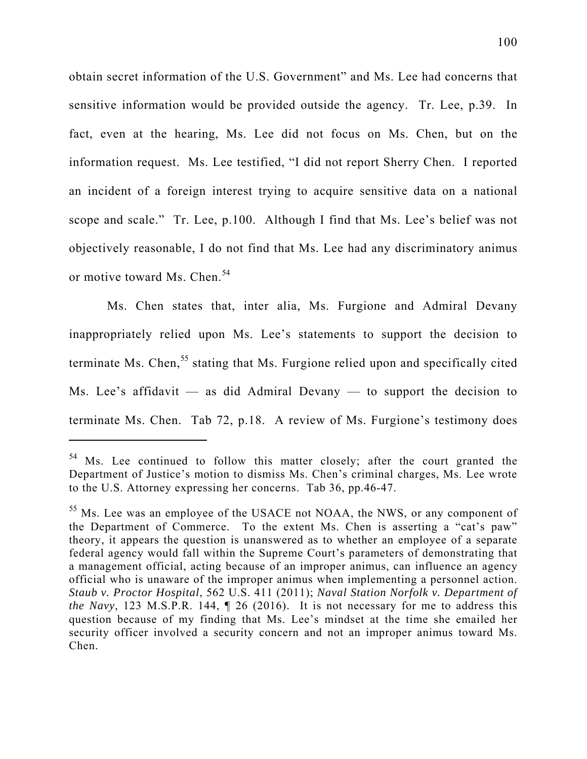obtain secret information of the U.S. Government" and Ms. Lee had concerns that sensitive information would be provided outside the agency. Tr. Lee, p.39. In fact, even at the hearing, Ms. Lee did not focus on Ms. Chen, but on the information request. Ms. Lee testified, "I did not report Sherry Chen. I reported an incident of a foreign interest trying to acquire sensitive data on a national scope and scale." Tr. Lee, p.100. Although I find that Ms. Lee's belief was not objectively reasonable, I do not find that Ms. Lee had any discriminatory animus or motive toward Ms. Chen.<sup>54</sup>

 Ms. Chen states that, inter alia, Ms. Furgione and Admiral Devany inappropriately relied upon Ms. Lee's statements to support the decision to terminate Ms. Chen,<sup>55</sup> stating that Ms. Furgione relied upon and specifically cited Ms. Lee's affidavit — as did Admiral Devany — to support the decision to terminate Ms. Chen. Tab 72, p.18. A review of Ms. Furgione's testimony does

 $54$  Ms. Lee continued to follow this matter closely; after the court granted the Department of Justice's motion to dismiss Ms. Chen's criminal charges, Ms. Lee wrote to the U.S. Attorney expressing her concerns. Tab 36, pp.46-47.

<sup>&</sup>lt;sup>55</sup> Ms. Lee was an employee of the USACE not NOAA, the NWS, or any component of the Department of Commerce. To the extent Ms. Chen is asserting a "cat's paw" theory, it appears the question is unanswered as to whether an employee of a separate federal agency would fall within the Supreme Court's parameters of demonstrating that a management official, acting because of an improper animus, can influence an agency official who is unaware of the improper animus when implementing a personnel action. *Staub v. Proctor Hospital*, 562 U.S. 411 (2011); *Naval Station Norfolk v. Department of the Navy*, 123 M.S.P.R. 144, ¶ 26 (2016). It is not necessary for me to address this question because of my finding that Ms. Lee's mindset at the time she emailed her security officer involved a security concern and not an improper animus toward Ms. Chen.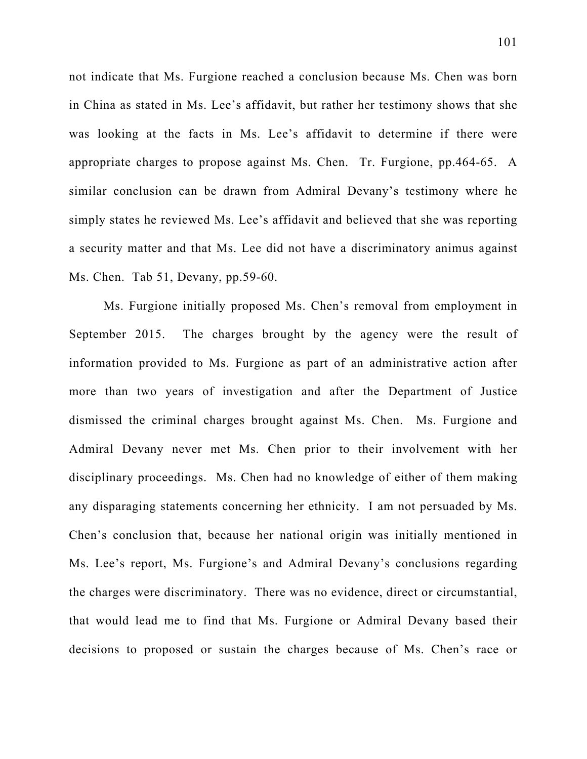not indicate that Ms. Furgione reached a conclusion because Ms. Chen was born in China as stated in Ms. Lee's affidavit, but rather her testimony shows that she was looking at the facts in Ms. Lee's affidavit to determine if there were appropriate charges to propose against Ms. Chen. Tr. Furgione, pp.464-65. A similar conclusion can be drawn from Admiral Devany's testimony where he simply states he reviewed Ms. Lee's affidavit and believed that she was reporting a security matter and that Ms. Lee did not have a discriminatory animus against Ms. Chen. Tab 51, Devany, pp.59-60.

Ms. Furgione initially proposed Ms. Chen's removal from employment in September 2015. The charges brought by the agency were the result of information provided to Ms. Furgione as part of an administrative action after more than two years of investigation and after the Department of Justice dismissed the criminal charges brought against Ms. Chen. Ms. Furgione and Admiral Devany never met Ms. Chen prior to their involvement with her disciplinary proceedings. Ms. Chen had no knowledge of either of them making any disparaging statements concerning her ethnicity. I am not persuaded by Ms. Chen's conclusion that, because her national origin was initially mentioned in Ms. Lee's report, Ms. Furgione's and Admiral Devany's conclusions regarding the charges were discriminatory. There was no evidence, direct or circumstantial, that would lead me to find that Ms. Furgione or Admiral Devany based their decisions to proposed or sustain the charges because of Ms. Chen's race or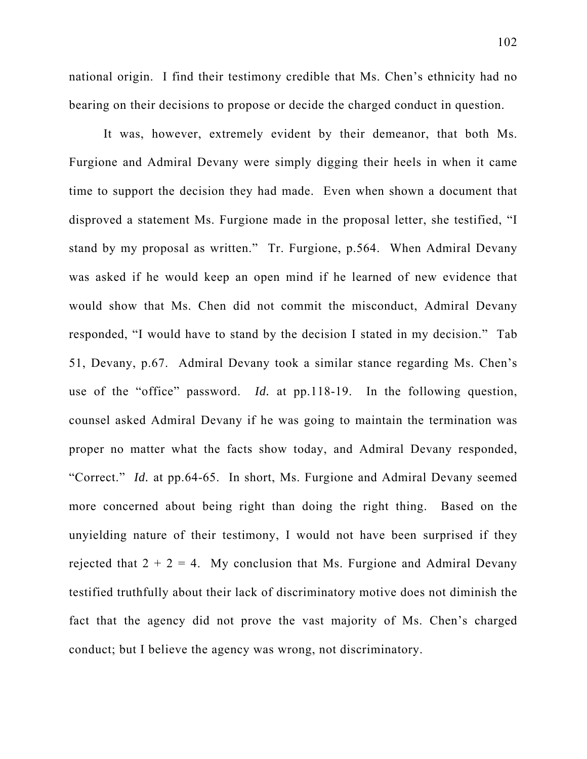national origin. I find their testimony credible that Ms. Chen's ethnicity had no bearing on their decisions to propose or decide the charged conduct in question.

It was, however, extremely evident by their demeanor, that both Ms. Furgione and Admiral Devany were simply digging their heels in when it came time to support the decision they had made. Even when shown a document that disproved a statement Ms. Furgione made in the proposal letter, she testified, "I stand by my proposal as written." Tr. Furgione, p.564. When Admiral Devany was asked if he would keep an open mind if he learned of new evidence that would show that Ms. Chen did not commit the misconduct, Admiral Devany responded, "I would have to stand by the decision I stated in my decision." Tab 51, Devany, p.67. Admiral Devany took a similar stance regarding Ms. Chen's use of the "office" password. *Id.* at pp.118-19. In the following question, counsel asked Admiral Devany if he was going to maintain the termination was proper no matter what the facts show today, and Admiral Devany responded, "Correct." *Id.* at pp.64-65. In short, Ms. Furgione and Admiral Devany seemed more concerned about being right than doing the right thing. Based on the unyielding nature of their testimony, I would not have been surprised if they rejected that  $2 + 2 = 4$ . My conclusion that Ms. Furgione and Admiral Devany testified truthfully about their lack of discriminatory motive does not diminish the fact that the agency did not prove the vast majority of Ms. Chen's charged conduct; but I believe the agency was wrong, not discriminatory.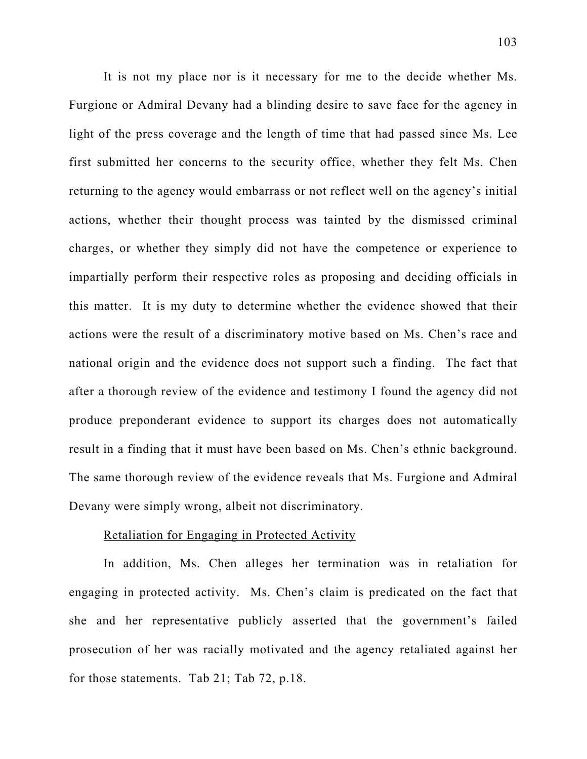It is not my place nor is it necessary for me to the decide whether Ms. Furgione or Admiral Devany had a blinding desire to save face for the agency in light of the press coverage and the length of time that had passed since Ms. Lee first submitted her concerns to the security office, whether they felt Ms. Chen returning to the agency would embarrass or not reflect well on the agency's initial actions, whether their thought process was tainted by the dismissed criminal charges, or whether they simply did not have the competence or experience to impartially perform their respective roles as proposing and deciding officials in this matter. It is my duty to determine whether the evidence showed that their actions were the result of a discriminatory motive based on Ms. Chen's race and national origin and the evidence does not support such a finding. The fact that after a thorough review of the evidence and testimony I found the agency did not produce preponderant evidence to support its charges does not automatically result in a finding that it must have been based on Ms. Chen's ethnic background. The same thorough review of the evidence reveals that Ms. Furgione and Admiral Devany were simply wrong, albeit not discriminatory.

### Retaliation for Engaging in Protected Activity

In addition, Ms. Chen alleges her termination was in retaliation for engaging in protected activity. Ms. Chen's claim is predicated on the fact that she and her representative publicly asserted that the government's failed prosecution of her was racially motivated and the agency retaliated against her for those statements. Tab 21; Tab 72, p.18.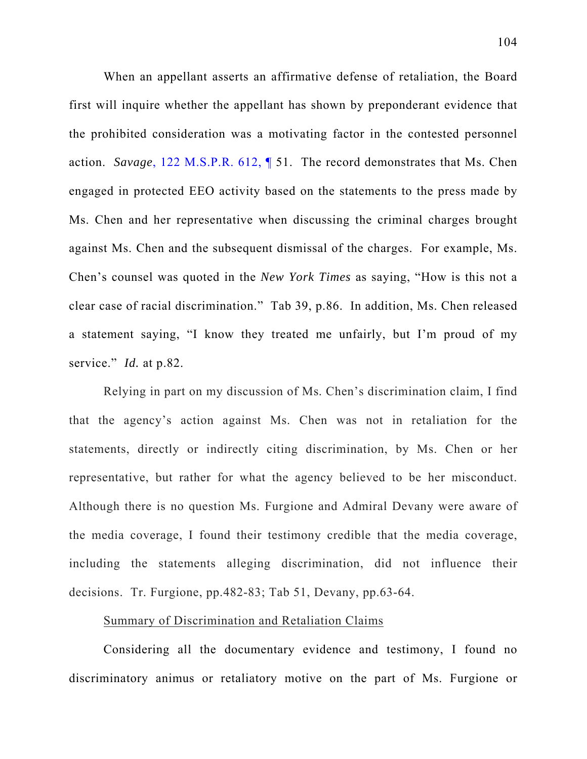When an appellant asserts an affirmative defense of retaliation, the Board first will inquire whether the appellant has shown by preponderant evidence that the prohibited consideration was a motivating factor in the contested personnel action. *Savage*, 122 M.S.P.R. 612, ¶ 51. The record demonstrates that Ms. Chen engaged in protected EEO activity based on the statements to the press made by Ms. Chen and her representative when discussing the criminal charges brought against Ms. Chen and the subsequent dismissal of the charges. For example, Ms. Chen's counsel was quoted in the *New York Times* as saying, "How is this not a clear case of racial discrimination." Tab 39, p.86. In addition, Ms. Chen released a statement saying, "I know they treated me unfairly, but I'm proud of my service." *Id.* at p.82.

Relying in part on my discussion of Ms. Chen's discrimination claim, I find that the agency's action against Ms. Chen was not in retaliation for the statements, directly or indirectly citing discrimination, by Ms. Chen or her representative, but rather for what the agency believed to be her misconduct. Although there is no question Ms. Furgione and Admiral Devany were aware of the media coverage, I found their testimony credible that the media coverage, including the statements alleging discrimination, did not influence their decisions. Tr. Furgione, pp.482-83; Tab 51, Devany, pp.63-64.

### Summary of Discrimination and Retaliation Claims

Considering all the documentary evidence and testimony, I found no discriminatory animus or retaliatory motive on the part of Ms. Furgione or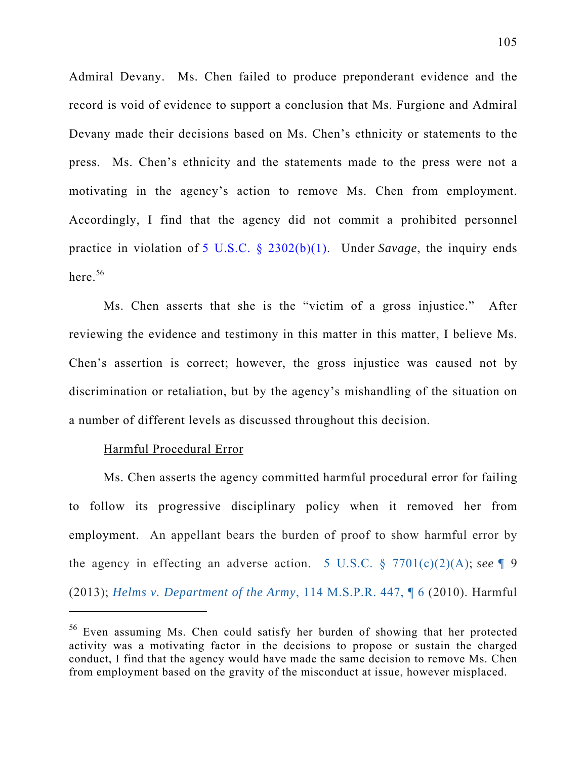Admiral Devany. Ms. Chen failed to produce preponderant evidence and the record is void of evidence to support a conclusion that Ms. Furgione and Admiral Devany made their decisions based on Ms. Chen's ethnicity or statements to the press. Ms. Chen's ethnicity and the statements made to the press were not a motivating in the agency's action to remove Ms. Chen from employment. Accordingly, I find that the agency did not commit a prohibited personnel practice in violation of 5 U.S.C. § 2302(b)(1). Under *Savage*, the inquiry ends here.  $56$ 

Ms. Chen asserts that she is the "victim of a gross injustice." After reviewing the evidence and testimony in this matter in this matter, I believe Ms. Chen's assertion is correct; however, the gross injustice was caused not by discrimination or retaliation, but by the agency's mishandling of the situation on a number of different levels as discussed throughout this decision.

#### Harmful Procedural Error

 $\overline{a}$ 

Ms. Chen asserts the agency committed harmful procedural error for failing to follow its progressive disciplinary policy when it removed her from employment. An appellant bears the burden of proof to show harmful error by the agency in effecting an adverse action. 5 U.S.C. § 7701(c)(2)(A); *see ¶* 9 (2013); *Helms v. Department of the Army*, 114 M.S.P.R. 447, ¶ 6 (2010). Harmful

<sup>56</sup> Even assuming Ms. Chen could satisfy her burden of showing that her protected activity was a motivating factor in the decisions to propose or sustain the charged conduct, I find that the agency would have made the same decision to remove Ms. Chen from employment based on the gravity of the misconduct at issue, however misplaced.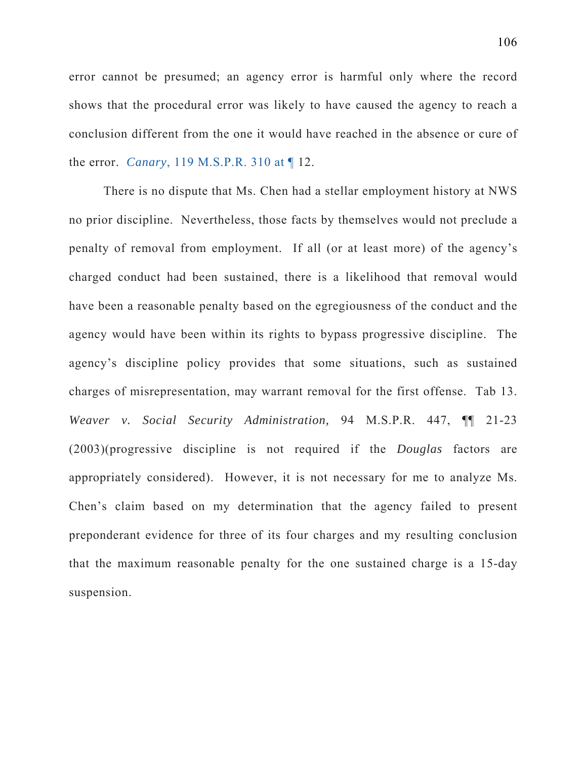error cannot be presumed; an agency error is harmful only where the record shows that the procedural error was likely to have caused the agency to reach a conclusion different from the one it would have reached in the absence or cure of the error. *Canary*, 119 M.S.P.R. 310 at ¶ 12.

There is no dispute that Ms. Chen had a stellar employment history at NWS no prior discipline. Nevertheless, those facts by themselves would not preclude a penalty of removal from employment. If all (or at least more) of the agency's charged conduct had been sustained, there is a likelihood that removal would have been a reasonable penalty based on the egregiousness of the conduct and the agency would have been within its rights to bypass progressive discipline. The agency's discipline policy provides that some situations, such as sustained charges of misrepresentation, may warrant removal for the first offense. Tab 13. *Weaver v. Social Security Administration,* 94 M.S.P.R. 447, ¶¶ 21-23 (2003)(progressive discipline is not required if the *Douglas* factors are appropriately considered). However, it is not necessary for me to analyze Ms. Chen's claim based on my determination that the agency failed to present preponderant evidence for three of its four charges and my resulting conclusion that the maximum reasonable penalty for the one sustained charge is a 15-day suspension.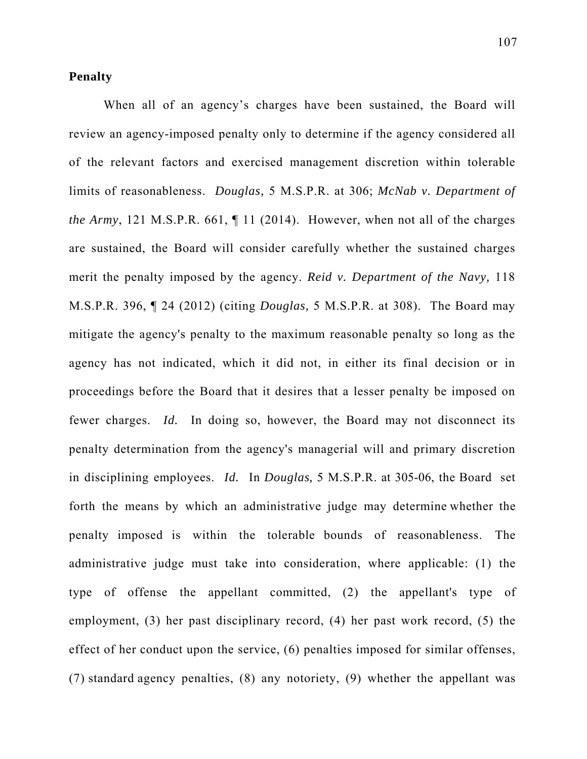### **Penalty**

When all of an agency's charges have been sustained, the Board will review an agency-imposed penalty only to determine if the agency considered all of the relevant factors and exercised management discretion within tolerable limits of reasonableness. *Douglas,* 5 M.S.P.R. at 306; *McNab v. Department of the Army*, 121 M.S.P.R. 661, ¶ 11 (2014). However, when not all of the charges are sustained, the Board will consider carefully whether the sustained charges merit the penalty imposed by the agency. *Reid v. Department of the Navy,* 118 M.S.P.R. 396, ¶ 24 (2012) (citing *Douglas,* 5 M.S.P.R. at 308). The Board may mitigate the agency's penalty to the maximum reasonable penalty so long as the agency has not indicated, which it did not, in either its final decision or in proceedings before the Board that it desires that a lesser penalty be imposed on fewer charges. *Id.* In doing so, however, the Board may not disconnect its penalty determination from the agency's managerial will and primary discretion in disciplining employees. *Id.* In *Douglas,* 5 M.S.P.R. at 305-06, the Board set forth the means by which an administrative judge may determine whether the penalty imposed is within the tolerable bounds of reasonableness. The administrative judge must take into consideration, where applicable: (1) the type of offense the appellant committed, (2) the appellant's type of employment, (3) her past disciplinary record, (4) her past work record, (5) the effect of her conduct upon the service, (6) penalties imposed for similar offenses, (7) standard agency penalties, (8) any notoriety, (9) whether the appellant was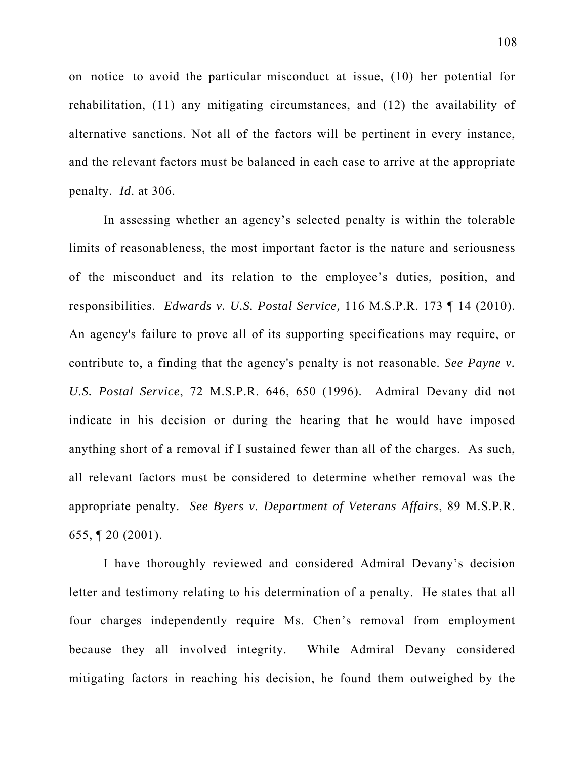on notice to avoid the particular misconduct at issue, (10) her potential for rehabilitation, (11) any mitigating circumstances, and (12) the availability of alternative sanctions. Not all of the factors will be pertinent in every instance, and the relevant factors must be balanced in each case to arrive at the appropriate penalty. *Id*. at 306.

In assessing whether an agency's selected penalty is within the tolerable limits of reasonableness, the most important factor is the nature and seriousness of the misconduct and its relation to the employee's duties, position, and responsibilities. *Edwards v. U.S. Postal Service,* 116 M.S.P.R. 173 ¶ 14 (2010). An agency's failure to prove all of its supporting specifications may require, or contribute to, a finding that the agency's penalty is not reasonable. *See Payne v. U.S. Postal Service*, 72 M.S.P.R. 646, 650 (1996). Admiral Devany did not indicate in his decision or during the hearing that he would have imposed anything short of a removal if I sustained fewer than all of the charges. As such, all relevant factors must be considered to determine whether removal was the appropriate penalty. *See Byers v. Department of Veterans Affairs*, 89 M.S.P.R. 655, ¶ 20 (2001).

I have thoroughly reviewed and considered Admiral Devany's decision letter and testimony relating to his determination of a penalty. He states that all four charges independently require Ms. Chen's removal from employment because they all involved integrity. While Admiral Devany considered mitigating factors in reaching his decision, he found them outweighed by the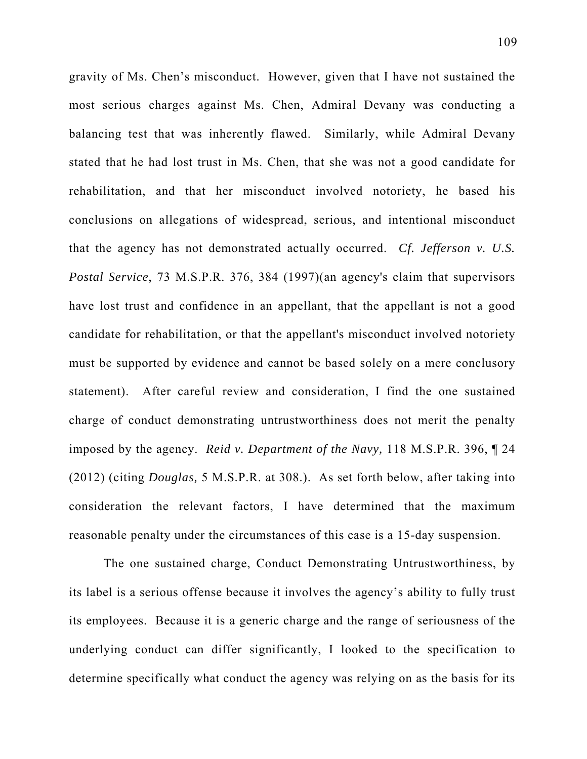gravity of Ms. Chen's misconduct. However, given that I have not sustained the most serious charges against Ms. Chen, Admiral Devany was conducting a balancing test that was inherently flawed. Similarly, while Admiral Devany stated that he had lost trust in Ms. Chen, that she was not a good candidate for rehabilitation, and that her misconduct involved notoriety, he based his conclusions on allegations of widespread, serious, and intentional misconduct that the agency has not demonstrated actually occurred. *Cf. Jefferson v. U.S. Postal Service*, 73 M.S.P.R. 376, 384 (1997)(an agency's claim that supervisors have lost trust and confidence in an appellant, that the appellant is not a good candidate for rehabilitation, or that the appellant's misconduct involved notoriety must be supported by evidence and cannot be based solely on a mere conclusory statement). After careful review and consideration, I find the one sustained charge of conduct demonstrating untrustworthiness does not merit the penalty imposed by the agency. *Reid v. Department of the Navy,* 118 M.S.P.R. 396, ¶ 24 (2012) (citing *Douglas,* 5 M.S.P.R. at 308.). As set forth below, after taking into consideration the relevant factors, I have determined that the maximum reasonable penalty under the circumstances of this case is a 15-day suspension.

The one sustained charge, Conduct Demonstrating Untrustworthiness, by its label is a serious offense because it involves the agency's ability to fully trust its employees. Because it is a generic charge and the range of seriousness of the underlying conduct can differ significantly, I looked to the specification to determine specifically what conduct the agency was relying on as the basis for its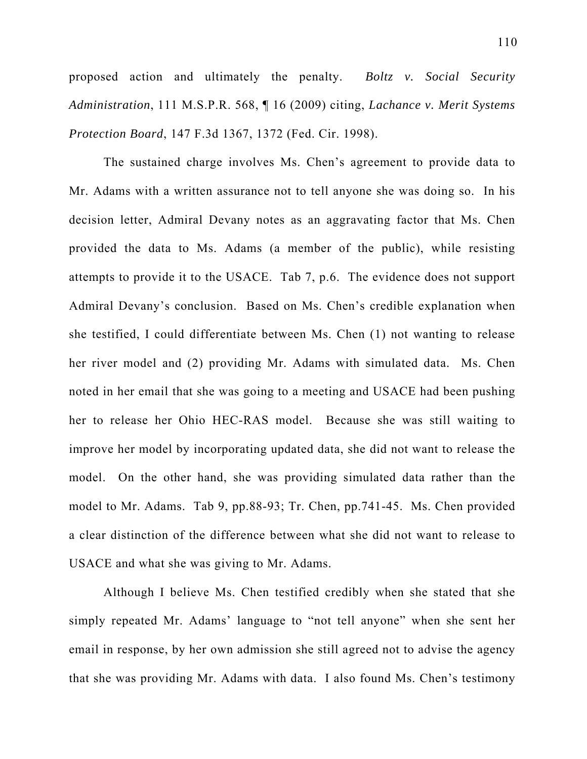proposed action and ultimately the penalty. *Boltz v. Social Security Administration*, 111 M.S.P.R. 568, ¶ 16 (2009) citing, *Lachance v. Merit Systems Protection Board*, 147 F.3d 1367, 1372 (Fed. Cir. 1998).

The sustained charge involves Ms. Chen's agreement to provide data to Mr. Adams with a written assurance not to tell anyone she was doing so. In his decision letter, Admiral Devany notes as an aggravating factor that Ms. Chen provided the data to Ms. Adams (a member of the public), while resisting attempts to provide it to the USACE. Tab 7, p.6. The evidence does not support Admiral Devany's conclusion. Based on Ms. Chen's credible explanation when she testified, I could differentiate between Ms. Chen (1) not wanting to release her river model and (2) providing Mr. Adams with simulated data. Ms. Chen noted in her email that she was going to a meeting and USACE had been pushing her to release her Ohio HEC-RAS model. Because she was still waiting to improve her model by incorporating updated data, she did not want to release the model. On the other hand, she was providing simulated data rather than the model to Mr. Adams. Tab 9, pp.88-93; Tr. Chen, pp.741-45. Ms. Chen provided a clear distinction of the difference between what she did not want to release to USACE and what she was giving to Mr. Adams.

Although I believe Ms. Chen testified credibly when she stated that she simply repeated Mr. Adams' language to "not tell anyone" when she sent her email in response, by her own admission she still agreed not to advise the agency that she was providing Mr. Adams with data. I also found Ms. Chen's testimony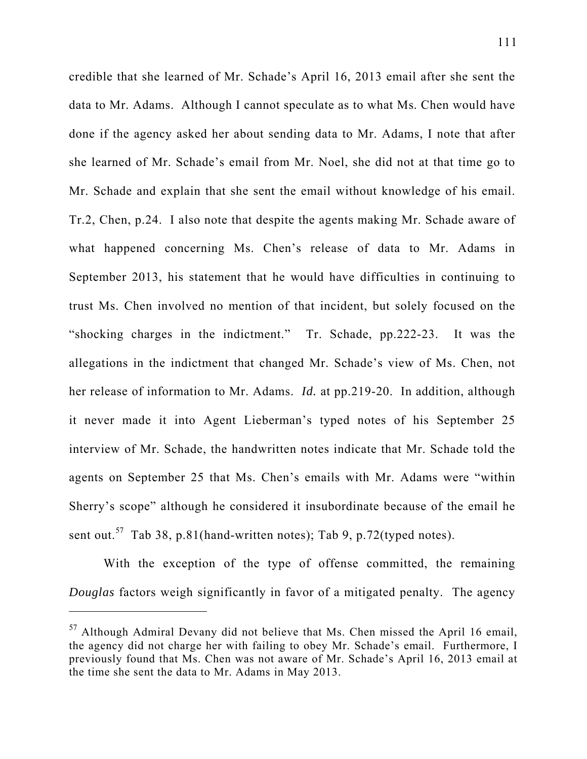credible that she learned of Mr. Schade's April 16, 2013 email after she sent the data to Mr. Adams. Although I cannot speculate as to what Ms. Chen would have done if the agency asked her about sending data to Mr. Adams, I note that after she learned of Mr. Schade's email from Mr. Noel, she did not at that time go to Mr. Schade and explain that she sent the email without knowledge of his email. Tr.2, Chen, p.24. I also note that despite the agents making Mr. Schade aware of what happened concerning Ms. Chen's release of data to Mr. Adams in September 2013, his statement that he would have difficulties in continuing to trust Ms. Chen involved no mention of that incident, but solely focused on the "shocking charges in the indictment." Tr. Schade, pp.222-23. It was the allegations in the indictment that changed Mr. Schade's view of Ms. Chen, not her release of information to Mr. Adams. *Id.* at pp.219-20. In addition, although it never made it into Agent Lieberman's typed notes of his September 25 interview of Mr. Schade, the handwritten notes indicate that Mr. Schade told the agents on September 25 that Ms. Chen's emails with Mr. Adams were "within Sherry's scope" although he considered it insubordinate because of the email he sent out.<sup>57</sup> Tab 38, p.81(hand-written notes); Tab 9, p.72(typed notes).

With the exception of the type of offense committed, the remaining *Douglas* factors weigh significantly in favor of a mitigated penalty. The agency

 $\overline{a}$ 

 $57$  Although Admiral Devany did not believe that Ms. Chen missed the April 16 email, the agency did not charge her with failing to obey Mr. Schade's email. Furthermore, I previously found that Ms. Chen was not aware of Mr. Schade's April 16, 2013 email at the time she sent the data to Mr. Adams in May 2013.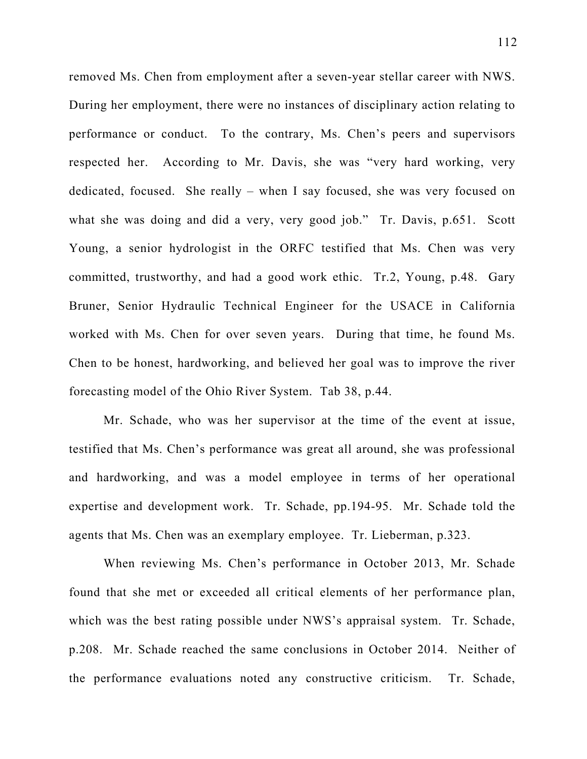removed Ms. Chen from employment after a seven-year stellar career with NWS. During her employment, there were no instances of disciplinary action relating to performance or conduct. To the contrary, Ms. Chen's peers and supervisors respected her. According to Mr. Davis, she was "very hard working, very dedicated, focused. She really – when I say focused, she was very focused on what she was doing and did a very, very good job." Tr. Davis, p.651. Scott Young, a senior hydrologist in the ORFC testified that Ms. Chen was very committed, trustworthy, and had a good work ethic. Tr.2, Young, p.48. Gary Bruner, Senior Hydraulic Technical Engineer for the USACE in California worked with Ms. Chen for over seven years. During that time, he found Ms. Chen to be honest, hardworking, and believed her goal was to improve the river forecasting model of the Ohio River System. Tab 38, p.44.

Mr. Schade, who was her supervisor at the time of the event at issue, testified that Ms. Chen's performance was great all around, she was professional and hardworking, and was a model employee in terms of her operational expertise and development work. Tr. Schade, pp.194-95. Mr. Schade told the agents that Ms. Chen was an exemplary employee. Tr. Lieberman, p.323.

When reviewing Ms. Chen's performance in October 2013, Mr. Schade found that she met or exceeded all critical elements of her performance plan, which was the best rating possible under NWS's appraisal system. Tr. Schade, p.208. Mr. Schade reached the same conclusions in October 2014. Neither of the performance evaluations noted any constructive criticism. Tr. Schade,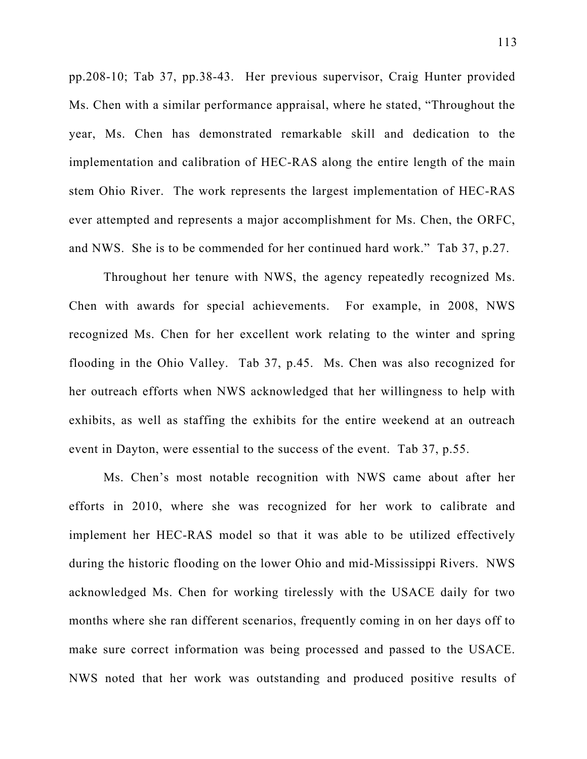pp.208-10; Tab 37, pp.38-43. Her previous supervisor, Craig Hunter provided Ms. Chen with a similar performance appraisal, where he stated, "Throughout the year, Ms. Chen has demonstrated remarkable skill and dedication to the implementation and calibration of HEC-RAS along the entire length of the main stem Ohio River. The work represents the largest implementation of HEC-RAS ever attempted and represents a major accomplishment for Ms. Chen, the ORFC, and NWS. She is to be commended for her continued hard work." Tab 37, p.27.

Throughout her tenure with NWS, the agency repeatedly recognized Ms. Chen with awards for special achievements. For example, in 2008, NWS recognized Ms. Chen for her excellent work relating to the winter and spring flooding in the Ohio Valley. Tab 37, p.45. Ms. Chen was also recognized for her outreach efforts when NWS acknowledged that her willingness to help with exhibits, as well as staffing the exhibits for the entire weekend at an outreach event in Dayton, were essential to the success of the event. Tab 37, p.55.

Ms. Chen's most notable recognition with NWS came about after her efforts in 2010, where she was recognized for her work to calibrate and implement her HEC-RAS model so that it was able to be utilized effectively during the historic flooding on the lower Ohio and mid-Mississippi Rivers. NWS acknowledged Ms. Chen for working tirelessly with the USACE daily for two months where she ran different scenarios, frequently coming in on her days off to make sure correct information was being processed and passed to the USACE. NWS noted that her work was outstanding and produced positive results of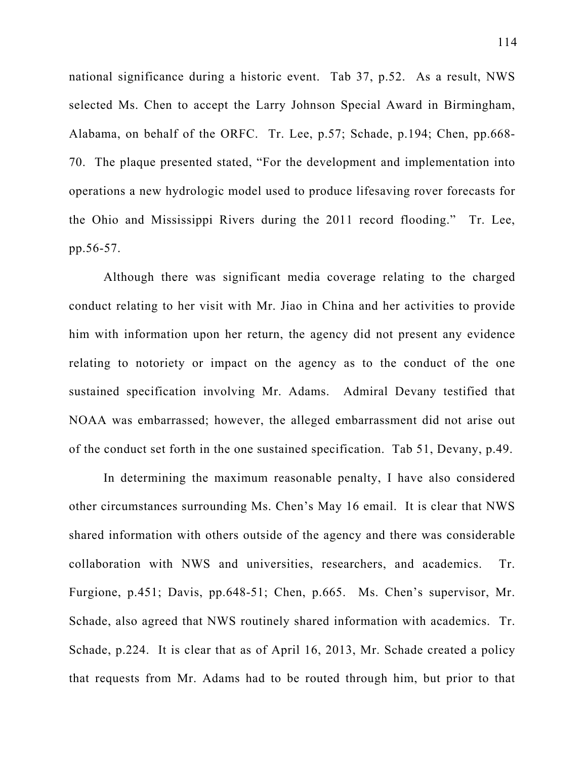national significance during a historic event. Tab 37, p.52. As a result, NWS selected Ms. Chen to accept the Larry Johnson Special Award in Birmingham, Alabama, on behalf of the ORFC. Tr. Lee, p.57; Schade, p.194; Chen, pp.668- 70. The plaque presented stated, "For the development and implementation into operations a new hydrologic model used to produce lifesaving rover forecasts for the Ohio and Mississippi Rivers during the 2011 record flooding." Tr. Lee, pp.56-57.

Although there was significant media coverage relating to the charged conduct relating to her visit with Mr. Jiao in China and her activities to provide him with information upon her return, the agency did not present any evidence relating to notoriety or impact on the agency as to the conduct of the one sustained specification involving Mr. Adams. Admiral Devany testified that NOAA was embarrassed; however, the alleged embarrassment did not arise out of the conduct set forth in the one sustained specification. Tab 51, Devany, p.49.

In determining the maximum reasonable penalty, I have also considered other circumstances surrounding Ms. Chen's May 16 email. It is clear that NWS shared information with others outside of the agency and there was considerable collaboration with NWS and universities, researchers, and academics. Tr. Furgione, p.451; Davis, pp.648-51; Chen, p.665. Ms. Chen's supervisor, Mr. Schade, also agreed that NWS routinely shared information with academics. Tr. Schade, p.224. It is clear that as of April 16, 2013, Mr. Schade created a policy that requests from Mr. Adams had to be routed through him, but prior to that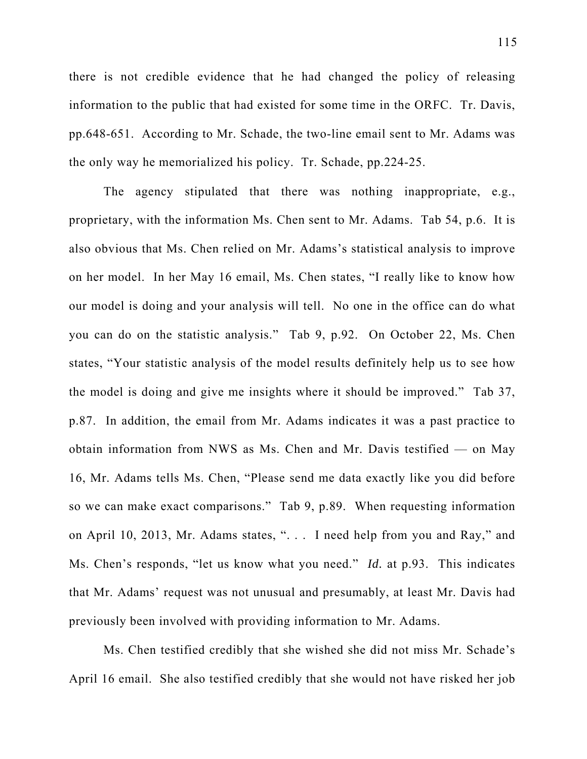there is not credible evidence that he had changed the policy of releasing information to the public that had existed for some time in the ORFC. Tr. Davis, pp.648-651. According to Mr. Schade, the two-line email sent to Mr. Adams was the only way he memorialized his policy. Tr. Schade, pp.224-25.

The agency stipulated that there was nothing inappropriate, e.g., proprietary, with the information Ms. Chen sent to Mr. Adams. Tab 54, p.6. It is also obvious that Ms. Chen relied on Mr. Adams's statistical analysis to improve on her model. In her May 16 email, Ms. Chen states, "I really like to know how our model is doing and your analysis will tell. No one in the office can do what you can do on the statistic analysis." Tab 9, p.92. On October 22, Ms. Chen states, "Your statistic analysis of the model results definitely help us to see how the model is doing and give me insights where it should be improved." Tab 37, p.87. In addition, the email from Mr. Adams indicates it was a past practice to obtain information from NWS as Ms. Chen and Mr. Davis testified — on May 16, Mr. Adams tells Ms. Chen, "Please send me data exactly like you did before so we can make exact comparisons." Tab 9, p.89. When requesting information on April 10, 2013, Mr. Adams states, ". . . I need help from you and Ray," and Ms. Chen's responds, "let us know what you need." *Id.* at p.93. This indicates that Mr. Adams' request was not unusual and presumably, at least Mr. Davis had previously been involved with providing information to Mr. Adams.

Ms. Chen testified credibly that she wished she did not miss Mr. Schade's April 16 email. She also testified credibly that she would not have risked her job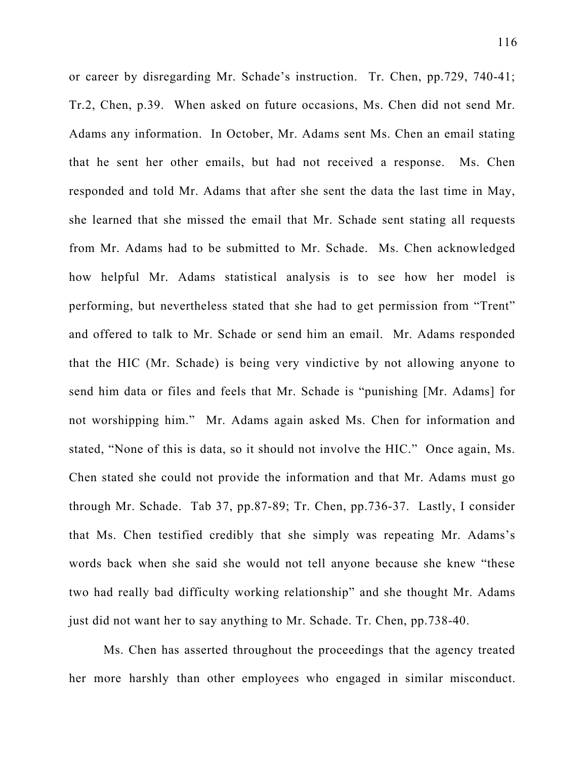or career by disregarding Mr. Schade's instruction. Tr. Chen, pp.729, 740-41; Tr.2, Chen, p.39. When asked on future occasions, Ms. Chen did not send Mr. Adams any information. In October, Mr. Adams sent Ms. Chen an email stating that he sent her other emails, but had not received a response. Ms. Chen responded and told Mr. Adams that after she sent the data the last time in May, she learned that she missed the email that Mr. Schade sent stating all requests from Mr. Adams had to be submitted to Mr. Schade. Ms. Chen acknowledged how helpful Mr. Adams statistical analysis is to see how her model is performing, but nevertheless stated that she had to get permission from "Trent" and offered to talk to Mr. Schade or send him an email. Mr. Adams responded that the HIC (Mr. Schade) is being very vindictive by not allowing anyone to send him data or files and feels that Mr. Schade is "punishing [Mr. Adams] for not worshipping him." Mr. Adams again asked Ms. Chen for information and stated, "None of this is data, so it should not involve the HIC." Once again, Ms. Chen stated she could not provide the information and that Mr. Adams must go through Mr. Schade. Tab 37, pp.87-89; Tr. Chen, pp.736-37. Lastly, I consider that Ms. Chen testified credibly that she simply was repeating Mr. Adams's words back when she said she would not tell anyone because she knew "these two had really bad difficulty working relationship" and she thought Mr. Adams just did not want her to say anything to Mr. Schade. Tr. Chen, pp.738-40.

Ms. Chen has asserted throughout the proceedings that the agency treated her more harshly than other employees who engaged in similar misconduct.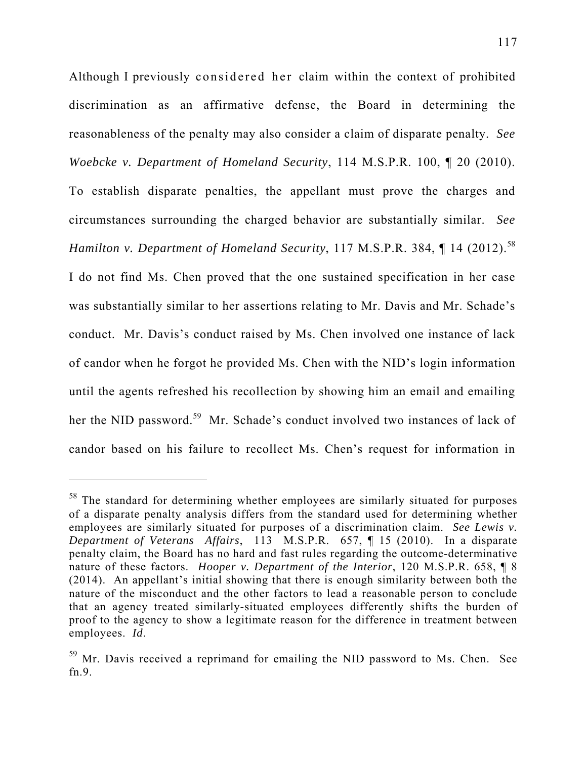Although I previously considered her claim within the context of prohibited discrimination as an affirmative defense, the Board in determining the reasonableness of the penalty may also consider a claim of disparate penalty. *See Woebcke v. Department of Homeland Security*, 114 M.S.P.R. 100, ¶ 20 (2010). To establish disparate penalties, the appellant must prove the charges and circumstances surrounding the charged behavior are substantially similar. *See Hamilton v. Department of Homeland Security*, 117 M.S.P.R. 384, ¶ 14 (2012).<sup>58</sup> I do not find Ms. Chen proved that the one sustained specification in her case was substantially similar to her assertions relating to Mr. Davis and Mr. Schade's conduct. Mr. Davis's conduct raised by Ms. Chen involved one instance of lack of candor when he forgot he provided Ms. Chen with the NID's login information until the agents refreshed his recollection by showing him an email and emailing her the NID password.<sup>59</sup> Mr. Schade's conduct involved two instances of lack of candor based on his failure to recollect Ms. Chen's request for information in

 $\overline{a}$ 

<sup>&</sup>lt;sup>58</sup> The standard for determining whether employees are similarly situated for purposes of a disparate penalty analysis differs from the standard used for determining whether employees are similarly situated for purposes of a discrimination claim. *See Lewis v. Department of Veterans Affairs*, 113 M.S.P.R. 657, ¶ 15 (2010). In a disparate penalty claim, the Board has no hard and fast rules regarding the outcome-determinative nature of these factors. *Hooper v. Department of the Interior*, 120 M.S.P.R. 658, ¶ 8 (2014). An appellant's initial showing that there is enough similarity between both the nature of the misconduct and the other factors to lead a reasonable person to conclude that an agency treated similarly-situated employees differently shifts the burden of proof to the agency to show a legitimate reason for the difference in treatment between employees. *Id*.

<sup>&</sup>lt;sup>59</sup> Mr. Davis received a reprimand for emailing the NID password to Ms. Chen. See fn.9.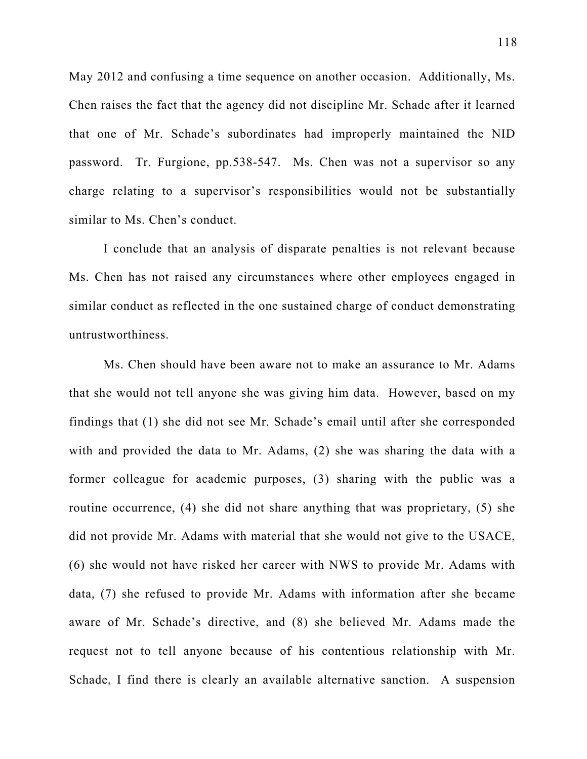May 2012 and confusing a time sequence on another occasion. Additionally, Ms. Chen raises the fact that the agency did not discipline Mr. Schade after it learned that one of Mr. Schade's subordinates had improperly maintained the NID password. Tr. Furgione, pp.538-547. Ms. Chen was not a supervisor so any charge relating to a supervisor's responsibilities would not be substantially similar to Ms. Chen's conduct.

I conclude that an analysis of disparate penalties is not relevant because Ms. Chen has not raised any circumstances where other employees engaged in similar conduct as reflected in the one sustained charge of conduct demonstrating untrustworthiness.

Ms. Chen should have been aware not to make an assurance to Mr. Adams that she would not tell anyone she was giving him data. However, based on my findings that (1) she did not see Mr. Schade's email until after she corresponded with and provided the data to Mr. Adams, (2) she was sharing the data with a former colleague for academic purposes, (3) sharing with the public was a routine occurrence, (4) she did not share anything that was proprietary, (5) she did not provide Mr. Adams with material that she would not give to the USACE, (6) she would not have risked her career with NWS to provide Mr. Adams with data, (7) she refused to provide Mr. Adams with information after she became aware of Mr. Schade's directive, and (8) she believed Mr. Adams made the request not to tell anyone because of his contentious relationship with Mr. Schade, I find there is clearly an available alternative sanction. A suspension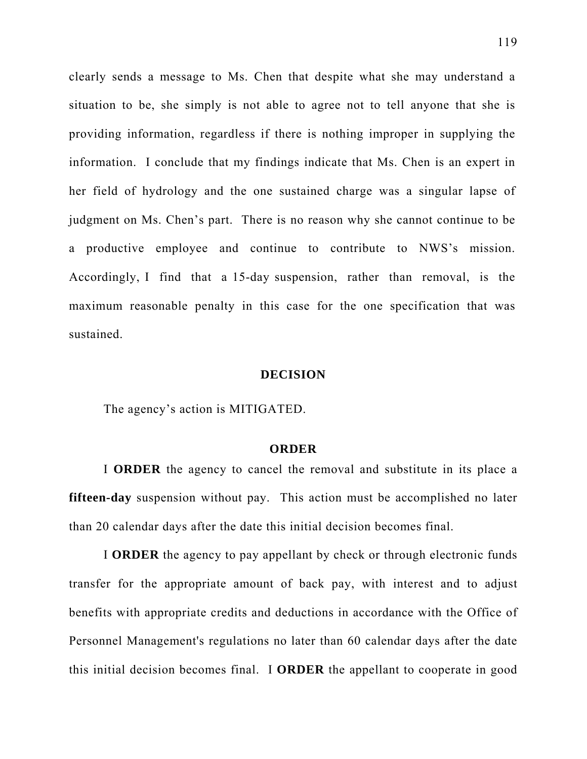clearly sends a message to Ms. Chen that despite what she may understand a situation to be, she simply is not able to agree not to tell anyone that she is providing information, regardless if there is nothing improper in supplying the information. I conclude that my findings indicate that Ms. Chen is an expert in her field of hydrology and the one sustained charge was a singular lapse of judgment on Ms. Chen's part. There is no reason why she cannot continue to be a productive employee and continue to contribute to NWS's mission. Accordingly, I find that a 15-day suspension, rather than removal, is the maximum reasonable penalty in this case for the one specification that was sustained.

#### **DECISION**

The agency's action is MITIGATED.

## **ORDER**

I **ORDER** the agency to cancel the removal and substitute in its place a **fifteen-day** suspension without pay. This action must be accomplished no later than 20 calendar days after the date this initial decision becomes final.

I **ORDER** the agency to pay appellant by check or through electronic funds transfer for the appropriate amount of back pay, with interest and to adjust benefits with appropriate credits and deductions in accordance with the Office of Personnel Management's regulations no later than 60 calendar days after the date this initial decision becomes final. I **ORDER** the appellant to cooperate in good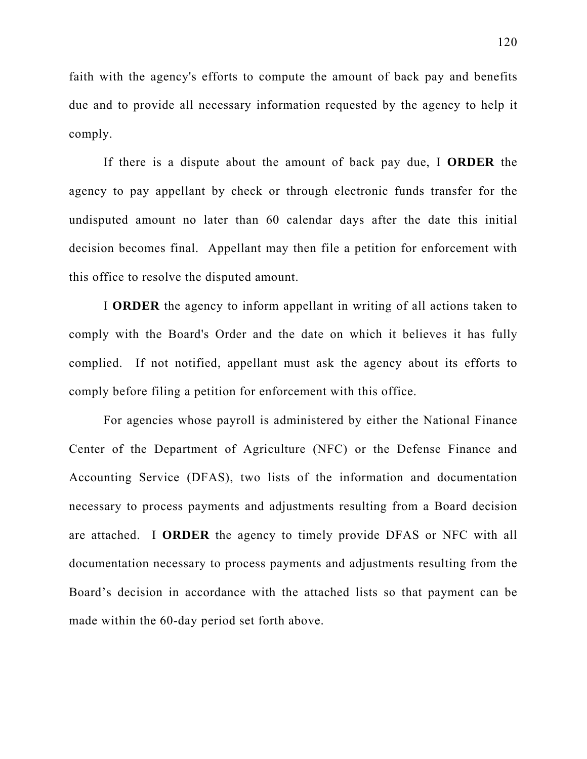faith with the agency's efforts to compute the amount of back pay and benefits due and to provide all necessary information requested by the agency to help it comply.

If there is a dispute about the amount of back pay due, I **ORDER** the agency to pay appellant by check or through electronic funds transfer for the undisputed amount no later than 60 calendar days after the date this initial decision becomes final. Appellant may then file a petition for enforcement with this office to resolve the disputed amount.

I **ORDER** the agency to inform appellant in writing of all actions taken to comply with the Board's Order and the date on which it believes it has fully complied. If not notified, appellant must ask the agency about its efforts to comply before filing a petition for enforcement with this office.

For agencies whose payroll is administered by either the National Finance Center of the Department of Agriculture (NFC) or the Defense Finance and Accounting Service (DFAS), two lists of the information and documentation necessary to process payments and adjustments resulting from a Board decision are attached. I **ORDER** the agency to timely provide DFAS or NFC with all documentation necessary to process payments and adjustments resulting from the Board's decision in accordance with the attached lists so that payment can be made within the 60-day period set forth above.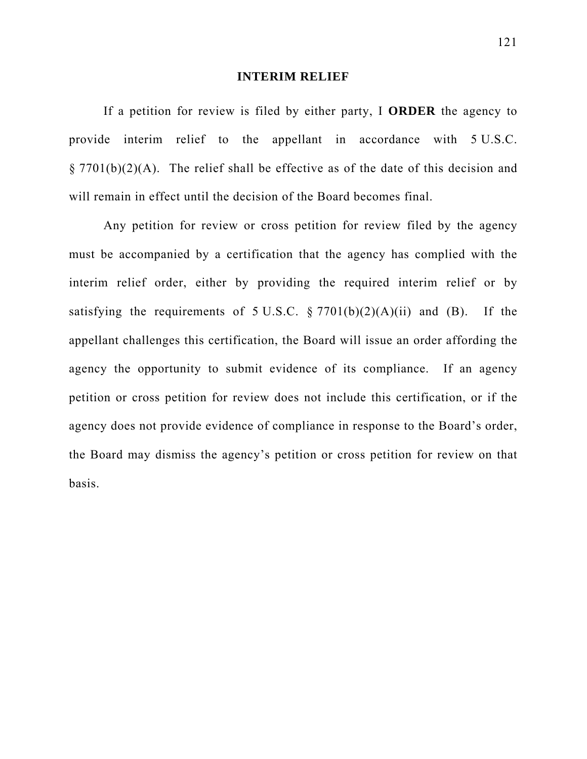#### **INTERIM RELIEF**

If a petition for review is filed by either party, I **ORDER** the agency to provide interim relief to the appellant in accordance with 5 U.S.C.  $\S 7701(b)(2)(A)$ . The relief shall be effective as of the date of this decision and will remain in effect until the decision of the Board becomes final.

Any petition for review or cross petition for review filed by the agency must be accompanied by a certification that the agency has complied with the interim relief order, either by providing the required interim relief or by satisfying the requirements of  $5 \text{ U.S.C. } \frac{6}{7701(b)(2)(A)(ii)}$  and (B). If the appellant challenges this certification, the Board will issue an order affording the agency the opportunity to submit evidence of its compliance. If an agency petition or cross petition for review does not include this certification, or if the agency does not provide evidence of compliance in response to the Board's order, the Board may dismiss the agency's petition or cross petition for review on that basis.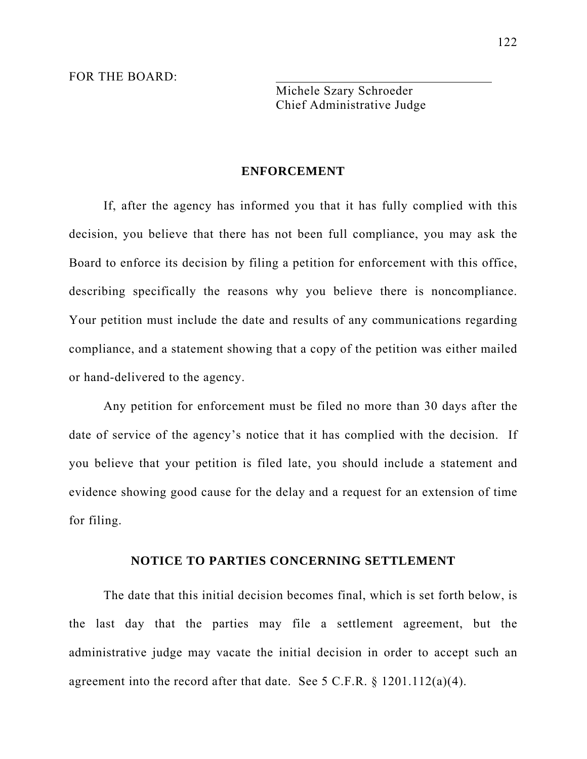FOR THE BOARD:

Michele Szary Schroeder Chief Administrative Judge

#### **ENFORCEMENT**

If, after the agency has informed you that it has fully complied with this decision, you believe that there has not been full compliance, you may ask the Board to enforce its decision by filing a petition for enforcement with this office, describing specifically the reasons why you believe there is noncompliance. Your petition must include the date and results of any communications regarding compliance, and a statement showing that a copy of the petition was either mailed or hand-delivered to the agency.

Any petition for enforcement must be filed no more than 30 days after the date of service of the agency's notice that it has complied with the decision. If you believe that your petition is filed late, you should include a statement and evidence showing good cause for the delay and a request for an extension of time for filing.

### **NOTICE TO PARTIES CONCERNING SETTLEMENT**

The date that this initial decision becomes final, which is set forth below, is the last day that the parties may file a settlement agreement, but the administrative judge may vacate the initial decision in order to accept such an agreement into the record after that date. See 5 C.F.R. § 1201.112(a)(4).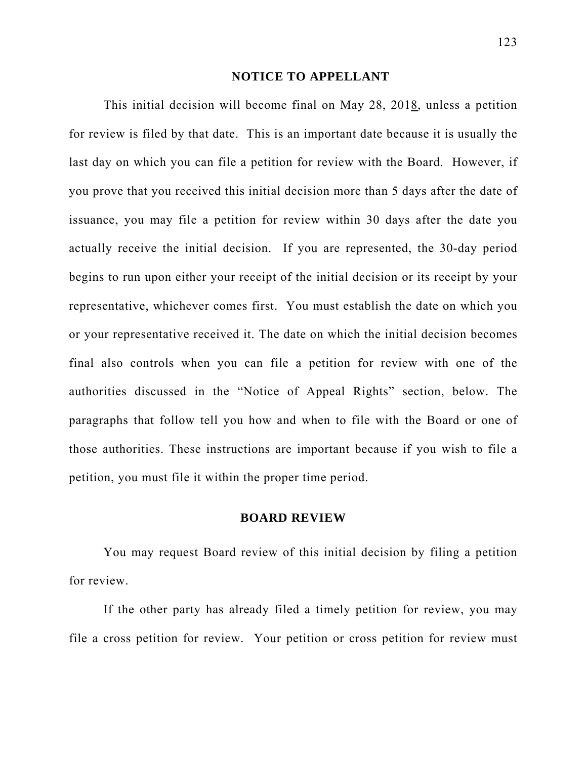#### **NOTICE TO APPELLANT**

This initial decision will become final on May 28, 2018, unless a petition for review is filed by that date. This is an important date because it is usually the last day on which you can file a petition for review with the Board. However, if you prove that you received this initial decision more than 5 days after the date of issuance, you may file a petition for review within 30 days after the date you actually receive the initial decision. If you are represented, the 30-day period begins to run upon either your receipt of the initial decision or its receipt by your representative, whichever comes first. You must establish the date on which you or your representative received it. The date on which the initial decision becomes final also controls when you can file a petition for review with one of the authorities discussed in the "Notice of Appeal Rights" section, below. The paragraphs that follow tell you how and when to file with the Board or one of those authorities. These instructions are important because if you wish to file a petition, you must file it within the proper time period.

#### **BOARD REVIEW**

You may request Board review of this initial decision by filing a petition for review.

If the other party has already filed a timely petition for review, you may file a cross petition for review. Your petition or cross petition for review must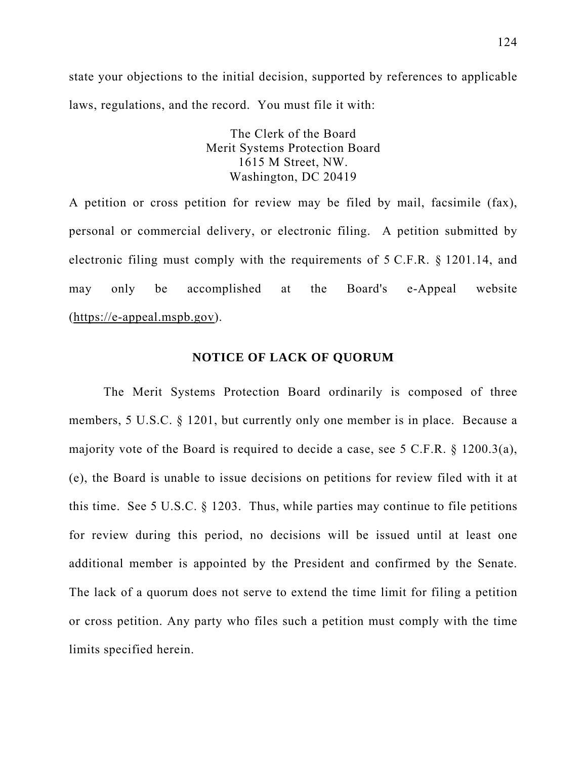state your objections to the initial decision, supported by references to applicable laws, regulations, and the record. You must file it with:

> The Clerk of the Board Merit Systems Protection Board 1615 M Street, NW. Washington, DC 20419

A petition or cross petition for review may be filed by mail, facsimile (fax), personal or commercial delivery, or electronic filing. A petition submitted by electronic filing must comply with the requirements of 5 C.F.R. § 1201.14, and may only be accomplished at the Board's e-Appeal website (https://e-appeal.mspb.gov).

#### **NOTICE OF LACK OF QUORUM**

The Merit Systems Protection Board ordinarily is composed of three members, 5 U.S.C. § 1201, but currently only one member is in place. Because a majority vote of the Board is required to decide a case, see 5 C.F.R. § 1200.3(a), (e), the Board is unable to issue decisions on petitions for review filed with it at this time. See 5 U.S.C. § 1203. Thus, while parties may continue to file petitions for review during this period, no decisions will be issued until at least one additional member is appointed by the President and confirmed by the Senate. The lack of a quorum does not serve to extend the time limit for filing a petition or cross petition. Any party who files such a petition must comply with the time limits specified herein.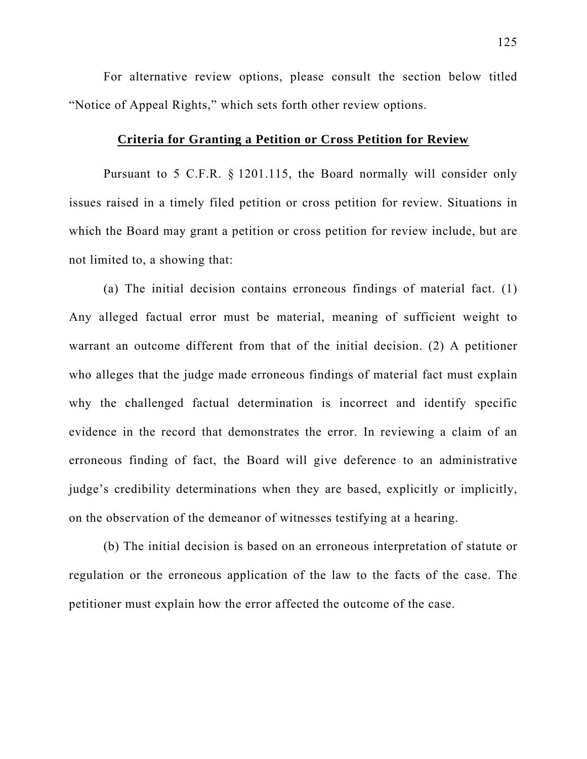For alternative review options, please consult the section below titled "Notice of Appeal Rights," which sets forth other review options.

# **Criteria for Granting a Petition or Cross Petition for Review**

Pursuant to 5 C.F.R. § 1201.115, the Board normally will consider only issues raised in a timely filed petition or cross petition for review. Situations in which the Board may grant a petition or cross petition for review include, but are not limited to, a showing that:

(a) The initial decision contains erroneous findings of material fact. (1) Any alleged factual error must be material, meaning of sufficient weight to warrant an outcome different from that of the initial decision. (2) A petitioner who alleges that the judge made erroneous findings of material fact must explain why the challenged factual determination is incorrect and identify specific evidence in the record that demonstrates the error. In reviewing a claim of an erroneous finding of fact, the Board will give deference to an administrative judge's credibility determinations when they are based, explicitly or implicitly, on the observation of the demeanor of witnesses testifying at a hearing.

(b) The initial decision is based on an erroneous interpretation of statute or regulation or the erroneous application of the law to the facts of the case. The petitioner must explain how the error affected the outcome of the case.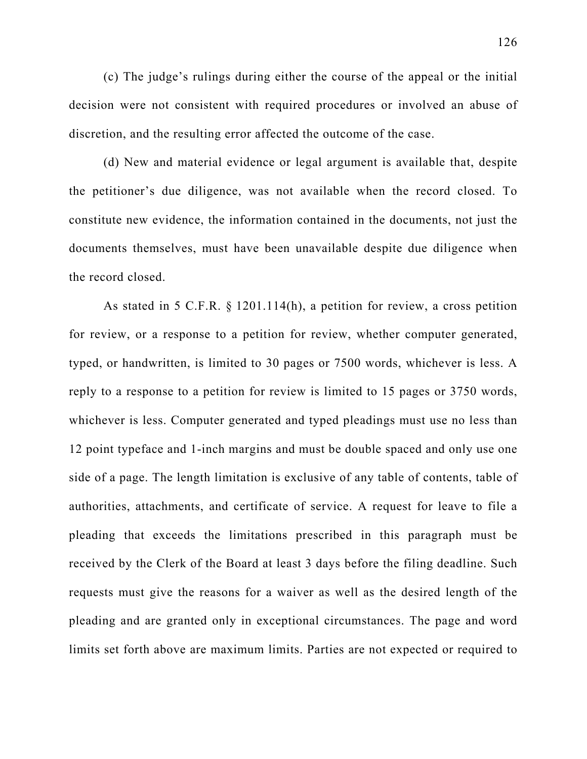(c) The judge's rulings during either the course of the appeal or the initial decision were not consistent with required procedures or involved an abuse of discretion, and the resulting error affected the outcome of the case.

(d) New and material evidence or legal argument is available that, despite the petitioner's due diligence, was not available when the record closed. To constitute new evidence, the information contained in the documents, not just the documents themselves, must have been unavailable despite due diligence when the record closed.

As stated in 5 C.F.R. § 1201.114(h), a petition for review, a cross petition for review, or a response to a petition for review, whether computer generated, typed, or handwritten, is limited to 30 pages or 7500 words, whichever is less. A reply to a response to a petition for review is limited to 15 pages or 3750 words, whichever is less. Computer generated and typed pleadings must use no less than 12 point typeface and 1-inch margins and must be double spaced and only use one side of a page. The length limitation is exclusive of any table of contents, table of authorities, attachments, and certificate of service. A request for leave to file a pleading that exceeds the limitations prescribed in this paragraph must be received by the Clerk of the Board at least 3 days before the filing deadline. Such requests must give the reasons for a waiver as well as the desired length of the pleading and are granted only in exceptional circumstances. The page and word limits set forth above are maximum limits. Parties are not expected or required to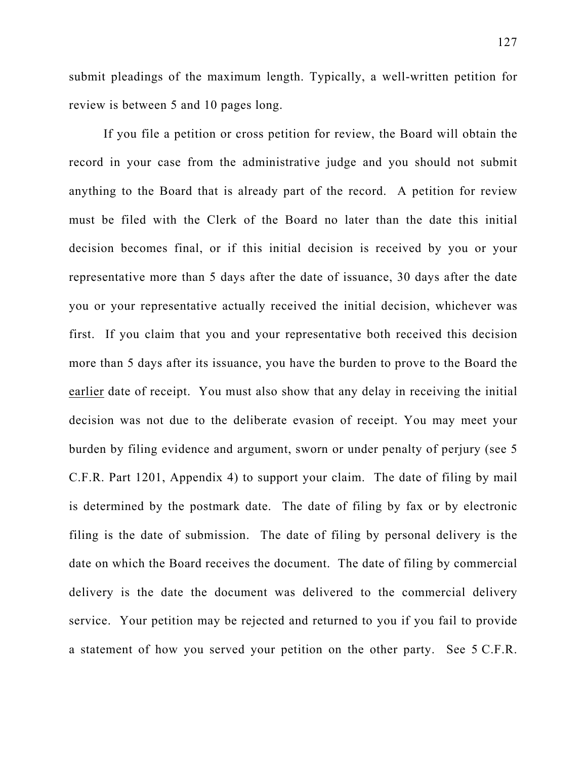submit pleadings of the maximum length. Typically, a well-written petition for review is between 5 and 10 pages long.

If you file a petition or cross petition for review, the Board will obtain the record in your case from the administrative judge and you should not submit anything to the Board that is already part of the record. A petition for review must be filed with the Clerk of the Board no later than the date this initial decision becomes final, or if this initial decision is received by you or your representative more than 5 days after the date of issuance, 30 days after the date you or your representative actually received the initial decision, whichever was first. If you claim that you and your representative both received this decision more than 5 days after its issuance, you have the burden to prove to the Board the earlier date of receipt. You must also show that any delay in receiving the initial decision was not due to the deliberate evasion of receipt. You may meet your burden by filing evidence and argument, sworn or under penalty of perjury (see 5 C.F.R. Part 1201, Appendix 4) to support your claim. The date of filing by mail is determined by the postmark date. The date of filing by fax or by electronic filing is the date of submission. The date of filing by personal delivery is the date on which the Board receives the document. The date of filing by commercial delivery is the date the document was delivered to the commercial delivery service. Your petition may be rejected and returned to you if you fail to provide a statement of how you served your petition on the other party. See 5 C.F.R.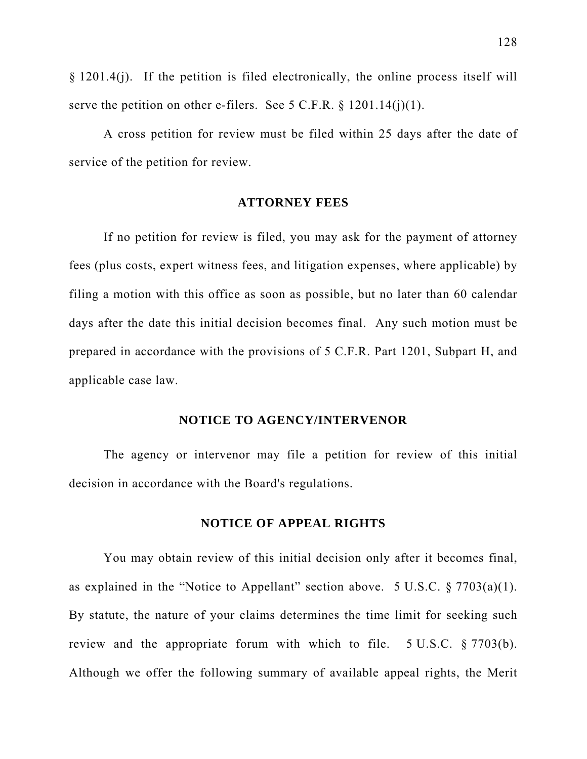§ 1201.4(j). If the petition is filed electronically, the online process itself will serve the petition on other e-filers. See 5 C.F.R.  $\S$  1201.14(j)(1).

A cross petition for review must be filed within 25 days after the date of service of the petition for review.

#### **ATTORNEY FEES**

If no petition for review is filed, you may ask for the payment of attorney fees (plus costs, expert witness fees, and litigation expenses, where applicable) by filing a motion with this office as soon as possible, but no later than 60 calendar days after the date this initial decision becomes final. Any such motion must be prepared in accordance with the provisions of 5 C.F.R. Part 1201, Subpart H, and applicable case law.

#### **NOTICE TO AGENCY/INTERVENOR**

The agency or intervenor may file a petition for review of this initial decision in accordance with the Board's regulations.

## **NOTICE OF APPEAL RIGHTS**

You may obtain review of this initial decision only after it becomes final, as explained in the "Notice to Appellant" section above. 5 U.S.C.  $\S 7703(a)(1)$ . By statute, the nature of your claims determines the time limit for seeking such review and the appropriate forum with which to file. 5 U.S.C. § 7703(b). Although we offer the following summary of available appeal rights, the Merit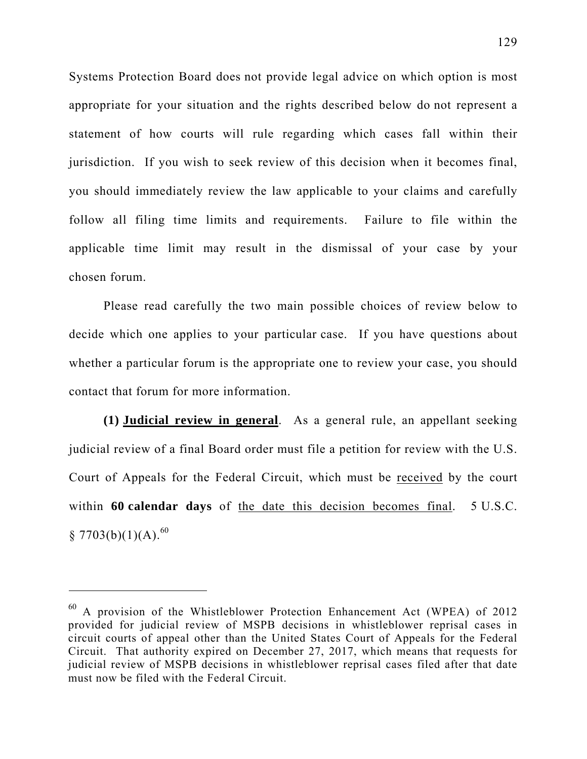Systems Protection Board does not provide legal advice on which option is most appropriate for your situation and the rights described below do not represent a statement of how courts will rule regarding which cases fall within their jurisdiction. If you wish to seek review of this decision when it becomes final, you should immediately review the law applicable to your claims and carefully follow all filing time limits and requirements. Failure to file within the applicable time limit may result in the dismissal of your case by your chosen forum.

Please read carefully the two main possible choices of review below to decide which one applies to your particular case. If you have questions about whether a particular forum is the appropriate one to review your case, you should contact that forum for more information.

**(1) Judicial review in general**. As a general rule, an appellant seeking judicial review of a final Board order must file a petition for review with the U.S. Court of Appeals for the Federal Circuit, which must be received by the court within **60 calendar days** of the date this decision becomes final. 5 U.S.C.  $$7703(b)(1)(A).^{60}$ 

 $\overline{a}$ 

<sup>60</sup> A provision of the Whistleblower Protection Enhancement Act (WPEA) of 2012 provided for judicial review of MSPB decisions in whistleblower reprisal cases in circuit courts of appeal other than the United States Court of Appeals for the Federal Circuit. That authority expired on December 27, 2017, which means that requests for judicial review of MSPB decisions in whistleblower reprisal cases filed after that date must now be filed with the Federal Circuit.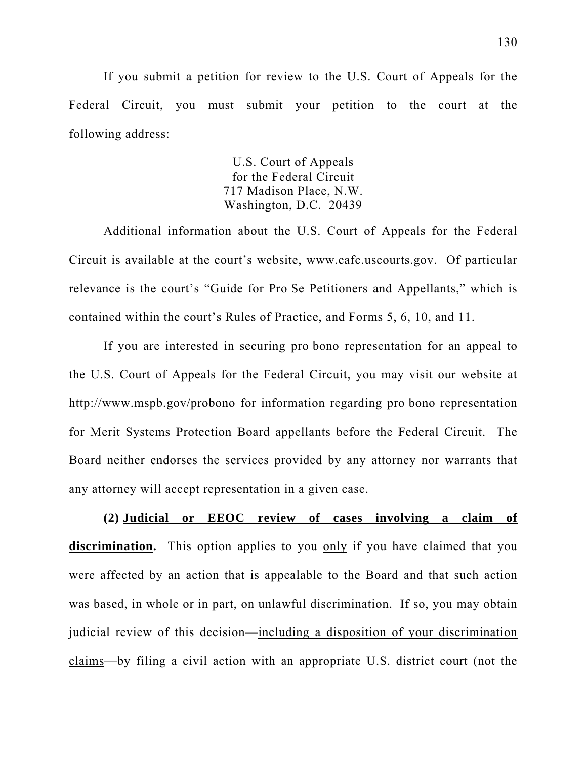If you submit a petition for review to the U.S. Court of Appeals for the Federal Circuit, you must submit your petition to the court at the following address:

> U.S. Court of Appeals for the Federal Circuit 717 Madison Place, N.W. Washington, D.C. 20439

Additional information about the U.S. Court of Appeals for the Federal Circuit is available at the court's website, www.cafc.uscourts.gov. Of particular relevance is the court's "Guide for Pro Se Petitioners and Appellants," which is contained within the court's Rules of Practice, and Forms 5, 6, 10, and 11.

If you are interested in securing pro bono representation for an appeal to the U.S. Court of Appeals for the Federal Circuit, you may visit our website at http://www.mspb.gov/probono for information regarding pro bono representation for Merit Systems Protection Board appellants before the Federal Circuit. The Board neither endorses the services provided by any attorney nor warrants that any attorney will accept representation in a given case.

**(2) Judicial or EEOC review of cases involving a claim of discrimination.** This option applies to you only if you have claimed that you were affected by an action that is appealable to the Board and that such action was based, in whole or in part, on unlawful discrimination. If so, you may obtain judicial review of this decision—including a disposition of your discrimination claims—by filing a civil action with an appropriate U.S. district court (not the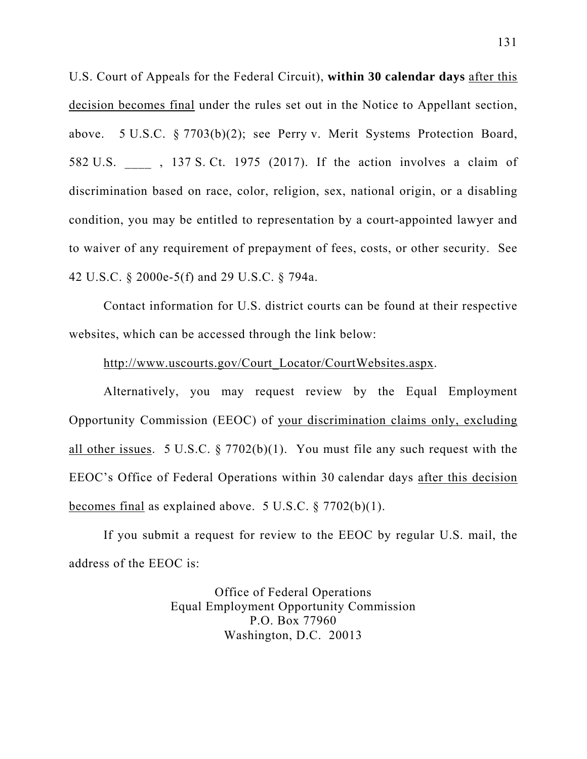U.S. Court of Appeals for the Federal Circuit), **within 30 calendar days** after this decision becomes final under the rules set out in the Notice to Appellant section, above. 5 U.S.C. § 7703(b)(2); see Perry v. Merit Systems Protection Board, 582 U.S. \_\_\_\_ , 137 S. Ct. 1975 (2017). If the action involves a claim of discrimination based on race, color, religion, sex, national origin, or a disabling condition, you may be entitled to representation by a court-appointed lawyer and to waiver of any requirement of prepayment of fees, costs, or other security. See 42 U.S.C. § 2000e-5(f) and 29 U.S.C. § 794a.

Contact information for U.S. district courts can be found at their respective websites, which can be accessed through the link below:

## http://www.uscourts.gov/Court\_Locator/CourtWebsites.aspx.

Alternatively, you may request review by the Equal Employment Opportunity Commission (EEOC) of your discrimination claims only, excluding all other issues. 5 U.S.C.  $\S 7702(b)(1)$ . You must file any such request with the EEOC's Office of Federal Operations within 30 calendar days after this decision becomes final as explained above. 5 U.S.C. § 7702(b)(1).

If you submit a request for review to the EEOC by regular U.S. mail, the address of the EEOC is:

> Office of Federal Operations Equal Employment Opportunity Commission P.O. Box 77960 Washington, D.C. 20013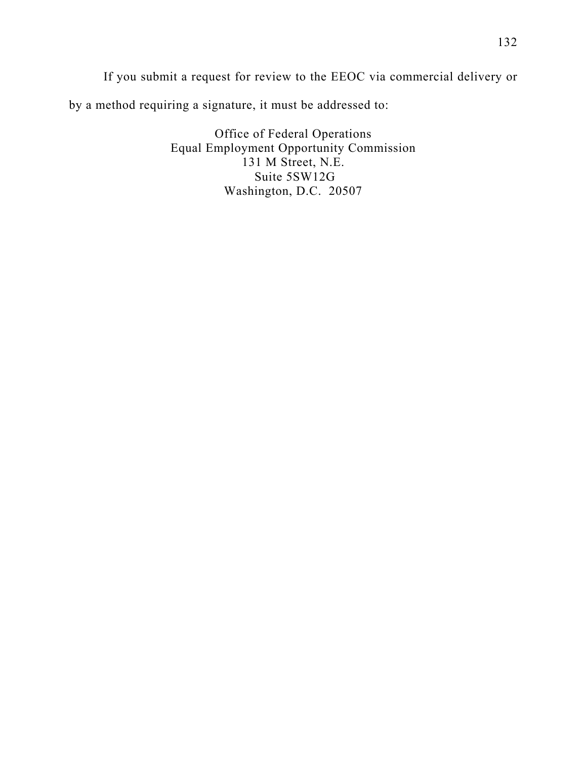If you submit a request for review to the EEOC via commercial delivery or by a method requiring a signature, it must be addressed to:

> Office of Federal Operations Equal Employment Opportunity Commission 131 M Street, N.E. Suite 5SW12G Washington, D.C. 20507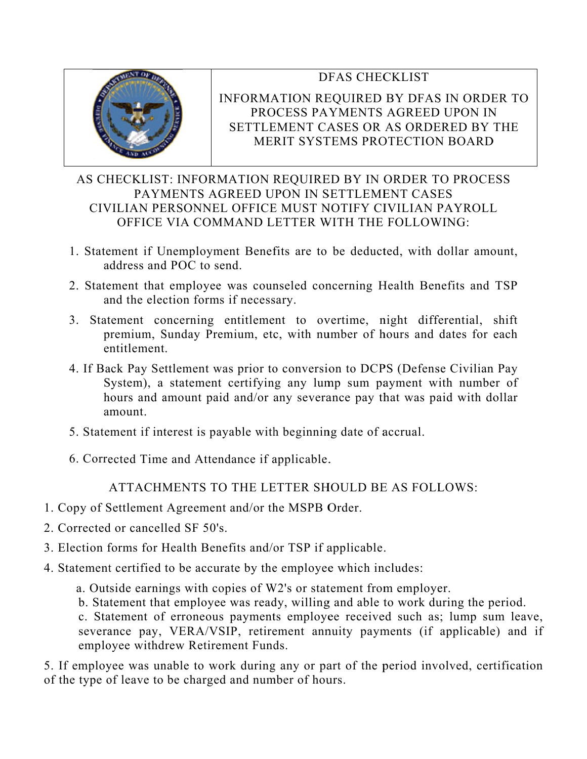# DFAS CHECKLIST



# INFORMATION REQUIRED BY DFAS IN ORDER TO PROCESS PAYMENTS AGREED UPON IN PROCESS PAYMENTS AGREED UPON IN<br>SETTLEMENT CASES OR AS ORDERED BY THE MERIT SYSTEMS PROTECTION BOARD

# MERIT SYSTEMS PROTECTION BOARD<br>AS CHECKLIST: INFORMATION REQUIRED BY IN ORDER TO PROCESS CIVILIAN PERSONNEL OFFICE MUST NOTIFY CIVILIAN PAYROLL CIVILIAN PERSONNEL OFFICE MUST NOTIFY CIVILIAN PAYROLL<br>OFFICE VIA COMMAND LETTER WITH THE FOLLOWING:<br>1. Statement if Unemployment Benefits are to be deducted, with dollar amount, PAYMENTS AGREED UPON IN SETTLEMENT CASES OFFICE VIA COMMAND LETTER WITH THE FOLLOWING:

- address and POC to send.
- 2. Statement that employee was counseled concerning Health Benefits and TSP and the election forms if necessary.
- 3. Statement concerning entitlement to overtime, night differential, shift premium, Sunday Premium, etc, with number of hours and dates for each e ntitlement .
- 4. If Back Pay Settlement was prior to conversion to DCPS (Defense Civilian Pay System), a statement certifying any lump sum payment with number of hours and amount paid and/or any severance pay that was paid with dollar a mount.
- 5. Statement if interest is payable with beginning date of accrual.
- 6. Corrected Time and Attendance if applicable.

ATTACHMENTS TO THE LETTER SHOULD BE AS FOLLOWS:

- 1. Copy of Settlement Agreement and/or the MSPB Order.
- 2. Corrected d or cancel led SF 50' s.
- 3. Election forms for Health Benefits and/or TSP if applicable.
- 4. Statement certified to be accurate by the employee which includes:
	- a. Outside earnings with copies of W2's or statement from employer.
		- b. Statement that employee was ready, willing and able to work during the period.

c. Statement of erroneous payments employee received such as; lump sum leave, severance pay, VERA/VSIP, retirement annuity payments (if applicable) and if employee withdrew Retirement Funds.

5. If employee was unable to work during any or part of the period involved, certification of the type of leave to be charged and number of hours.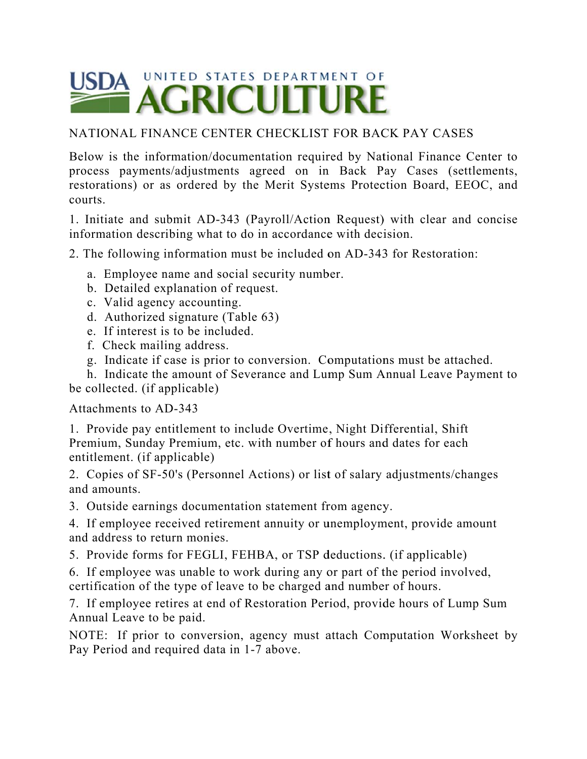

# NATIONAL FINANCE CENTER CHECKLIST FOR BACK PAY CASES

Below is the information/documentation required by National Finance Center to process payments/adjustments agreed on in Back Pay Cases (settlements, restorations) or as ordered by the Merit Systems Protection Board, EEOC, and courts.

1. Initiate and submit AD-343 (Payroll/Action Request) with clear and concise information describing what to do in accordance with decision.

2. The following information must be included on AD-343 for Restoration:

- a. Employee name and social security number.
- b. Detailed explanation of request.
- c. Valid agency accounting.
- d. Authorized signature (Table 63)
- e. If interest is to be included.
- f. Check mailing address.
- g. Indicate if case is prior to conversion. Computations must be attached.

h. Indicate the amount of Severance and Lump Sum Annual Leave Payment to be collected. (if applicable)

Attachm ments to A D-343

1. Provide pay entitlement to include Overtime, Night Differential, Shift Premium, Sunday Premium, etc. with number of hours and dates for each entitlement. (if applicable)

2. Copies of SF-50's (Personnel Actions) or list of salary adjustments/changes and amounts.

3. Outside earnings documentation statement from agency.

4. If employee received retirement annuity or unemployment, provide amount and address to return monies.

5. Provide forms for FEGLI, FEHBA, or TSP deductions. (if applicable)

6. If employee was unable to work during any or part of the period involved, certification of the type of leave to be charged and number of hours. 4. If employee received retirement annuity or unemployment, provide amount<br>and address to return monies.<br>5. Provide forms for FEGLI, FEHBA, or TSP deductions. (if applicable)<br>6. If employee was unable to work during any or

Annual Leave to b be paid.

NOTE: If prior to conversion, agency must attach Computation Worksheet by Pay Period and required data in 1-7 above.